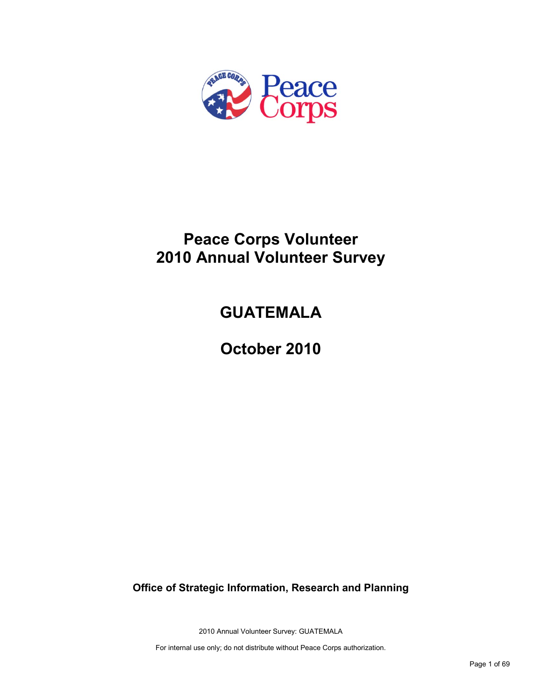

## **Peace Corps Volunteer 2010 Annual Volunteer Survey**

## **GUATEMALA**

**October 2010**

**Office of Strategic Information, Research and Planning**

2010 Annual Volunteer Survey: GUATEMALA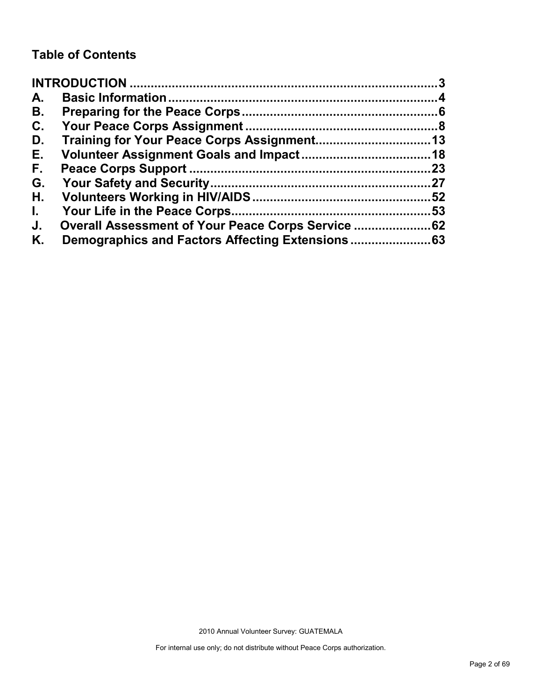## **Table of Contents**

| A.           |                                                    |    |
|--------------|----------------------------------------------------|----|
| В.           |                                                    |    |
| C.           |                                                    |    |
| D.           |                                                    |    |
| Е.           |                                                    |    |
| F.,          |                                                    | 23 |
| G.           |                                                    |    |
| Η.           |                                                    |    |
| $\mathbf{L}$ |                                                    | 53 |
| J.           | Overall Assessment of Your Peace Corps Service  62 |    |
| Κ.           |                                                    |    |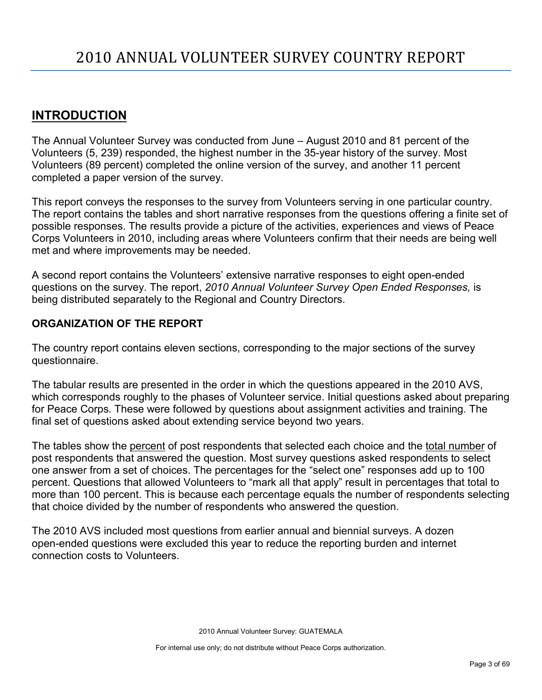## <span id="page-2-0"></span>**INTRODUCTION**

The Annual Volunteer Survey was conducted from June – August 2010 and 81 percent of the Volunteers (5, 239) responded, the highest number in the 35-year history of the survey. Most Volunteers (89 percent) completed the online version of the survey, and another 11 percent completed a paper version of the survey.

This report conveys the responses to the survey from Volunteers serving in one particular country. The report contains the tables and short narrative responses from the questions offering a finite set of possible responses. The results provide a picture of the activities, experiences and views of Peace Corps Volunteers in 2010, including areas where Volunteers confirm that their needs are being well met and where improvements may be needed.

A second report contains the Volunteers' extensive narrative responses to eight open-ended questions on the survey. The report, *2010 Annual Volunteer Survey Open Ended Responses,* is being distributed separately to the Regional and Country Directors.

## **ORGANIZATION OF THE REPORT**

The country report contains eleven sections, corresponding to the major sections of the survey questionnaire.

The tabular results are presented in the order in which the questions appeared in the 2010 AVS, which corresponds roughly to the phases of Volunteer service. Initial questions asked about preparing for Peace Corps. These were followed by questions about assignment activities and training. The final set of questions asked about extending service beyond two years.

The tables show the percent of post respondents that selected each choice and the total number of post respondents that answered the question. Most survey questions asked respondents to select one answer from a set of choices. The percentages for the "select one" responses add up to 100 percent. Questions that allowed Volunteers to "mark all that apply" result in percentages that total to more than 100 percent. This is because each percentage equals the number of respondents selecting that choice divided by the number of respondents who answered the question.

The 2010 AVS included most questions from earlier annual and biennial surveys. A dozen open-ended questions were excluded this year to reduce the reporting burden and internet connection costs to Volunteers.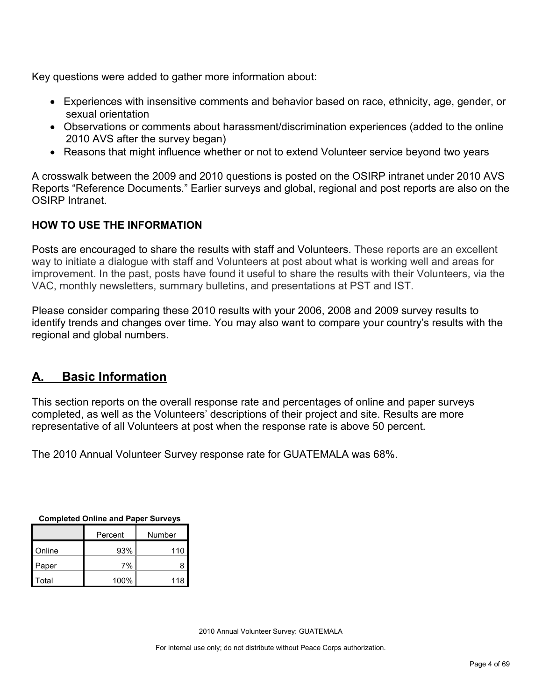Key questions were added to gather more information about:

- Experiences with insensitive comments and behavior based on race, ethnicity, age, gender, or sexual orientation
- Observations or comments about harassment/discrimination experiences (added to the online 2010 AVS after the survey began)
- Reasons that might influence whether or not to extend Volunteer service beyond two years

A crosswalk between the 2009 and 2010 questions is posted on the OSIRP intranet under 2010 AVS Reports "Reference Documents." Earlier surveys and global, regional and post reports are also on the OSIRP Intranet.

## **HOW TO USE THE INFORMATION**

Posts are encouraged to share the results with staff and Volunteers. These reports are an excellent way to initiate a dialogue with staff and Volunteers at post about what is working well and areas for improvement. In the past, posts have found it useful to share the results with their Volunteers, via the VAC, monthly newsletters, summary bulletins, and presentations at PST and IST.

Please consider comparing these 2010 results with your 2006, 2008 and 2009 survey results to identify trends and changes over time. You may also want to compare your country's results with the regional and global numbers.

## <span id="page-3-0"></span>**A. Basic Information**

This section reports on the overall response rate and percentages of online and paper surveys completed, as well as the Volunteers' descriptions of their project and site. Results are more representative of all Volunteers at post when the response rate is above 50 percent.

The 2010 Annual Volunteer Survey response rate for GUATEMALA was 68%.

| Completed Oming and Faper Surveys |         |        |  |
|-----------------------------------|---------|--------|--|
|                                   | Percent | Number |  |
| Online                            | 93%     | 110    |  |
| Paper                             | 7%      | 8      |  |
| Total                             | 100%    | 118    |  |

**Completed Online and Paper Surveys**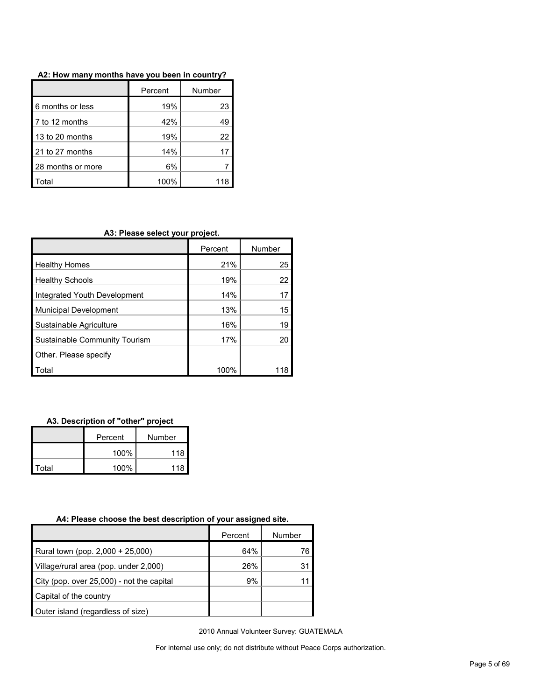|                   | Percent | Number |
|-------------------|---------|--------|
| 6 months or less  | 19%     | 23     |
| 7 to 12 months    | 42%     | 49     |
| 13 to 20 months   | 19%     | 22     |
| 21 to 27 months   | 14%     |        |
| 28 months or more | 6%      |        |
| Total             | 100%    |        |

#### **A2: How many months have you been in country?**

### **A3: Please select your project.**

|                               | Percent | Number |
|-------------------------------|---------|--------|
| <b>Healthy Homes</b>          | 21%     | 25     |
| <b>Healthy Schools</b>        | 19%     | 22     |
| Integrated Youth Development  | 14%     | 17     |
| <b>Municipal Development</b>  | 13%     | 15     |
| Sustainable Agriculture       | 16%     | 19     |
| Sustainable Community Tourism | 17%     | 20     |
| Other. Please specify         |         |        |
| Total                         | 100%    |        |

#### **A3. Description of "other" project**

|       | Percent<br>Number |     |
|-------|-------------------|-----|
| 100%  |                   | 118 |
| Total | 100%              | 118 |

#### **A4: Please choose the best description of your assigned site.**

|                                           | Percent | Number |
|-------------------------------------------|---------|--------|
| Rural town (pop. 2,000 + 25,000)          | 64%     | 76.    |
| Village/rural area (pop. under 2,000)     | 26%     |        |
| City (pop. over 25,000) - not the capital | 9%      |        |
| Capital of the country                    |         |        |
| Outer island (regardless of size)         |         |        |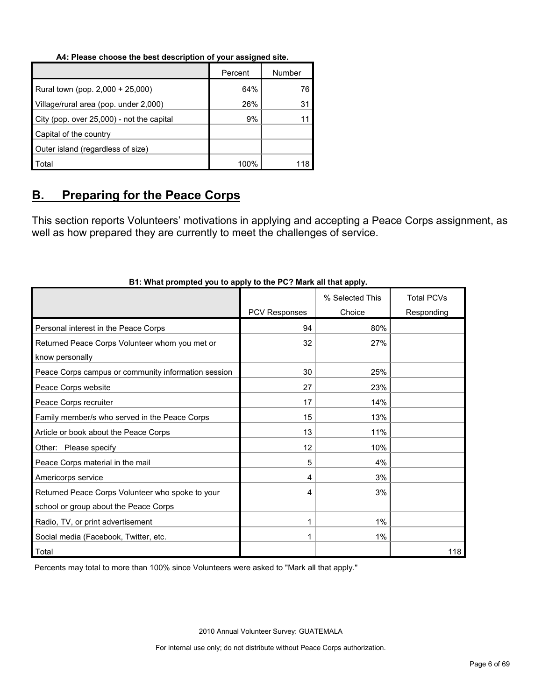#### **A4: Please choose the best description of your assigned site.**

|                                           | Percent | Number |
|-------------------------------------------|---------|--------|
| Rural town (pop. 2,000 + 25,000)          | 64%     | 76     |
| Village/rural area (pop. under 2,000)     | 26%     | 31     |
| City (pop. over 25,000) - not the capital | 9%      |        |
| Capital of the country                    |         |        |
| Outer island (regardless of size)         |         |        |
| Total                                     | 100%    |        |

## <span id="page-5-0"></span>**B. Preparing for the Peace Corps**

This section reports Volunteers' motivations in applying and accepting a Peace Corps assignment, as well as how prepared they are currently to meet the challenges of service.

|                                                     |                      | % Selected This | <b>Total PCVs</b> |
|-----------------------------------------------------|----------------------|-----------------|-------------------|
|                                                     | <b>PCV Responses</b> | Choice          | Responding        |
| Personal interest in the Peace Corps                | 94                   | 80%             |                   |
| Returned Peace Corps Volunteer whom you met or      | 32                   | 27%             |                   |
| know personally                                     |                      |                 |                   |
| Peace Corps campus or community information session | 30                   | 25%             |                   |
| Peace Corps website                                 | 27                   | 23%             |                   |
| Peace Corps recruiter                               | 17                   | 14%             |                   |
| Family member/s who served in the Peace Corps       | 15                   | 13%             |                   |
| Article or book about the Peace Corps               | 13                   | 11%             |                   |
| Other: Please specify                               | 12                   | 10%             |                   |
| Peace Corps material in the mail                    | 5                    | 4%              |                   |
| Americorps service                                  | 4                    | 3%              |                   |
| Returned Peace Corps Volunteer who spoke to your    | 4                    | 3%              |                   |
| school or group about the Peace Corps               |                      |                 |                   |
| Radio, TV, or print advertisement                   |                      | $1\%$           |                   |
| Social media (Facebook, Twitter, etc.               |                      | $1\%$           |                   |
| Total                                               |                      |                 | 118               |

#### **B1: What prompted you to apply to the PC? Mark all that apply.**

Percents may total to more than 100% since Volunteers were asked to "Mark all that apply."

2010 Annual Volunteer Survey: GUATEMALA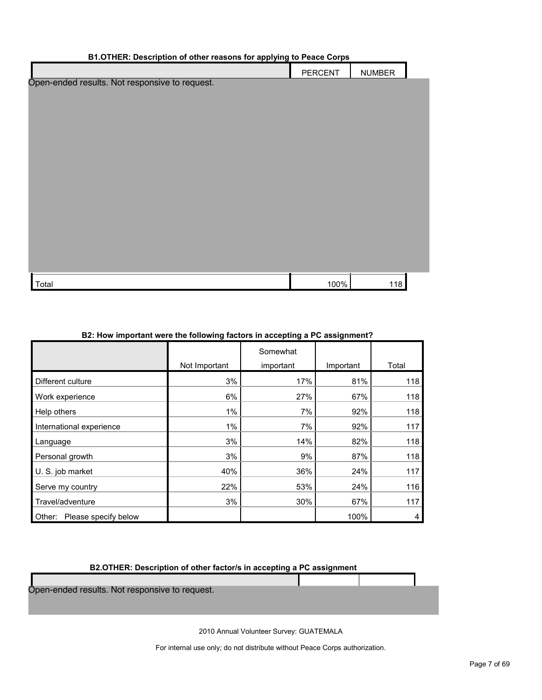| B1.OTHER: Description of other reasons for applying to Peace Corps |         |               |  |  |
|--------------------------------------------------------------------|---------|---------------|--|--|
|                                                                    | PERCENT | <b>NUMBER</b> |  |  |
| Open-ended results. Not responsive to request.                     |         |               |  |  |
|                                                                    |         |               |  |  |
|                                                                    |         |               |  |  |
|                                                                    |         |               |  |  |
|                                                                    |         |               |  |  |
|                                                                    |         |               |  |  |
|                                                                    |         |               |  |  |
|                                                                    |         |               |  |  |
|                                                                    |         |               |  |  |
|                                                                    |         |               |  |  |
|                                                                    |         |               |  |  |
|                                                                    |         |               |  |  |
|                                                                    |         |               |  |  |
|                                                                    |         |               |  |  |
|                                                                    |         |               |  |  |
|                                                                    |         |               |  |  |
| Total                                                              | 100%    | 118           |  |  |

#### **B2: How important were the following factors in accepting a PC assignment?**

|                                |               | Somewhat  |           |       |
|--------------------------------|---------------|-----------|-----------|-------|
|                                | Not Important | important | Important | Total |
| Different culture              | 3%            | 17%       | 81%       | 118   |
| Work experience                | 6%            | 27%       | 67%       | 118   |
| Help others                    | 1%            | 7%        | 92%       | 118   |
| International experience       | $1\%$         | 7%        | 92%       | 117   |
| Language                       | 3%            | 14%       | 82%       | 118   |
| Personal growth                | 3%            | 9%        | 87%       | 118   |
| U. S. job market               | 40%           | 36%       | 24%       | 117   |
| Serve my country               | 22%           | 53%       | 24%       | 116   |
| Travel/adventure               | 3%            | 30%       | 67%       | 117   |
| Please specify below<br>Other: |               |           | 100%      | 4     |

#### **B2.OTHER: Description of other factor/s in accepting a PC assignment**

Open-ended results. Not responsive to request.

2010 Annual Volunteer Survey: GUATEMALA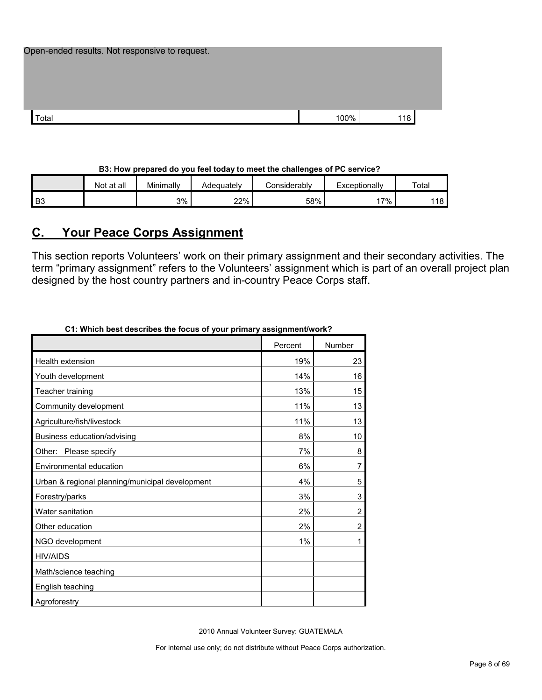| Open-ended results. Not responsive to request. |      |     |  |
|------------------------------------------------|------|-----|--|
|                                                |      |     |  |
|                                                |      |     |  |
|                                                |      |     |  |
| Total                                          | 100% | 118 |  |

#### **B3: How prepared do you feel today to meet the challenges of PC service?**

|                | Not at all | Minimally | Adequately | Considerablv | Exceptionally | Total |
|----------------|------------|-----------|------------|--------------|---------------|-------|
| $\mathsf I$ B3 |            | 3%        | 22%        | 58%          | $7\%$ .       | 118   |

## <span id="page-7-0"></span>**C. Your Peace Corps Assignment**

This section reports Volunteers' work on their primary assignment and their secondary activities. The term "primary assignment" refers to the Volunteers' assignment which is part of an overall project plan designed by the host country partners and in-country Peace Corps staff.

| CT: which best describes the locus of your primary assignment/work? |         |                |
|---------------------------------------------------------------------|---------|----------------|
|                                                                     | Percent | Number         |
| Health extension                                                    | 19%     | 23             |
| Youth development                                                   | 14%     | 16             |
| Teacher training                                                    | 13%     | 15             |
| Community development                                               | 11%     | 13             |
| Agriculture/fish/livestock                                          | 11%     | 13             |
| Business education/advising                                         | 8%      | 10             |
| Other: Please specify                                               | 7%      | 8              |
| Environmental education                                             | 6%      | 7              |
| Urban & regional planning/municipal development                     | 4%      | 5              |
| Forestry/parks                                                      | 3%      | 3              |
| Water sanitation                                                    | 2%      | $\overline{c}$ |
| Other education                                                     | 2%      | $\overline{c}$ |
| NGO development                                                     | 1%      | 1              |
| <b>HIV/AIDS</b>                                                     |         |                |
| Math/science teaching                                               |         |                |
| English teaching                                                    |         |                |
| Agroforestry                                                        |         |                |

**C1: Which best describes the focus of your primary assignment/work?**

2010 Annual Volunteer Survey: GUATEMALA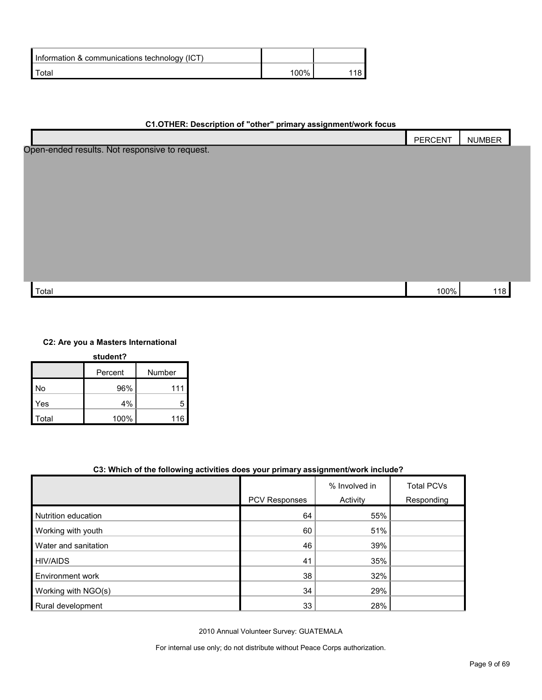| Information & communications technology (ICT) |        |  |
|-----------------------------------------------|--------|--|
| $\tau$ otal                                   | $00\%$ |  |

| C1.OTHER: Description of "other" primary assignment/work focus |  |
|----------------------------------------------------------------|--|
|----------------------------------------------------------------|--|

|                                                | PERCENT | <b>NUMBER</b> |  |
|------------------------------------------------|---------|---------------|--|
| Open-ended results. Not responsive to request. |         |               |  |
|                                                |         |               |  |
|                                                |         |               |  |
|                                                |         |               |  |
|                                                |         |               |  |
|                                                |         |               |  |
|                                                |         |               |  |
|                                                |         |               |  |
|                                                |         |               |  |
|                                                |         |               |  |
| Total                                          | 100%    | 118           |  |

**C2: Are you a Masters International** 

| student?     |         |        |  |
|--------------|---------|--------|--|
|              | Percent | Number |  |
| No           | 96%     | 111    |  |
| Yes          | 4%      | 5      |  |
| <b>Total</b> | 100%    | 116    |  |

#### **C3: Which of the following activities does your primary assignment/work include?**

|                         |               | % Involved in | <b>Total PCVs</b> |
|-------------------------|---------------|---------------|-------------------|
|                         | PCV Responses | Activity      | Responding        |
| Nutrition education     | 64            | 55%           |                   |
| Working with youth      | 60            | 51%           |                   |
| Water and sanitation    | 46            | 39%           |                   |
| <b>HIV/AIDS</b>         | 41            | 35%           |                   |
| <b>Environment work</b> | 38            | 32%           |                   |
| Working with NGO(s)     | 34            | 29%           |                   |
| Rural development       | 33            | 28%           |                   |

2010 Annual Volunteer Survey: GUATEMALA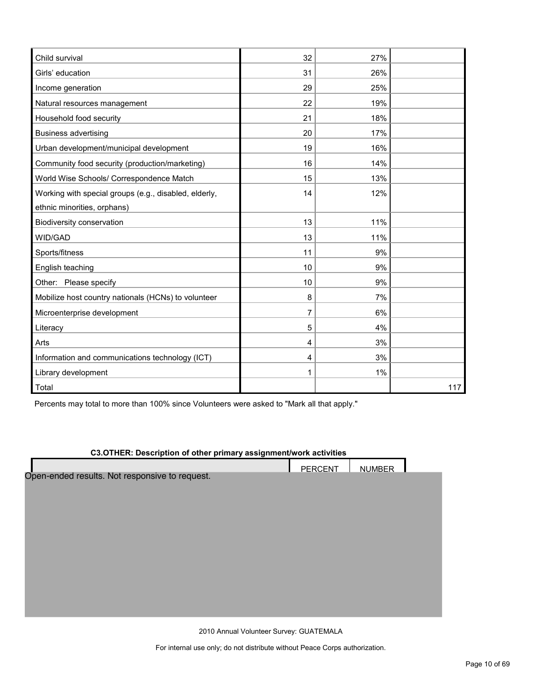| Child survival                                        | 32 | 27% |     |
|-------------------------------------------------------|----|-----|-----|
| Girls' education                                      | 31 | 26% |     |
| Income generation                                     | 29 | 25% |     |
| Natural resources management                          | 22 | 19% |     |
| Household food security                               | 21 | 18% |     |
| <b>Business advertising</b>                           | 20 | 17% |     |
| Urban development/municipal development               | 19 | 16% |     |
| Community food security (production/marketing)        | 16 | 14% |     |
| World Wise Schools/ Correspondence Match              | 15 | 13% |     |
| Working with special groups (e.g., disabled, elderly, | 14 | 12% |     |
| ethnic minorities, orphans)                           |    |     |     |
| Biodiversity conservation                             | 13 | 11% |     |
| WID/GAD                                               | 13 | 11% |     |
| Sports/fitness                                        | 11 | 9%  |     |
| English teaching                                      | 10 | 9%  |     |
| Other: Please specify                                 | 10 | 9%  |     |
| Mobilize host country nationals (HCNs) to volunteer   | 8  | 7%  |     |
| Microenterprise development                           | 7  | 6%  |     |
| Literacy                                              | 5  | 4%  |     |
| Arts                                                  | 4  | 3%  |     |
| Information and communications technology (ICT)       | 4  | 3%  |     |
| Library development                                   | 1  | 1%  |     |
| Total                                                 |    |     | 117 |

Percents may total to more than 100% since Volunteers were asked to "Mark all that apply."

#### **C3.OTHER: Description of other primary assignment/work activities**

|                                                | <b>PERCENT</b> | <b>NUMBER</b> |  |
|------------------------------------------------|----------------|---------------|--|
| Open-ended results. Not responsive to request. |                |               |  |
|                                                |                |               |  |
|                                                |                |               |  |
|                                                |                |               |  |
|                                                |                |               |  |
|                                                |                |               |  |
|                                                |                |               |  |
|                                                |                |               |  |
|                                                |                |               |  |
|                                                |                |               |  |
|                                                |                |               |  |
|                                                |                |               |  |
|                                                |                |               |  |

2010 Annual Volunteer Survey: GUATEMALA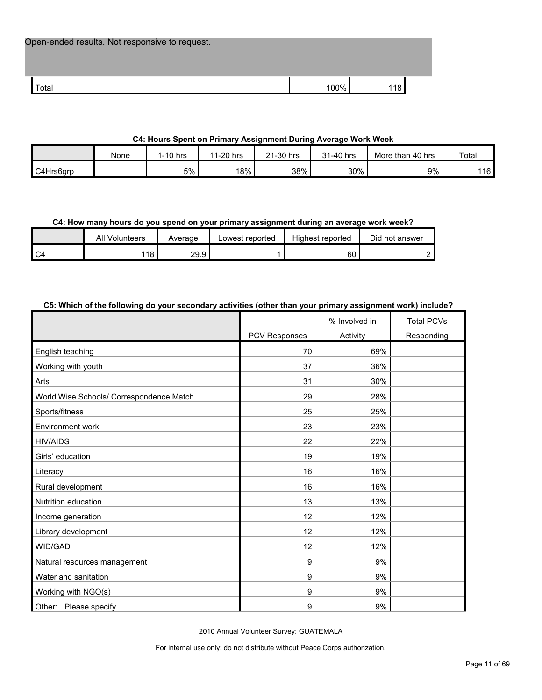| Open-ended results. Not responsive to request. |      |     |  |
|------------------------------------------------|------|-----|--|
| Total                                          | 100% | 118 |  |

#### **C4: Hours Spent on Primary Assignment During Average Work Week**

|           | None | 1-10 hrs | 11-20 hrs | $\angle$ 1-30 hrs | 1-40 hrs | More than 40 hrs | Total |
|-----------|------|----------|-----------|-------------------|----------|------------------|-------|
| C4Hrs6grp |      | 5%       | 18%       | 38%               | 30%      | 9%               | 116   |

#### **C4: How many hours do you spend on your primary assignment during an average work week?**

|      | All<br>Volunteers | Average | Lowest reported | Highest reported | Did not answer |
|------|-------------------|---------|-----------------|------------------|----------------|
| l C4 | 18                | 29.9    |                 | 60               |                |

#### **C5: Which of the following do your secondary activities (other than your primary assignment work) include?**

|                                          |               | % Involved in | <b>Total PCVs</b> |
|------------------------------------------|---------------|---------------|-------------------|
|                                          | PCV Responses | Activity      | Responding        |
| English teaching                         | 70            | 69%           |                   |
| Working with youth                       | 37            | 36%           |                   |
| Arts                                     | 31            | 30%           |                   |
| World Wise Schools/ Correspondence Match | 29            | 28%           |                   |
| Sports/fitness                           | 25            | 25%           |                   |
| Environment work                         | 23            | 23%           |                   |
| <b>HIV/AIDS</b>                          | 22            | 22%           |                   |
| Girls' education                         | 19            | 19%           |                   |
| Literacy                                 | 16            | 16%           |                   |
| Rural development                        | 16            | 16%           |                   |
| Nutrition education                      | 13            | 13%           |                   |
| Income generation                        | 12            | 12%           |                   |
| Library development                      | 12            | 12%           |                   |
| WID/GAD                                  | 12            | 12%           |                   |
| Natural resources management             | 9             | 9%            |                   |
| Water and sanitation                     | 9             | 9%            |                   |
| Working with NGO(s)                      | 9             | 9%            |                   |
| Other: Please specify                    | 9             | 9%            |                   |

2010 Annual Volunteer Survey: GUATEMALA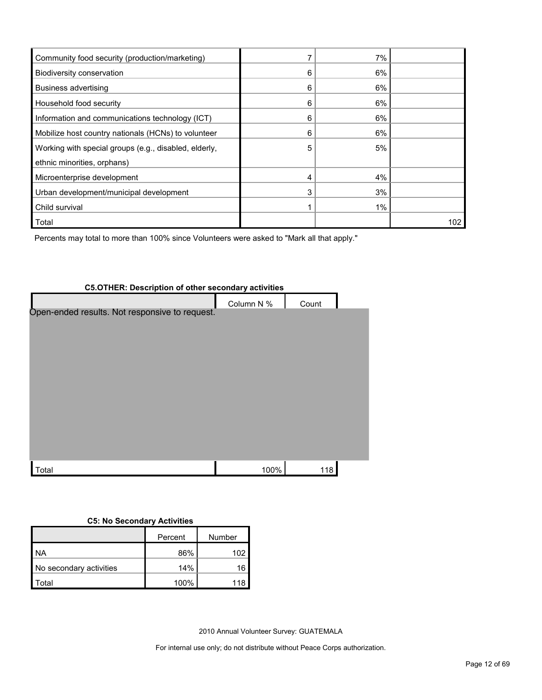| Community food security (production/marketing)        |   | 7%    |     |
|-------------------------------------------------------|---|-------|-----|
| Biodiversity conservation                             | 6 | 6%    |     |
| <b>Business advertising</b>                           | 6 | 6%    |     |
| Household food security                               | 6 | 6%    |     |
| Information and communications technology (ICT)       | 6 | 6%    |     |
| Mobilize host country nationals (HCNs) to volunteer   | 6 | 6%    |     |
| Working with special groups (e.g., disabled, elderly, | 5 | 5%    |     |
| ethnic minorities, orphans)                           |   |       |     |
| Microenterprise development                           |   | 4%    |     |
| Urban development/municipal development               | 3 | 3%    |     |
| Child survival                                        |   | $1\%$ |     |
| Total                                                 |   |       | 102 |

Percents may total to more than 100% since Volunteers were asked to "Mark all that apply."

# **C5.OTHER: Description of other secondary activities** Column N % Count Total 100% 118 Open-ended results. Not responsive to request.

#### **C5: No Secondary Activities**

|                         | Percent | Number |
|-------------------------|---------|--------|
| <b>NA</b>               | 86%     | 102    |
| No secondary activities | 14%     | 16     |
| `otal                   | 100%    | 118    |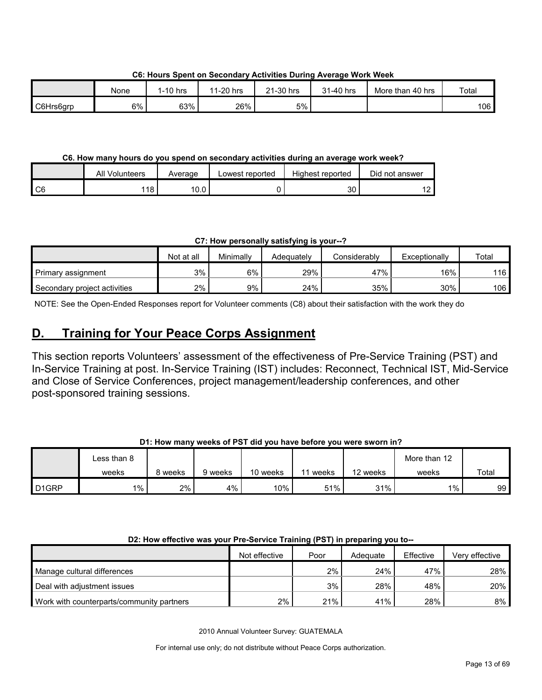None 1-10 hrs 11-20 hrs 21-30 hrs 31-40 hrs More than 40 hrs Total C6Hrs6grp 6% | 63% | 26% | 5% | | | 106

**C6: Hours Spent on Secondary Activities During Average Work Week**

#### **C6. How many hours do you spend on secondary activities during an average work week?**

|                 | All Volunteers | Average | Lowest reported | Highest reported | Did not answer |
|-----------------|----------------|---------|-----------------|------------------|----------------|
| $\overline{C6}$ | 118            | 10.0    |                 | 30               | $\sim$         |

**C7: How personally satisfying is your--?**

|                              | Not at all | Minimallv | Adeauatelv | Considerably | Exceptionally | Total |
|------------------------------|------------|-----------|------------|--------------|---------------|-------|
| Primary assignment           | 3%         | 6%        | 29%        | 47%          | $16\%$        | 116   |
| Secondary project activities | 2%         | 9%        | 24%        | 35%          | 30%           | 106   |

NOTE: See the Open-Ended Responses report for Volunteer comments (C8) about their satisfaction with the work they do

## <span id="page-12-0"></span>**D. Training for Your Peace Corps Assignment**

This section reports Volunteers' assessment of the effectiveness of Pre-Service Training (PST) and In-Service Training at post. In-Service Training (IST) includes: Reconnect, Technical IST, Mid-Service and Close of Service Conferences, project management/leadership conferences, and other post-sponsored training sessions.

#### **D1: How many weeks of PST did you have before you were sworn in?**

|                    | ∟ess than 8 |         |         |          |       |          | More than 12 |       |
|--------------------|-------------|---------|---------|----------|-------|----------|--------------|-------|
|                    | weeks       | 8 weeks | 9 weeks | 10 weeks | weeks | 12 weeks | weeks        | Total |
| D <sub>1</sub> GRP | $1\%$       | 2%      | 4%      | 10%      | 51%   | 31%      | 1%           | 99    |

#### **D2: How effective was your Pre-Service Training (PST) in preparing you to--**

|                                           | Not effective | Poor | Adequate | Effective | Verv effective |
|-------------------------------------------|---------------|------|----------|-----------|----------------|
| Manage cultural differences               |               | 2%   | 24%      | 47%       | 28%            |
| Deal with adjustment issues               |               | 3%   | 28%      | 48%       | 20%            |
| Work with counterparts/community partners | 2%            | 21%  | 41%      | 28%       | $8\%$ I        |

2010 Annual Volunteer Survey: GUATEMALA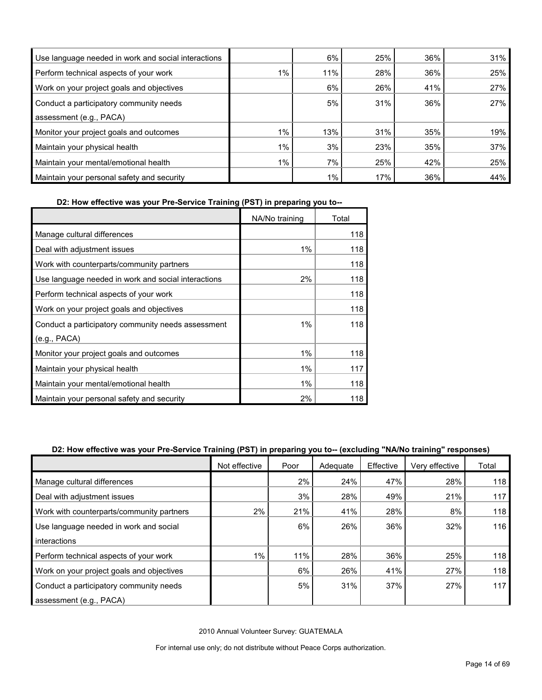| Use language needed in work and social interactions |       | 6%    | 25% | 36% | 31% |
|-----------------------------------------------------|-------|-------|-----|-----|-----|
| Perform technical aspects of your work              | $1\%$ | 11%   | 28% | 36% | 25% |
| Work on your project goals and objectives           |       | 6%    | 26% | 41% | 27% |
| Conduct a participatory community needs             |       | 5%    | 31% | 36% | 27% |
| assessment (e.g., PACA)                             |       |       |     |     |     |
| Monitor your project goals and outcomes             | $1\%$ | 13%   | 31% | 35% | 19% |
| Maintain your physical health                       | 1%    | 3%    | 23% | 35% | 37% |
| Maintain your mental/emotional health               | $1\%$ | 7%    | 25% | 42% | 25% |
| Maintain your personal safety and security          |       | $1\%$ | 17% | 36% | 44% |

**D2: How effective was your Pre-Service Training (PST) in preparing you to--**

|                                                     | NA/No training | Total |
|-----------------------------------------------------|----------------|-------|
| Manage cultural differences                         |                | 118   |
| Deal with adjustment issues                         | 1%             | 118   |
| Work with counterparts/community partners           |                | 118   |
| Use language needed in work and social interactions | 2%             | 118   |
| Perform technical aspects of your work              |                | 118   |
| Work on your project goals and objectives           |                | 118   |
| Conduct a participatory community needs assessment  | $1\%$          | 118   |
| (e.g., PACA)                                        |                |       |
| Monitor your project goals and outcomes             | 1%             | 118   |
| Maintain your physical health                       | 1%             | 117   |
| Maintain your mental/emotional health               | 1%             | 118   |
| Maintain your personal safety and security          | 2%             | 118   |

#### **D2: How effective was your Pre-Service Training (PST) in preparing you to-- (excluding "NA/No training" responses)**

|                                           | Not effective | Poor | Adequate | Effective | Very effective | Total |
|-------------------------------------------|---------------|------|----------|-----------|----------------|-------|
| Manage cultural differences               |               | 2%   | 24%      | 47%       | 28%            | 118   |
| Deal with adjustment issues               |               | 3%   | 28%      | 49%       | 21%            | 117   |
| Work with counterparts/community partners | 2%            | 21%  | 41%      | 28%       | 8%             | 118   |
| Use language needed in work and social    |               | 6%   | 26%      | 36%       | 32%            | 116   |
| interactions                              |               |      |          |           |                |       |
| Perform technical aspects of your work    | 1%            | 11%  | 28%      | 36%       | 25%            | 118   |
| Work on your project goals and objectives |               | 6%   | 26%      | 41%       | 27%            | 118   |
| Conduct a participatory community needs   |               | 5%   | 31%      | 37%       | 27%            | 117   |
| assessment (e.g., PACA)                   |               |      |          |           |                |       |

2010 Annual Volunteer Survey: GUATEMALA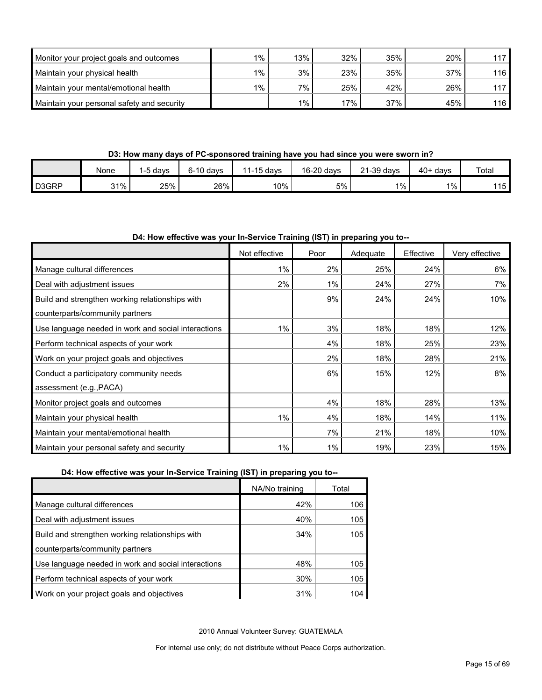| Monitor your project goals and outcomes    | $1\%$                | 13% | 32% | 35% | 20% | 117 |
|--------------------------------------------|----------------------|-----|-----|-----|-----|-----|
| Maintain your physical health              | $1\%$ 1              | 3%  | 23% | 35% | 37% | 116 |
| Maintain your mental/emotional health      | $1\%$ $\overline{)}$ | 7%  | 25% | 42% | 26% | 117 |
| Maintain your personal safety and security |                      | 1%  | 17% | 37% | 45% | 116 |

**D3: How many days of PC-sponsored training have you had since you were sworn in?**

|                    | None | `davs | $6-10$ davs | 11-15 davs | 16-20 days | 21-39 days | $40+ days$ | Total |
|--------------------|------|-------|-------------|------------|------------|------------|------------|-------|
| D <sub>3</sub> GRP | 31%  | 25%   | 26%         | 10%        | 5%         | $1\%$      | 1%         | 115   |

#### **D4: How effective was your In-Service Training (IST) in preparing you to--**

|                                                     | Not effective | Poor  | Adequate | Effective | Very effective |
|-----------------------------------------------------|---------------|-------|----------|-----------|----------------|
| Manage cultural differences                         | $1\%$         | 2%    | 25%      | 24%       | 6%             |
| Deal with adjustment issues                         | 2%            | 1%    | 24%      | 27%       | 7%             |
| Build and strengthen working relationships with     |               | 9%    | 24%      | 24%       | 10%            |
| counterparts/community partners                     |               |       |          |           |                |
| Use language needed in work and social interactions | $1\%$         | 3%    | 18%      | 18%       | 12%            |
| Perform technical aspects of your work              |               | 4%    | 18%      | 25%       | 23%            |
| Work on your project goals and objectives           |               | 2%    | 18%      | 28%       | 21%            |
| Conduct a participatory community needs             |               | 6%    | 15%      | 12%       | 8%             |
| assessment (e.g., PACA)                             |               |       |          |           |                |
| Monitor project goals and outcomes                  |               | 4%    | 18%      | 28%       | 13%            |
| Maintain your physical health                       | $1\%$         | 4%    | 18%      | 14%       | 11%            |
| Maintain your mental/emotional health               |               | 7%    | 21%      | 18%       | 10%            |
| Maintain your personal safety and security          | 1%            | $1\%$ | 19%      | 23%       | 15%            |

**D4: How effective was your In-Service Training (IST) in preparing you to--**

| NA/No training | Total |
|----------------|-------|
| 42%            | 106   |
| 40%            | 105   |
| 34%            | 105   |
|                |       |
| 48%            | 105   |
| 30%            | 105   |
| 31%            | 104   |
|                |       |

2010 Annual Volunteer Survey: GUATEMALA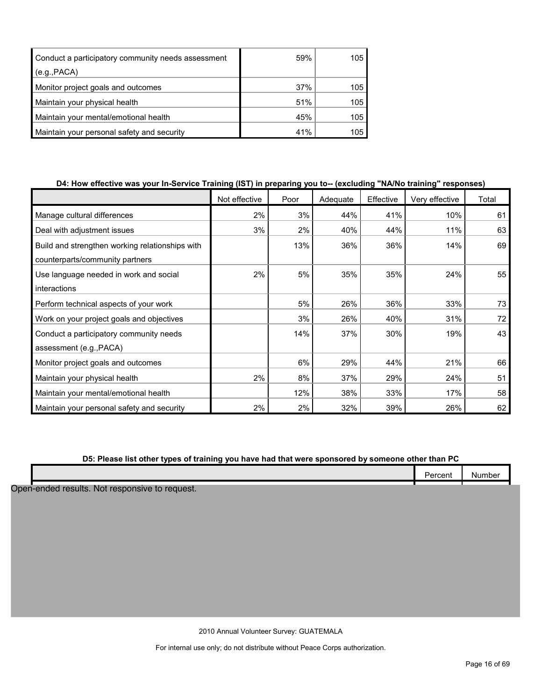| Conduct a participatory community needs assessment | 59% | 105 |
|----------------------------------------------------|-----|-----|
| (e.g., PACA)                                       |     |     |
| Monitor project goals and outcomes                 | 37% | 105 |
| Maintain your physical health                      | 51% | 105 |
| Maintain your mental/emotional health              | 45% | 105 |
| Maintain your personal safety and security         | 41% | 105 |

#### **D4: How effective was your In-Service Training (IST) in preparing you to-- (excluding "NA/No training" responses)**

|                                                 | Not effective | Poor | Adequate | Effective | Very effective | Total |
|-------------------------------------------------|---------------|------|----------|-----------|----------------|-------|
| Manage cultural differences                     | 2%            | 3%   | 44%      | 41%       | 10%            | 61    |
| Deal with adjustment issues                     | 3%            | 2%   | 40%      | 44%       | 11%            | 63    |
| Build and strengthen working relationships with |               | 13%  | 36%      | 36%       | 14%            | 69    |
| counterparts/community partners                 |               |      |          |           |                |       |
| Use language needed in work and social          | 2%            | 5%   | 35%      | 35%       | 24%            | 55    |
| interactions                                    |               |      |          |           |                |       |
| Perform technical aspects of your work          |               | 5%   | 26%      | 36%       | 33%            | 73    |
| Work on your project goals and objectives       |               | 3%   | 26%      | 40%       | 31%            | 72    |
| Conduct a participatory community needs         |               | 14%  | 37%      | 30%       | 19%            | 43    |
| assessment (e.g., PACA)                         |               |      |          |           |                |       |
| Monitor project goals and outcomes              |               | 6%   | 29%      | 44%       | 21%            | 66    |
| Maintain your physical health                   | 2%            | 8%   | 37%      | 29%       | 24%            | 51    |
| Maintain your mental/emotional health           |               | 12%  | 38%      | 33%       | 17%            | 58    |
| Maintain your personal safety and security      | 2%            | 2%   | 32%      | 39%       | 26%            | 62    |

#### **D5: Please list other types of training you have had that were sponsored by someone other than PC**

|                                                                                                                 |  |  | .<br>. . | NH<br>11 DE |
|-----------------------------------------------------------------------------------------------------------------|--|--|----------|-------------|
| the contract of the contract of the contract of the contract of the contract of the contract of the contract of |  |  |          |             |

Open-ended results. Not responsive to request.

2010 Annual Volunteer Survey: GUATEMALA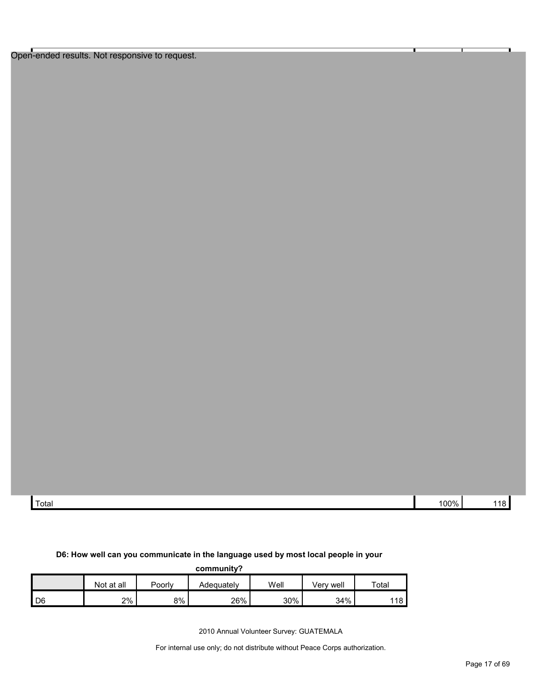Open-ended results. Not responsive to request.

| Total | 100% |  |
|-------|------|--|

#### **D6: How well can you communicate in the language used by most local people in your**

| community?      |            |        |            |      |           |       |
|-----------------|------------|--------|------------|------|-----------|-------|
|                 | Not at all | Poorlv | Adequately | Well | Verv well | Total |
| LD <sub>6</sub> | 2%         | 8%     | 26%        | 30%  | 34%       | 118   |

2010 Annual Volunteer Survey: GUATEMALA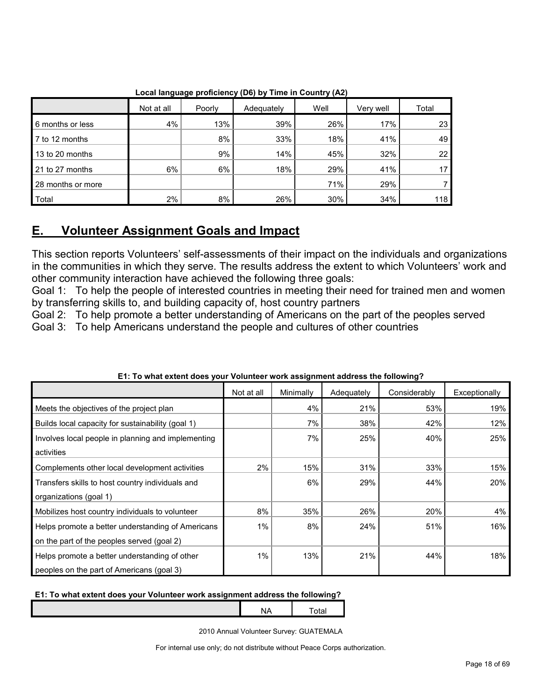|                   | Not at all | Poorly | Adequately | Well | Very well | Total |
|-------------------|------------|--------|------------|------|-----------|-------|
| 6 months or less  | 4%         | 13%    | 39%        | 26%  | 17%       | 23    |
| 7 to 12 months    |            | 8%     | 33%        | 18%  | 41%       | 49    |
| 13 to 20 months   |            | 9%     | 14%        | 45%  | 32%       | 22    |
| 21 to 27 months   | 6%         | 6%     | 18%        | 29%  | 41%       | 17    |
| 28 months or more |            |        |            | 71%  | 29%       |       |
| Total             | 2%         | 8%     | 26%        | 30%  | 34%       | 118   |

**Local language proficiency (D6) by Time in Country (A2)**

## <span id="page-17-0"></span>**E. Volunteer Assignment Goals and Impact**

This section reports Volunteers' self-assessments of their impact on the individuals and organizations in the communities in which they serve. The results address the extent to which Volunteers' work and other community interaction have achieved the following three goals:

Goal 1: To help the people of interested countries in meeting their need for trained men and women by transferring skills to, and building capacity of, host country partners

Goal 2: To help promote a better understanding of Americans on the part of the peoples served

Goal 3: To help Americans understand the people and cultures of other countries

|                                                    | Not at all | Minimally | Adequately | Considerably | Exceptionally |
|----------------------------------------------------|------------|-----------|------------|--------------|---------------|
| Meets the objectives of the project plan           |            | 4%        | 21%        | 53%          | 19%           |
| Builds local capacity for sustainability (goal 1)  |            | 7%        | 38%        | 42%          | 12%           |
| Involves local people in planning and implementing |            | 7%        | 25%        | 40%          | 25%           |
| activities                                         |            |           |            |              |               |
| Complements other local development activities     | 2%         | 15%       | 31%        | 33%          | 15%           |
| Transfers skills to host country individuals and   |            | 6%        | 29%        | 44%          | 20%           |
| organizations (goal 1)                             |            |           |            |              |               |
| Mobilizes host country individuals to volunteer    | 8%         | 35%       | 26%        | 20%          | 4%            |
| Helps promote a better understanding of Americans  | $1\%$      | 8%        | 24%        | 51%          | 16%           |
| on the part of the peoples served (goal 2)         |            |           |            |              |               |
| Helps promote a better understanding of other      | 1%         | 13%       | 21%        | 44%          | 18%           |
| peoples on the part of Americans (goal 3)          |            |           |            |              |               |

#### **E1: To what extent does your Volunteer work assignment address the following?**

#### **E1: To what extent does your Volunteer work assignment address the following?**

NA | Total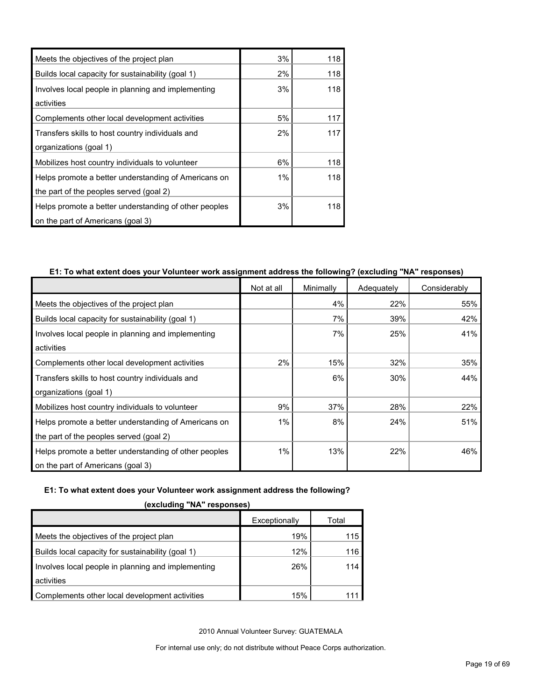| Meets the objectives of the project plan              | 3%    | 118 |
|-------------------------------------------------------|-------|-----|
| Builds local capacity for sustainability (goal 1)     | 2%    | 118 |
| Involves local people in planning and implementing    | 3%    | 118 |
| activities                                            |       |     |
| Complements other local development activities        | 5%    | 117 |
| Transfers skills to host country individuals and      | 2%    | 117 |
| organizations (goal 1)                                |       |     |
| Mobilizes host country individuals to volunteer       | 6%    | 118 |
| Helps promote a better understanding of Americans on  | $1\%$ | 118 |
| the part of the peoples served (goal 2)               |       |     |
| Helps promote a better understanding of other peoples | 3%    | 118 |
| on the part of Americans (goal 3)                     |       |     |

#### **E1: To what extent does your Volunteer work assignment address the following? (excluding "NA" responses)**

|                                                       | Not at all | Minimally | Adequately | Considerably |
|-------------------------------------------------------|------------|-----------|------------|--------------|
| Meets the objectives of the project plan              |            | 4%        | 22%        | 55%          |
| Builds local capacity for sustainability (goal 1)     |            | 7%        | 39%        | 42%          |
| Involves local people in planning and implementing    |            | 7%        | 25%        | 41%          |
| activities                                            |            |           |            |              |
| Complements other local development activities        | 2%         | 15%       | 32%        | 35%          |
| Transfers skills to host country individuals and      |            | 6%        | 30%        | 44%          |
| organizations (goal 1)                                |            |           |            |              |
| Mobilizes host country individuals to volunteer       | 9%         | 37%       | 28%        | 22%          |
| Helps promote a better understanding of Americans on  | 1%         | 8%        | 24%        | 51%          |
| the part of the peoples served (goal 2)               |            |           |            |              |
| Helps promote a better understanding of other peoples | 1%         | 13%       | 22%        | 46%          |
| on the part of Americans (goal 3)                     |            |           |            |              |

#### **E1: To what extent does your Volunteer work assignment address the following?**

|                                                    | Exceptionally | Total |  |  |  |
|----------------------------------------------------|---------------|-------|--|--|--|
| Meets the objectives of the project plan           | 19%           | 115   |  |  |  |
| Builds local capacity for sustainability (goal 1)  | 12%           | 116.  |  |  |  |
| Involves local people in planning and implementing | 26%           | 114   |  |  |  |
| activities                                         |               |       |  |  |  |
| Complements other local development activities     | 15%           |       |  |  |  |

**(excluding "NA" responses)**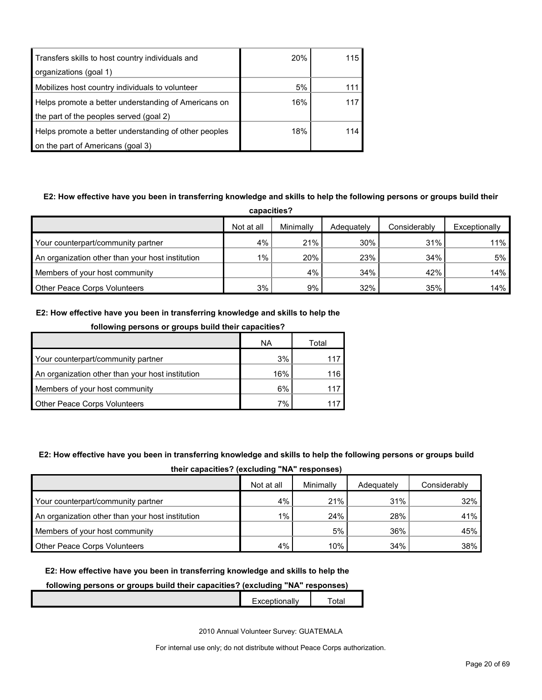| Transfers skills to host country individuals and      | <b>20%</b> | 115 |
|-------------------------------------------------------|------------|-----|
| organizations (goal 1)                                |            |     |
| Mobilizes host country individuals to volunteer       | 5%         |     |
| Helps promote a better understanding of Americans on  | 16%        | 117 |
| the part of the peoples served (goal 2)               |            |     |
| Helps promote a better understanding of other peoples | 18%        | 114 |
| on the part of Americans (goal 3)                     |            |     |

#### **E2: How effective have you been in transferring knowledge and skills to help the following persons or groups build their**

| capacities?                                      |            |           |            |              |               |  |
|--------------------------------------------------|------------|-----------|------------|--------------|---------------|--|
|                                                  | Not at all | Minimally | Adequately | Considerably | Exceptionally |  |
| Your counterpart/community partner               | 4%         | 21%       | 30%        | 31%          | 11%           |  |
| An organization other than your host institution | $1\%$ .    | 20%       | 23%        | 34%          | 5%            |  |
| Members of your host community                   |            | 4%        | 34%        | 42%          | 14%           |  |
| <b>Other Peace Corps Volunteers</b>              | 3%         | 9%        | 32%        | 35%          | 14%           |  |

#### **E2: How effective have you been in transferring knowledge and skills to help the**

| following persons or groups build their capacities? |     |       |  |
|-----------------------------------------------------|-----|-------|--|
|                                                     | ΝA  | Total |  |
| Your counterpart/community partner                  | 3%  |       |  |
| An organization other than your host institution    | 16% | 116.  |  |
| Members of your host community                      | 6%  | 117   |  |
| Other Peace Corps Volunteers                        | 7%  |       |  |

#### **E2: How effective have you been in transferring knowledge and skills to help the following persons or groups build their capacities? (excluding "NA" responses)**

|                                                  | Not at all | Minimally | Adequately | Considerably |
|--------------------------------------------------|------------|-----------|------------|--------------|
| Your counterpart/community partner               | 4%         | 21%       | 31%        | $32\%$       |
| An organization other than your host institution | 1%         | 24%       | 28%        | 41%          |
| Members of your host community                   |            | 5%        | 36%        | 45% l        |
| <b>Other Peace Corps Volunteers</b>              | 4%         | 10%       | 34%        | 38%          |

#### **E2: How effective have you been in transferring knowledge and skills to help the**

#### **following persons or groups build their capacities? (excluding "NA" responses)**

2010 Annual Volunteer Survey: GUATEMALA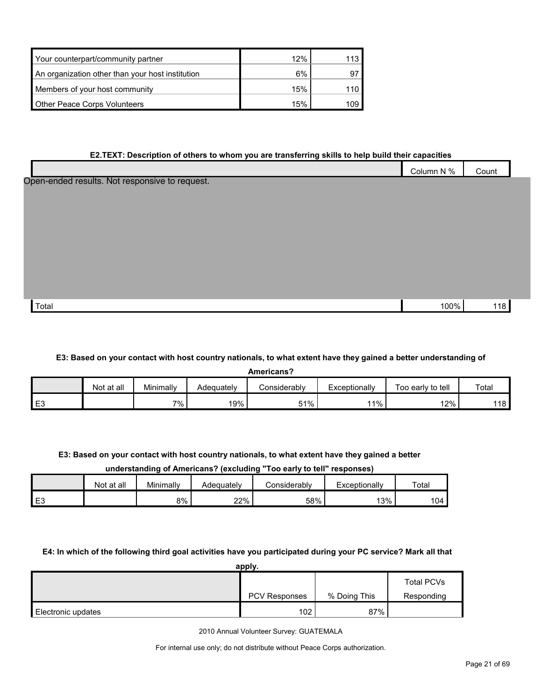| Your counterpart/community partner               | 12% | 113. |
|--------------------------------------------------|-----|------|
| An organization other than your host institution | 6%  | 97   |
| Members of your host community                   | 15% | 110. |
| Other Peace Corps Volunteers                     | 15% | 109  |

#### **E2.TEXT: Description of others to whom you are transferring skills to help build their capacities**

|                                                | Column N % | Count |
|------------------------------------------------|------------|-------|
| Open-ended results. Not responsive to request. |            |       |
|                                                |            |       |
|                                                |            |       |
|                                                |            |       |
|                                                |            |       |
|                                                |            |       |
|                                                |            |       |
| Total                                          | 100%       | 118   |

#### **E3: Based on your contact with host country nationals, to what extent have they gained a better understanding of**

| <b>Americans</b> |            |           |            |              |               |                   |       |
|------------------|------------|-----------|------------|--------------|---------------|-------------------|-------|
|                  | Not at all | Minimally | Adequately | Considerablv | Exceptionally | Too early to tell | Total |
| E3               |            | 7%        | 19%        | 51%          | l 1%          | 12%               | 118 l |

#### **E3: Based on your contact with host country nationals, to what extent have they gained a better**

#### **understanding of Americans? (excluding "Too early to tell" responses)**

|                      | Not at all | Minimally | Adeauatelv | considerablv | Exceptionally | Total |
|----------------------|------------|-----------|------------|--------------|---------------|-------|
| $\blacksquare$<br>∼∟ |            | 8%        | 22%        | 58%          | 13%           | 104   |

#### **E4: In which of the following third goal activities have you participated during your PC service? Mark all that**

| apply.             |                  |              |                   |  |  |
|--------------------|------------------|--------------|-------------------|--|--|
|                    |                  |              | <b>Total PCVs</b> |  |  |
|                    | PCV Responses    | % Doing This | Responding        |  |  |
| Electronic updates | 102 <sub>1</sub> | 87%          |                   |  |  |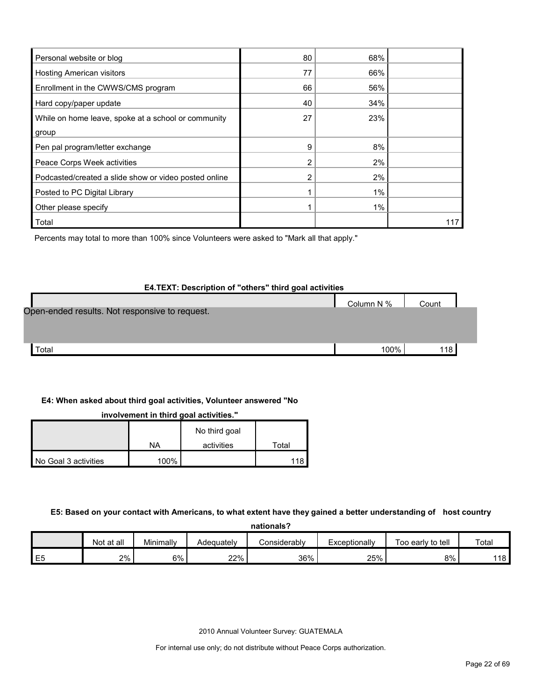| Personal website or blog                              | 80 | 68% |     |
|-------------------------------------------------------|----|-----|-----|
| <b>Hosting American visitors</b>                      | 77 | 66% |     |
| Enrollment in the CWWS/CMS program                    | 66 | 56% |     |
| Hard copy/paper update                                | 40 | 34% |     |
| While on home leave, spoke at a school or community   | 27 | 23% |     |
| group                                                 |    |     |     |
| Pen pal program/letter exchange                       | 9  | 8%  |     |
| Peace Corps Week activities                           | 2  | 2%  |     |
| Podcasted/created a slide show or video posted online | 2  | 2%  |     |
| Posted to PC Digital Library                          |    | 1%  |     |
| Other please specify                                  |    | 1%  |     |
| Total                                                 |    |     | 117 |

Percents may total to more than 100% since Volunteers were asked to "Mark all that apply."

#### **E4.TEXT: Description of "others" third goal activities**

|                                                | Column N % | Count |  |
|------------------------------------------------|------------|-------|--|
| Open-ended results. Not responsive to request. |            |       |  |
|                                                |            |       |  |
| Total                                          | 100%       | 118   |  |

#### **E4: When asked about third goal activities, Volunteer answered "No**

**involvement in third goal activities."** 

|                      |      | No third goal |       |
|----------------------|------|---------------|-------|
|                      | ΝA   | activities    | Total |
| No Goal 3 activities | 100% |               | 112   |

#### **E5: Based on your contact with Americans, to what extent have they gained a better understanding of host country**

**nationals?**

|         | Not<br>∶at all | Minimally | Adequatelv | <i></i> onsiderablv∴ | Exceptionally | Too early to tell | Total |
|---------|----------------|-----------|------------|----------------------|---------------|-------------------|-------|
| ᄂ<br>∟∿ | 2%             | 6%        | 22%        | 36%                  | 25%           | 8%                | 118 I |

2010 Annual Volunteer Survey: GUATEMALA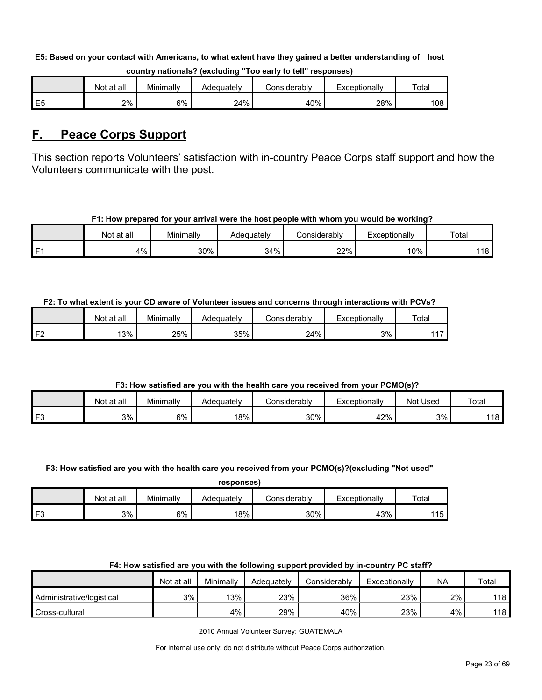#### **E5: Based on your contact with Americans, to what extent have they gained a better understanding of host**

|    | Not at all | Minimally | Adeauatelv | Considerabl∨. | Exceptionally | Totai |
|----|------------|-----------|------------|---------------|---------------|-------|
| E5 | 2%         | 6%        | 24%        | 40%           | 28%           | 108   |

#### **country nationals? (excluding "Too early to tell" responses)**

## <span id="page-22-0"></span>**F. Peace Corps Support**

This section reports Volunteers' satisfaction with in-country Peace Corps staff support and how the Volunteers communicate with the post.

#### **F1: How prepared for your arrival were the host people with whom you would be working?**

|      | Not at all | Minimally | Adequatelv | Considerably | Exceptionally | Total |
|------|------------|-----------|------------|--------------|---------------|-------|
| l F1 | 4%         | 30%       | 34%        | 22%          | 10%           | 118   |

#### **F2: To what extent is your CD aware of Volunteer issues and concerns through interactions with PCVs?**

|    | Not at all | Minimally | Adequatelv | こonsiderably | Exceptionally | Total |
|----|------------|-----------|------------|--------------|---------------|-------|
| 旧り | 13%        | 25%       | 35%        | 24%          | 3%            | 447   |

#### **F3: How satisfied are you with the health care you received from your PCMO(s)?**

|    | Not at all | Minimally | Adequately | こonsiderably | Exceptionally | Not l'<br>∶Used | Total |
|----|------------|-----------|------------|--------------|---------------|-----------------|-------|
| E2 | 3%         | 6%        | 18%        | 30%          | 42%           | 3%              | 118   |

#### **F3: How satisfied are you with the health care you received from your PCMO(s)?(excluding "Not used"**

| responses) |
|------------|
|------------|

|       | Not at all | Minimally | Adeauatelv | Considerablv | Exceptionally | Total      |
|-------|------------|-----------|------------|--------------|---------------|------------|
| $  -$ | 3%         | 6%        | 18%        | 30%          | 43%           | 115<br>ں ا |

#### **F4: How satisfied are you with the following support provided by in-country PC staff?**

|                           | Not at all | Minimallv | Adequately | Considerablv | Exceptionally | <b>NA</b> | Total |
|---------------------------|------------|-----------|------------|--------------|---------------|-----------|-------|
| Administrative/logistical | 3%         | 13%       | 23%        | 36%          | 23%           | 2%        | 118   |
| Cross-cultural            |            | 4%        | 29%        | 40%          | 23%           | 4%        | 118   |

2010 Annual Volunteer Survey: GUATEMALA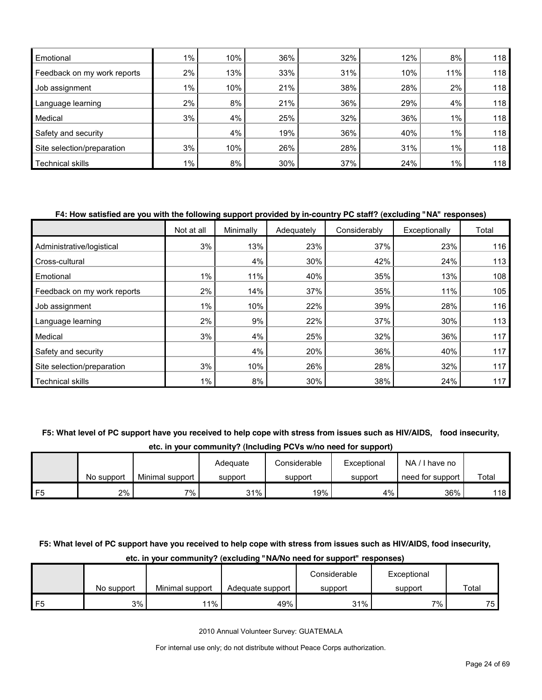| Emotional                   | $1\%$ . | 10% | 36% | 32% | 12% | 8%    | 118 |
|-----------------------------|---------|-----|-----|-----|-----|-------|-----|
| Feedback on my work reports | 2%      | 13% | 33% | 31% | 10% | 11%   | 118 |
| Job assignment              | $1\%$   | 10% | 21% | 38% | 28% | 2%    | 118 |
| Language learning           | 2%      | 8%  | 21% | 36% | 29% | 4%    | 118 |
| Medical                     | 3%      | 4%  | 25% | 32% | 36% | 1%    | 118 |
| Safety and security         |         | 4%  | 19% | 36% | 40% | $1\%$ | 118 |
| Site selection/preparation  | 3%      | 10% | 26% | 28% | 31% | $1\%$ | 118 |
| Technical skills            | 1%      | 8%  | 30% | 37% | 24% | 1%    | 118 |

#### **F4: How satisfied are you with the following support provided by in-country PC staff? (excluding "NA" responses)**

|                             | Not at all | Minimally | Adequately | Considerably | Exceptionally | Total |
|-----------------------------|------------|-----------|------------|--------------|---------------|-------|
| Administrative/logistical   | 3%         | 13%       | 23%        | 37%          | 23%           | 116   |
| Cross-cultural              |            | 4%        | 30%        | 42%          | 24%           | 113   |
| Emotional                   | 1%         | 11%       | 40%        | 35%          | 13%           | 108   |
| Feedback on my work reports | 2%         | 14%       | 37%        | 35%          | 11%           | 105   |
| Job assignment              | $1\%$      | 10%       | 22%        | 39%          | 28%           | 116   |
| Language learning           | 2%         | 9%        | 22%        | 37%          | 30%           | 113   |
| Medical                     | 3%         | 4%        | 25%        | 32%          | 36%           | 117   |
| Safety and security         |            | 4%        | 20%        | 36%          | 40%           | 117   |
| Site selection/preparation  | 3%         | 10%       | 26%        | 28%          | 32%           | 117   |
| <b>Technical skills</b>     | 1%         | 8%        | 30%        | 38%          | 24%           | 117   |

#### **F5: What level of PC support have you received to help cope with stress from issues such as HIV/AIDS, food insecurity,**

**etc. in your community? (Including PCVs w/no need for support)**

|    |            |                 | Adequate | Considerable | Exceptional | NA<br>I have no  |       |
|----|------------|-----------------|----------|--------------|-------------|------------------|-------|
|    | No support | Minimal support | support  | support      | support     | need for support | Total |
| F5 | 2%         | 7%              | 31%      | 19%          | 4%          | 36%              | 118   |

#### **F5: What level of PC support have you received to help cope with stress from issues such as HIV/AIDS, food insecurity,**

#### No support | Minimal support | Adequate support Considerable support **Exceptional** support **Total** F5 3% | 11% | 49% | 31% | 7% | 75

**etc. in your community? (excluding "NA/No need for support" responses)**

2010 Annual Volunteer Survey: GUATEMALA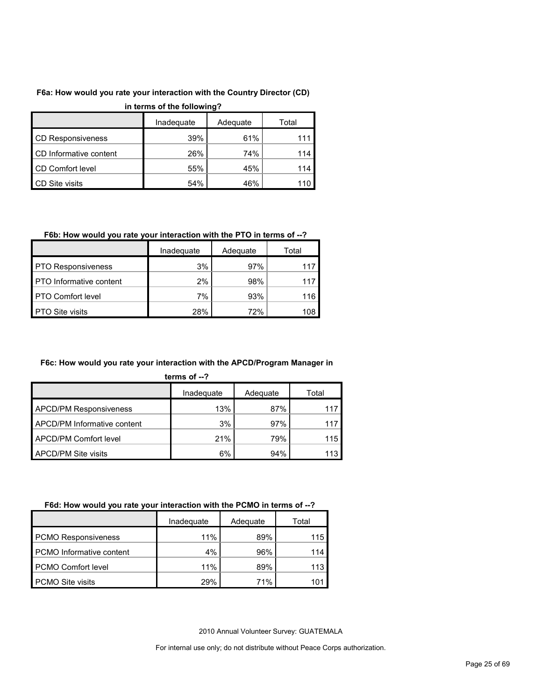#### **F6a: How would you rate your interaction with the Country Director (CD)**

| in terms of the following? |            |          |       |  |  |  |  |  |
|----------------------------|------------|----------|-------|--|--|--|--|--|
|                            | Inadequate | Adequate | Total |  |  |  |  |  |
| <b>CD Responsiveness</b>   | 39%        | 61%      | 111   |  |  |  |  |  |
| CD Informative content     | 26%        | 74%      | 114   |  |  |  |  |  |
| CD Comfort level           | 55%        | 45%      | 114   |  |  |  |  |  |
| <b>CD Site visits</b>      | 54%        | 46%      | 110   |  |  |  |  |  |

#### **in terms of the following?**

#### **F6b: How would you rate your interaction with the PTO in terms of --?**

|                                | Inadequate | Adequate | Total |
|--------------------------------|------------|----------|-------|
| <b>PTO Responsiveness</b>      | 3%         | 97%      |       |
| <b>PTO</b> Informative content | $2\%$      | 98%      |       |
| <b>PTO Comfort level</b>       | 7%         | 93%      | 116   |
| <b>PTO Site visits</b>         | 28%        | 72%      | 108   |

#### **F6c: How would you rate your interaction with the APCD/Program Manager in**

|  | ĸ<br>п<br>ш |  |
|--|-------------|--|
|  |             |  |
|  |             |  |

|                               | Inadequate | Adequate | Total |
|-------------------------------|------------|----------|-------|
| <b>APCD/PM Responsiveness</b> | 13%        | 87%      | 117   |
| APCD/PM Informative content   | 3%         | 97%      | 117   |
| APCD/PM Comfort level         | 21%        | 79%      | 115   |
| <b>APCD/PM Site visits</b>    | 6%         | 94%      | 113   |

#### **F6d: How would you rate your interaction with the PCMO in terms of --?**

|                            | Inadeguate | Adequate | Total |
|----------------------------|------------|----------|-------|
| <b>PCMO Responsiveness</b> | 11%        | 89%      | 115   |
| PCMO Informative content   | 4%         | 96%      | 114   |
| <b>PCMO Comfort level</b>  | 11%        | 89%      | 113   |
| <b>PCMO Site visits</b>    | 29%        | 71%      |       |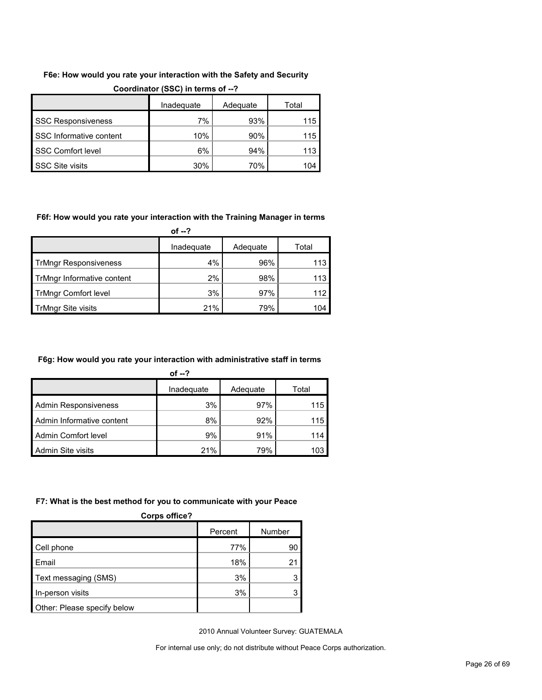#### **F6e: How would you rate your interaction with the Safety and Security**

|                           | Inadequate | Adequate | Total |
|---------------------------|------------|----------|-------|
| <b>SSC Responsiveness</b> | 7%         | 93%      | 115   |
| SSC Informative content   | 10%        | 90%      | 115   |
| <b>SSC Comfort level</b>  | 6%         | 94%      | 113   |
| <b>SSC Site visits</b>    | 30%        | 70%      | 104   |

#### **Coordinator (SSC) in terms of --?**

#### **F6f: How would you rate your interaction with the Training Manager in terms**

**of --?**

|                              | Inadequate | Adequate | Total |
|------------------------------|------------|----------|-------|
| <b>TrMngr Responsiveness</b> | 4%         | 96%      | 113   |
| TrMngr Informative content   | $2\%$      | 98%      | 113   |
| <b>TrMngr Comfort level</b>  | 3%         | 97%      | 112   |
| TrMngr Site visits           | 21%        | 79%      | 104   |

#### **F6g: How would you rate your interaction with administrative staff in terms**

| of $-2$                   |            |          |       |  |  |
|---------------------------|------------|----------|-------|--|--|
|                           | Inadequate | Adequate | Total |  |  |
| Admin Responsiveness      | 3%         | 97%      | 115   |  |  |
| Admin Informative content | 8%         | 92%      | 115   |  |  |
| Admin Comfort level       | 9%         | 91%      | 114   |  |  |
| Admin Site visits         | 21%        | 79%      | 103   |  |  |

#### **F7: What is the best method for you to communicate with your Peace**

| <b>Corps office?</b>        |         |        |  |  |  |  |
|-----------------------------|---------|--------|--|--|--|--|
|                             | Percent | Number |  |  |  |  |
| Cell phone                  | 77%     | 90     |  |  |  |  |
| Email                       | 18%     |        |  |  |  |  |
| Text messaging (SMS)        | 3%      |        |  |  |  |  |
| In-person visits            | 3%      |        |  |  |  |  |
| Other: Please specify below |         |        |  |  |  |  |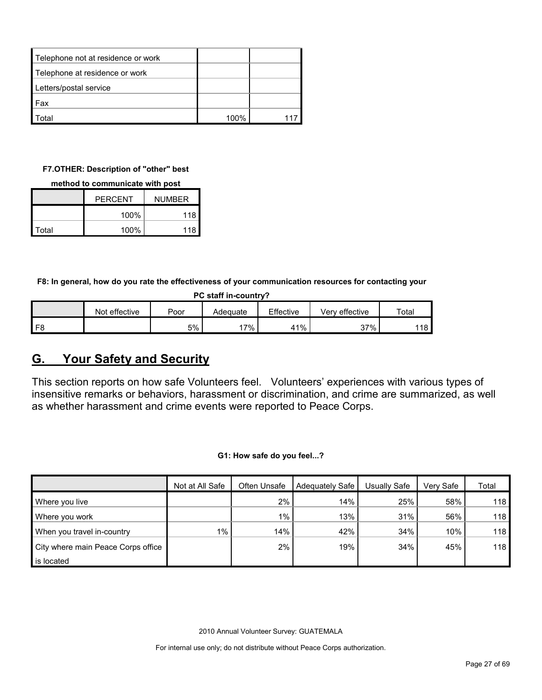| Telephone not at residence or work |      |  |
|------------------------------------|------|--|
| Telephone at residence or work     |      |  |
| Letters/postal service             |      |  |
| <b>Fax</b>                         |      |  |
| ็กtal                              | 100% |  |

#### **F7.OTHER: Description of "other" best**

#### **method to communicate with post**

|       | <b>PERCENT</b> | <b>NUMBER</b> |  |
|-------|----------------|---------------|--|
|       | 100%<br>118    |               |  |
| Total | 100%           | 118           |  |

**F8: In general, how do you rate the effectiveness of your communication resources for contacting your** 

| PC staff in-country? |               |      |          |           |                |             |  |
|----------------------|---------------|------|----------|-----------|----------------|-------------|--|
|                      | Not effective | Poor | Adeguate | Effective | Verv effective | $\tau$ otal |  |
| F8                   |               | 5%   | 17%      | 41%       | 37%            | 118 l       |  |

## <span id="page-26-0"></span>**G. Your Safety and Security**

This section reports on how safe Volunteers feel. Volunteers' experiences with various types of insensitive remarks or behaviors, harassment or discrimination, and crime are summarized, as well as whether harassment and crime events were reported to Peace Corps.

**G1: How safe do you feel...?**

|                                    | Not at All Safe | Often Unsafe | Adequately Safe | Usually Safe | Verv Safe | Total |
|------------------------------------|-----------------|--------------|-----------------|--------------|-----------|-------|
| Where you live                     |                 | 2%           | 14%             | 25%          | 58%       | 118   |
| Where you work                     |                 | $1\%$        | 13%             | 31%          | 56%       | 118   |
| When you travel in-country         | $1\%$           | 14%          | 42%             | 34%          | 10%       | 118   |
| City where main Peace Corps office |                 | 2%           | 19%             | 34%          | 45%       | 118   |
| is located                         |                 |              |                 |              |           |       |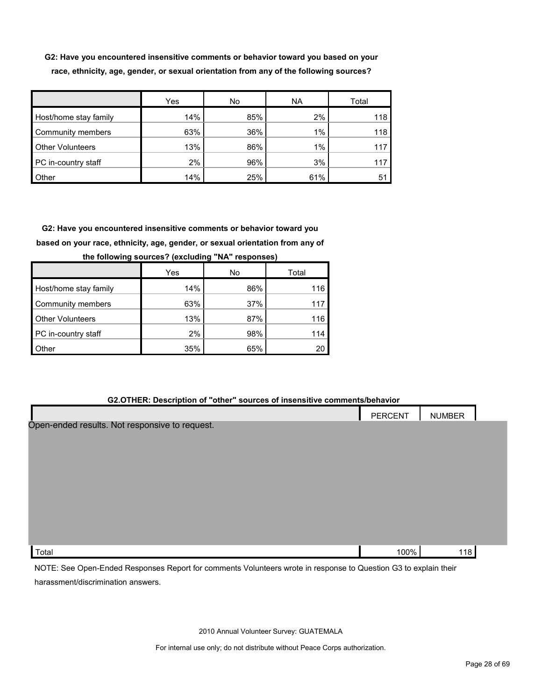**G2: Have you encountered insensitive comments or behavior toward you based on your race, ethnicity, age, gender, or sexual orientation from any of the following sources?**

|                         | Yes | No  | <b>NA</b> | Total |
|-------------------------|-----|-----|-----------|-------|
| Host/home stay family   | 14% | 85% | 2%        | 118   |
| Community members       | 63% | 36% | $1\%$     | 118   |
| <b>Other Volunteers</b> | 13% | 86% | 1%        | 11.   |
| PC in-country staff     | 2%  | 96% | 3%        | 11    |
| Other                   | 14% | 25% | 61%       | 51    |

**G2: Have you encountered insensitive comments or behavior toward you based on your race, ethnicity, age, gender, or sexual orientation from any of** 

|                         | Yes | No  | Total |
|-------------------------|-----|-----|-------|
| Host/home stay family   | 14% | 86% | 116   |
| Community members       | 63% | 37% | 117   |
| <b>Other Volunteers</b> | 13% | 87% | 116   |
| PC in-country staff     | 2%  | 98% | 114   |
| <b>Other</b>            | 35% | 65% | 20    |

**the following sources? (excluding "NA" responses)**

#### **G2.OTHER: Description of "other" sources of insensitive comments/behavior**

|                                                | PERCENT | <b>NUMBER</b> |  |
|------------------------------------------------|---------|---------------|--|
| Open-ended results. Not responsive to request. |         |               |  |
|                                                |         |               |  |
|                                                |         |               |  |
|                                                |         |               |  |
|                                                |         |               |  |
|                                                |         |               |  |
|                                                |         |               |  |
|                                                |         |               |  |
| Total                                          | 100%    | 118           |  |

NOTE: See Open-Ended Responses Report for comments Volunteers wrote in response to Question G3 to explain their harassment/discrimination answers.

2010 Annual Volunteer Survey: GUATEMALA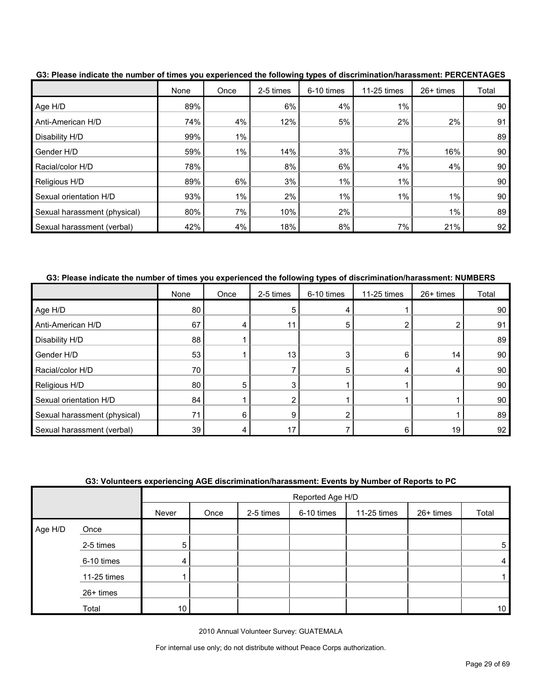|                              | None | Once  | 2-5 times | 6-10 times | 11-25 times | 26+ times | Total |
|------------------------------|------|-------|-----------|------------|-------------|-----------|-------|
| Age H/D                      | 89%  |       | 6%        | 4%         | 1%          |           | 90    |
| Anti-American H/D            | 74%  | 4%    | 12%       | 5%         | 2%          | 2%        | 91    |
| Disability H/D               | 99%  | $1\%$ |           |            |             |           | 89    |
| Gender H/D                   | 59%  | 1%    | 14%       | 3%         | 7%          | 16%       | 90    |
| Racial/color H/D             | 78%  |       | 8%        | 6%         | 4%          | 4%        | 90    |
| Religious H/D                | 89%  | 6%    | 3%        | 1%         | $1\%$       |           | 90    |
| Sexual orientation H/D       | 93%  | $1\%$ | 2%        | 1%         | 1%          | $1\%$     | 90    |
| Sexual harassment (physical) | 80%  | 7%    | 10%       | 2%         |             | $1\%$     | 89    |
| Sexual harassment (verbal)   | 42%  | 4%    | 18%       | 8%         | 7%          | 21%       | 92    |

**G3: Please indicate the number of times you experienced the following types of discrimination/harassment: PERCENTAGES**

**G3: Please indicate the number of times you experienced the following types of discrimination/harassment: NUMBERS**

|                              | None | Once | 2-5 times | 6-10 times | 11-25 times | 26+ times | Total |
|------------------------------|------|------|-----------|------------|-------------|-----------|-------|
| Age H/D                      | 80   |      | 5         |            |             |           | 90    |
| Anti-American H/D            | 67   |      | 11        | 5          |             |           | 91    |
| Disability H/D               | 88   |      |           |            |             |           | 89    |
| Gender H/D                   | 53   |      | 13        | 3          | 6           | 14        | 90    |
| Racial/color H/D             | 70   |      |           | 5          | 4           | 4         | 90    |
| Religious H/D                | 80   | 5    |           |            |             |           | 90    |
| Sexual orientation H/D       | 84   |      |           |            |             |           | 90    |
| Sexual harassment (physical) | 71   | 6    | 9         |            |             |           | 89    |
| Sexual harassment (verbal)   | 39   |      | 17        |            | 6           | 19        | 92    |

| G3: Volunteers experiencing AGE discrimination/harassment: Events by Number of Reports to PC |  |
|----------------------------------------------------------------------------------------------|--|
|                                                                                              |  |

|         |             |       | Reported Age H/D |           |            |             |           |                 |  |  |
|---------|-------------|-------|------------------|-----------|------------|-------------|-----------|-----------------|--|--|
|         |             | Never | Once             | 2-5 times | 6-10 times | 11-25 times | 26+ times | Total           |  |  |
| Age H/D | Once        |       |                  |           |            |             |           |                 |  |  |
|         | 2-5 times   | 5     |                  |           |            |             |           | 5               |  |  |
|         | 6-10 times  | 4     |                  |           |            |             |           | 4               |  |  |
|         | 11-25 times |       |                  |           |            |             |           |                 |  |  |
|         | 26+ times   |       |                  |           |            |             |           |                 |  |  |
|         | Total       | 10    |                  |           |            |             |           | 10 <sup>°</sup> |  |  |

2010 Annual Volunteer Survey: GUATEMALA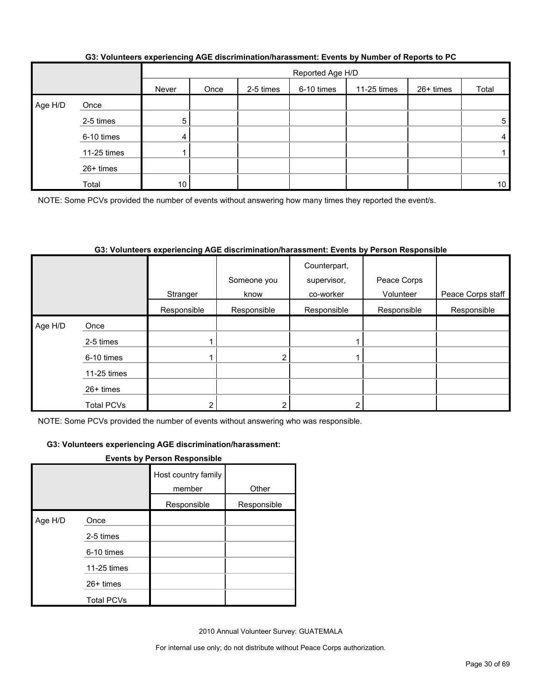|         |             |       | Reported Age H/D |           |            |             |           |                 |  |  |
|---------|-------------|-------|------------------|-----------|------------|-------------|-----------|-----------------|--|--|
|         |             | Never | Once             | 2-5 times | 6-10 times | 11-25 times | 26+ times | Total           |  |  |
| Age H/D | Once        |       |                  |           |            |             |           |                 |  |  |
|         | 2-5 times   | 5     |                  |           |            |             |           | 5               |  |  |
|         | 6-10 times  | 4     |                  |           |            |             |           | 4               |  |  |
|         | 11-25 times |       |                  |           |            |             |           |                 |  |  |
|         | 26+ times   |       |                  |           |            |             |           |                 |  |  |
|         | Total       | 10    |                  |           |            |             |           | 10 <sup>1</sup> |  |  |

#### **G3: Volunteers experiencing AGE discrimination/harassment: Events by Number of Reports to PC**

NOTE: Some PCVs provided the number of events without answering how many times they reported the event/s.

#### **G3: Volunteers experiencing AGE discrimination/harassment: Events by Person Responsible**

|         |                   | Stranger    | Someone you<br>know | Counterpart,<br>supervisor,<br>co-worker | Peace Corps<br>Volunteer | Peace Corps staff |
|---------|-------------------|-------------|---------------------|------------------------------------------|--------------------------|-------------------|
|         |                   | Responsible | Responsible         | Responsible                              | Responsible              | Responsible       |
| Age H/D | Once              |             |                     |                                          |                          |                   |
|         | 2-5 times         |             |                     |                                          |                          |                   |
|         | 6-10 times        |             |                     |                                          |                          |                   |
|         | 11-25 times       |             |                     |                                          |                          |                   |
|         | $26+$ times       |             |                     |                                          |                          |                   |
|         | <b>Total PCVs</b> |             |                     |                                          |                          |                   |

NOTE: Some PCVs provided the number of events without answering who was responsible.

#### **G3: Volunteers experiencing AGE discrimination/harassment:**

#### **Events by Person Responsible**

|         |                   | Host country family<br>member | Other       |
|---------|-------------------|-------------------------------|-------------|
|         |                   | Responsible                   | Responsible |
| Age H/D | Once              |                               |             |
|         | 2-5 times         |                               |             |
|         | 6-10 times        |                               |             |
|         | 11-25 times       |                               |             |
|         | 26+ times         |                               |             |
|         | <b>Total PCVs</b> |                               |             |

2010 Annual Volunteer Survey: GUATEMALA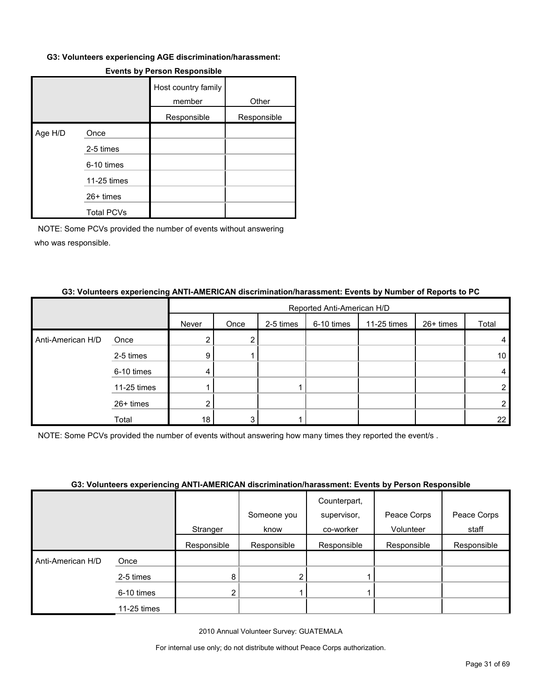#### **G3: Volunteers experiencing AGE discrimination/harassment:**

|         |                   | Host country family<br>member | Other       |
|---------|-------------------|-------------------------------|-------------|
|         |                   | Responsible                   | Responsible |
| Age H/D | Once              |                               |             |
|         | 2-5 times         |                               |             |
|         | 6-10 times        |                               |             |
|         | 11-25 times       |                               |             |
|         | 26+ times         |                               |             |
|         | <b>Total PCVs</b> |                               |             |

#### **Events by Person Responsible**

NOTE: Some PCVs provided the number of events without answering who was responsible.

#### **G3: Volunteers experiencing ANTI-AMERICAN discrimination/harassment: Events by Number of Reports to PC**

|                   |             |       | Reported Anti-American H/D |           |            |             |           |                 |  |  |
|-------------------|-------------|-------|----------------------------|-----------|------------|-------------|-----------|-----------------|--|--|
|                   |             | Never | Once                       | 2-5 times | 6-10 times | 11-25 times | 26+ times | Total           |  |  |
| Anti-American H/D | Once        |       |                            |           |            |             |           |                 |  |  |
|                   | 2-5 times   | 9     |                            |           |            |             |           | 10 <sup>°</sup> |  |  |
|                   | 6-10 times  | 4     |                            |           |            |             |           |                 |  |  |
|                   | 11-25 times |       |                            |           |            |             |           |                 |  |  |
|                   | 26+ times   |       |                            |           |            |             |           |                 |  |  |
|                   | Total       | 18    | 3                          |           |            |             |           | 22              |  |  |

NOTE: Some PCVs provided the number of events without answering how many times they reported the event/s .

#### **G3: Volunteers experiencing ANTI-AMERICAN discrimination/harassment: Events by Person Responsible**

|                   |             | Stranger    | Someone you<br>know | Counterpart,<br>supervisor,<br>co-worker | Peace Corps<br>Volunteer | Peace Corps<br>staff |
|-------------------|-------------|-------------|---------------------|------------------------------------------|--------------------------|----------------------|
|                   |             | Responsible | Responsible         | Responsible                              | Responsible              | Responsible          |
| Anti-American H/D | Once        |             |                     |                                          |                          |                      |
|                   | 2-5 times   | 8           | $\overline{2}$      |                                          |                          |                      |
|                   | 6-10 times  | ⌒           |                     |                                          |                          |                      |
|                   | 11-25 times |             |                     |                                          |                          |                      |

2010 Annual Volunteer Survey: GUATEMALA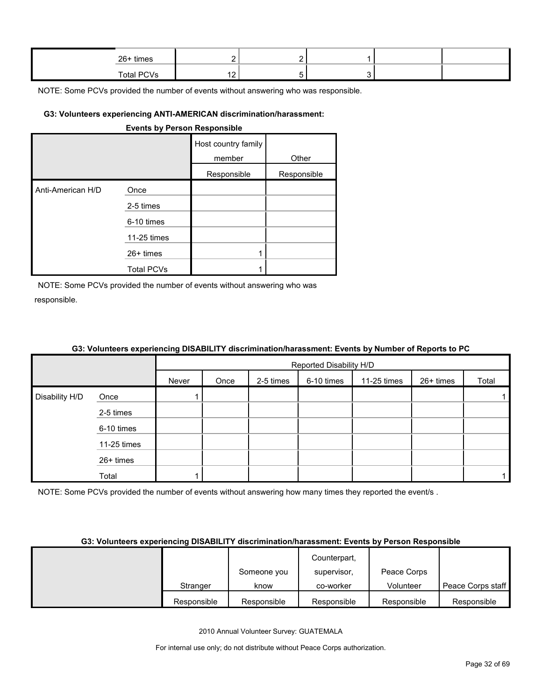| 26+ times  |          | - |  |  |
|------------|----------|---|--|--|
| Total PCVs | <u>.</u> |   |  |  |

#### **G3: Volunteers experiencing ANTI-AMERICAN discrimination/harassment:**

#### **Events by Person Responsible**

|                   |             | Host country family<br>member | Other       |
|-------------------|-------------|-------------------------------|-------------|
|                   |             | Responsible                   | Responsible |
| Anti-American H/D | Once        |                               |             |
|                   | 2-5 times   |                               |             |
|                   | 6-10 times  |                               |             |
|                   | 11-25 times |                               |             |
|                   | $26+$ times |                               |             |
|                   | Total PCVs  |                               |             |

NOTE: Some PCVs provided the number of events without answering who was responsible.

#### **G3: Volunteers experiencing DISABILITY discrimination/harassment: Events by Number of Reports to PC**

|                |             |       |      |           | Reported Disability H/D |             |           |       |
|----------------|-------------|-------|------|-----------|-------------------------|-------------|-----------|-------|
|                |             | Never | Once | 2-5 times | 6-10 times              | 11-25 times | 26+ times | Total |
| Disability H/D | Once        |       |      |           |                         |             |           |       |
|                | 2-5 times   |       |      |           |                         |             |           |       |
|                | 6-10 times  |       |      |           |                         |             |           |       |
|                | 11-25 times |       |      |           |                         |             |           |       |
|                | 26+ times   |       |      |           |                         |             |           |       |
|                | Total       |       |      |           |                         |             |           |       |

NOTE: Some PCVs provided the number of events without answering how many times they reported the event/s.

#### **G3: Volunteers experiencing DISABILITY discrimination/harassment: Events by Person Responsible**

|             |             | Counterpart, |             |                   |
|-------------|-------------|--------------|-------------|-------------------|
|             | Someone you | supervisor,  | Peace Corps |                   |
| Stranger    | know        | co-worker    | Volunteer   | Peace Corps staff |
| Responsible | Responsible | Responsible  | Responsible | Responsible       |

2010 Annual Volunteer Survey: GUATEMALA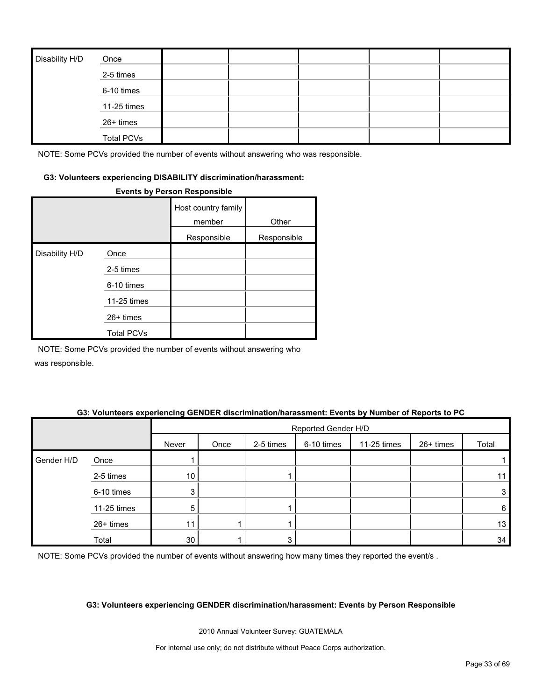| Disability H/D | Once              |  |  |  |
|----------------|-------------------|--|--|--|
|                | 2-5 times         |  |  |  |
|                | 6-10 times        |  |  |  |
|                | 11-25 times       |  |  |  |
|                | 26+ times         |  |  |  |
|                | <b>Total PCVs</b> |  |  |  |

#### **G3: Volunteers experiencing DISABILITY discrimination/harassment:**

#### **Events by Person Responsible**

|                |                   | Host country family<br>member | Other       |
|----------------|-------------------|-------------------------------|-------------|
|                |                   | Responsible                   | Responsible |
| Disability H/D | Once              |                               |             |
|                | 2-5 times         |                               |             |
|                | 6-10 times        |                               |             |
|                | 11-25 times       |                               |             |
|                | 26+ times         |                               |             |
|                | <b>Total PCVs</b> |                               |             |

NOTE: Some PCVs provided the number of events without answering who was responsible.

#### **G3: Volunteers experiencing GENDER discrimination/harassment: Events by Number of Reports to PC**

|            |             |       | Reported Gender H/D |           |            |             |           |       |  |  |
|------------|-------------|-------|---------------------|-----------|------------|-------------|-----------|-------|--|--|
|            |             | Never | Once                | 2-5 times | 6-10 times | 11-25 times | 26+ times | Total |  |  |
| Gender H/D | Once        |       |                     |           |            |             |           |       |  |  |
|            | 2-5 times   | 10    |                     |           |            |             |           | 11    |  |  |
|            | 6-10 times  | 3     |                     |           |            |             |           | 3     |  |  |
|            | 11-25 times | 5     |                     |           |            |             |           | 6     |  |  |
|            | 26+ times   | 11    |                     |           |            |             |           | 13    |  |  |
|            | Total       | 30    |                     | 3         |            |             |           | 34    |  |  |

NOTE: Some PCVs provided the number of events without answering how many times they reported the event/s.

#### **G3: Volunteers experiencing GENDER discrimination/harassment: Events by Person Responsible**

2010 Annual Volunteer Survey: GUATEMALA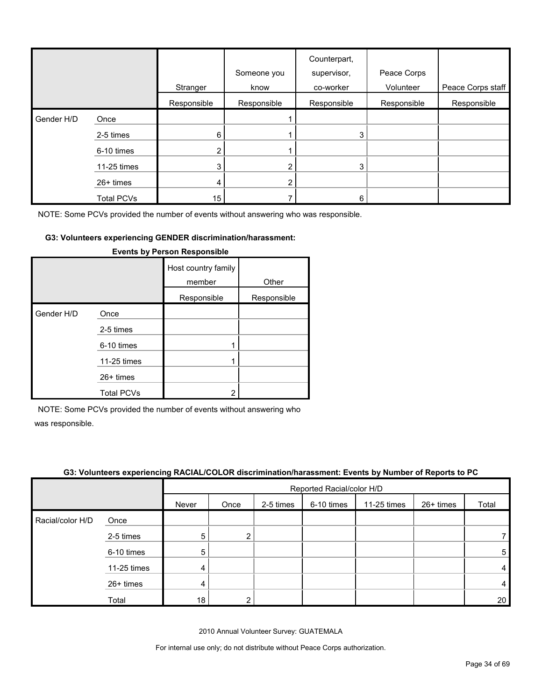|            |                   | Stranger    | Someone you<br>know | Counterpart,<br>supervisor,<br>co-worker | Peace Corps<br>Volunteer | Peace Corps staff |
|------------|-------------------|-------------|---------------------|------------------------------------------|--------------------------|-------------------|
|            |                   | Responsible | Responsible         | Responsible                              | Responsible              | Responsible       |
| Gender H/D | Once              |             |                     |                                          |                          |                   |
|            | 2-5 times         | 6           |                     | 3                                        |                          |                   |
|            | 6-10 times        |             |                     |                                          |                          |                   |
|            | 11-25 times       | 3           | 2                   | 3                                        |                          |                   |
|            | 26+ times         | 4           | 2                   |                                          |                          |                   |
|            | <b>Total PCVs</b> | 15          |                     | 6                                        |                          |                   |

#### **G3: Volunteers experiencing GENDER discrimination/harassment:**

|            |                   | Host country family<br>member | Other       |
|------------|-------------------|-------------------------------|-------------|
|            |                   | Responsible                   | Responsible |
| Gender H/D | Once              |                               |             |
|            | 2-5 times         |                               |             |
|            | 6-10 times        |                               |             |
|            | 11-25 times       |                               |             |
|            | $26+$ times       |                               |             |
|            | <b>Total PCVs</b> | 2                             |             |

#### **Events by Person Responsible**

NOTE: Some PCVs provided the number of events without answering who

was responsible.

#### **G3: Volunteers experiencing RACIAL/COLOR discrimination/harassment: Events by Number of Reports to PC**

|                  |             | $\sim$ | Reported Racial/color H/D |           |            |             |           |       |  |
|------------------|-------------|--------|---------------------------|-----------|------------|-------------|-----------|-------|--|
|                  |             | Never  | Once                      | 2-5 times | 6-10 times | 11-25 times | 26+ times | Total |  |
| Racial/color H/D | Once        |        |                           |           |            |             |           |       |  |
|                  | 2-5 times   | 5      | ົ                         |           |            |             |           |       |  |
|                  | 6-10 times  | 5      |                           |           |            |             |           | 5     |  |
|                  | 11-25 times | 4      |                           |           |            |             |           | 4     |  |
|                  | 26+ times   | 4      |                           |           |            |             |           | 4     |  |
|                  | Total       | 18     |                           |           |            |             |           | 20    |  |

2010 Annual Volunteer Survey: GUATEMALA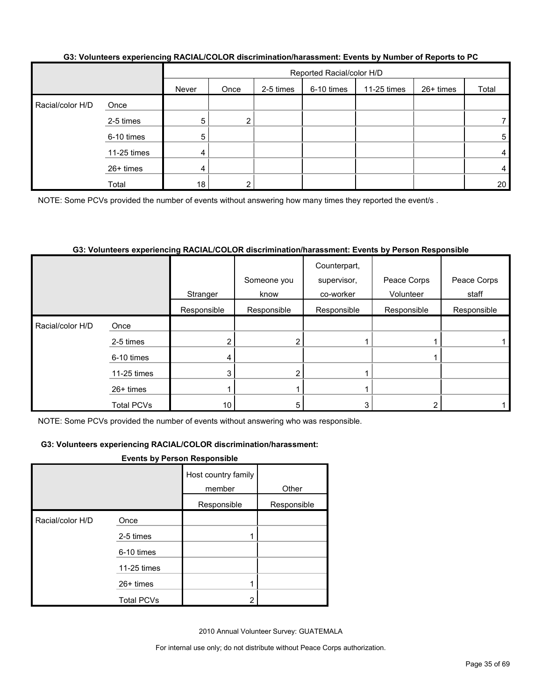| G3: Volunteers experiencing RACIAL/COLOR discrimination/harassment: Events by Number of Reports to PC |  |
|-------------------------------------------------------------------------------------------------------|--|
|                                                                                                       |  |

|                  |             |       | Reported Racial/color H/D |           |            |             |           |       |  |
|------------------|-------------|-------|---------------------------|-----------|------------|-------------|-----------|-------|--|
|                  |             | Never | Once                      | 2-5 times | 6-10 times | 11-25 times | 26+ times | Total |  |
| Racial/color H/D | Once        |       |                           |           |            |             |           |       |  |
|                  | 2-5 times   | 5     |                           |           |            |             |           |       |  |
|                  | 6-10 times  | 5     |                           |           |            |             |           | 5     |  |
|                  | 11-25 times | 4     |                           |           |            |             |           | 4     |  |
|                  | 26+ times   | 4     |                           |           |            |             |           | 4     |  |
|                  | Total       | 18    |                           |           |            |             |           | 20    |  |

NOTE: Some PCVs provided the number of events without answering how many times they reported the event/s .

#### **G3: Volunteers experiencing RACIAL/COLOR discrimination/harassment: Events by Person Responsible**

|                  |                   |             |             | Counterpart, |             |             |
|------------------|-------------------|-------------|-------------|--------------|-------------|-------------|
|                  |                   |             | Someone you | supervisor,  | Peace Corps | Peace Corps |
|                  |                   | Stranger    | know        | co-worker    | Volunteer   | staff       |
|                  |                   | Responsible | Responsible | Responsible  | Responsible | Responsible |
| Racial/color H/D | Once              |             |             |              |             |             |
|                  | 2-5 times         |             | ົ           |              |             |             |
|                  | 6-10 times        |             |             |              |             |             |
|                  | 11-25 times       |             |             |              |             |             |
|                  | 26+ times         |             |             |              |             |             |
|                  | <b>Total PCVs</b> | 10          | 5           | 3            |             |             |

NOTE: Some PCVs provided the number of events without answering who was responsible.

#### **G3: Volunteers experiencing RACIAL/COLOR discrimination/harassment:**

#### **Events by Person Responsible**

|                  |                   | Host country family<br>member | Other       |
|------------------|-------------------|-------------------------------|-------------|
|                  |                   | Responsible                   | Responsible |
| Racial/color H/D | Once              |                               |             |
|                  | 2-5 times         |                               |             |
|                  | 6-10 times        |                               |             |
|                  | 11-25 times       |                               |             |
|                  | 26+ times         |                               |             |
|                  | <b>Total PCVs</b> | າ                             |             |

2010 Annual Volunteer Survey: GUATEMALA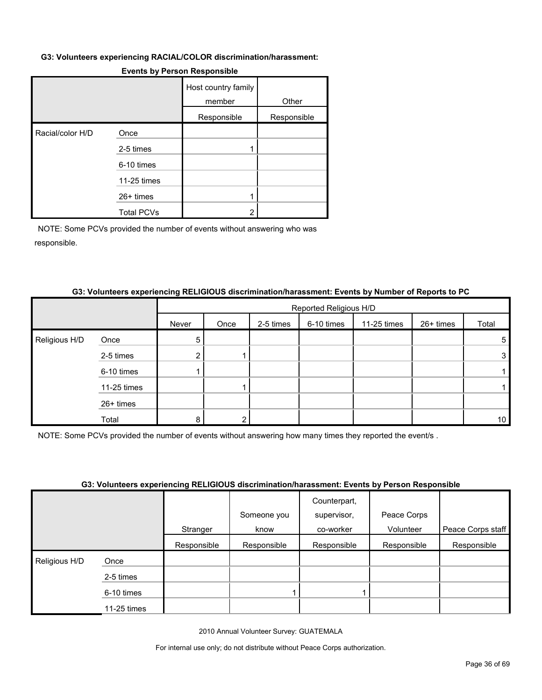#### **G3: Volunteers experiencing RACIAL/COLOR discrimination/harassment:**

|                  |                   | Host country family<br>member | Other       |
|------------------|-------------------|-------------------------------|-------------|
|                  |                   | Responsible                   | Responsible |
| Racial/color H/D | Once              |                               |             |
|                  | 2-5 times         |                               |             |
|                  | 6-10 times        |                               |             |
|                  | 11-25 times       |                               |             |
|                  | 26+ times         |                               |             |
|                  | <b>Total PCVs</b> | ົ                             |             |

#### **Events by Person Responsible**

NOTE: Some PCVs provided the number of events without answering who was responsible.

#### **G3: Volunteers experiencing RELIGIOUS discrimination/harassment: Events by Number of Reports to PC**

|               |             |        | Reported Religious H/D |           |            |             |           |                 |  |  |
|---------------|-------------|--------|------------------------|-----------|------------|-------------|-----------|-----------------|--|--|
|               |             | Never  | Once                   | 2-5 times | 6-10 times | 11-25 times | 26+ times | Total           |  |  |
| Religious H/D | Once        | 5      |                        |           |            |             |           | 5               |  |  |
|               | 2-5 times   | ົ<br>∠ |                        |           |            |             |           | 3               |  |  |
|               | 6-10 times  |        |                        |           |            |             |           |                 |  |  |
|               | 11-25 times |        |                        |           |            |             |           |                 |  |  |
|               | 26+ times   |        |                        |           |            |             |           |                 |  |  |
|               | Total       | 8      |                        |           |            |             |           | 10 <sup>°</sup> |  |  |

NOTE: Some PCVs provided the number of events without answering how many times they reported the event/s .

#### **G3: Volunteers experiencing RELIGIOUS discrimination/harassment: Events by Person Responsible**

|               |             |             | <u>aal taluusala suballallalla leelalaa aa maaliillimuusiallimuusin etallis ni talaali laaballanna</u> |              |             |                   |
|---------------|-------------|-------------|--------------------------------------------------------------------------------------------------------|--------------|-------------|-------------------|
|               |             |             |                                                                                                        | Counterpart, |             |                   |
|               |             |             | Someone you                                                                                            | supervisor,  | Peace Corps |                   |
|               |             | Stranger    | know                                                                                                   | co-worker    | Volunteer   | Peace Corps staff |
|               |             | Responsible | Responsible                                                                                            | Responsible  | Responsible | Responsible       |
| Religious H/D | Once        |             |                                                                                                        |              |             |                   |
|               | 2-5 times   |             |                                                                                                        |              |             |                   |
|               | 6-10 times  |             |                                                                                                        |              |             |                   |
|               | 11-25 times |             |                                                                                                        |              |             |                   |

2010 Annual Volunteer Survey: GUATEMALA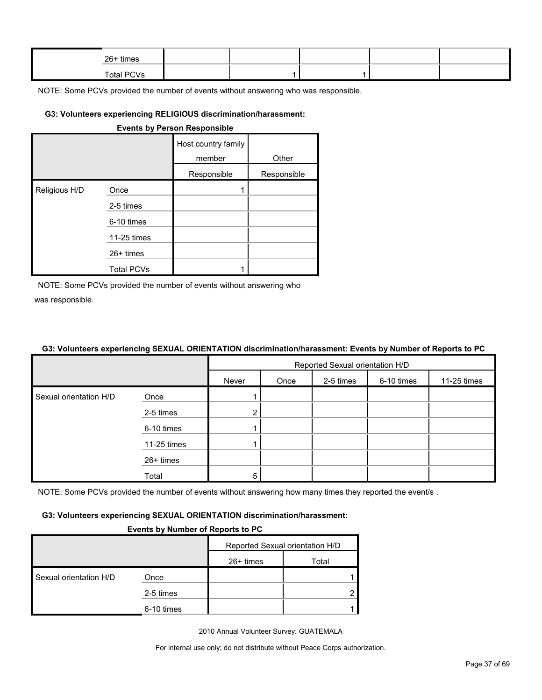| $26+$ times |  |  |  |
|-------------|--|--|--|
| Total PCVs  |  |  |  |

#### **G3: Volunteers experiencing RELIGIOUS discrimination/harassment:**

| <b>Events by Person Responsible</b> |                   |                               |             |  |  |  |  |
|-------------------------------------|-------------------|-------------------------------|-------------|--|--|--|--|
|                                     |                   | Host country family<br>member | Other       |  |  |  |  |
|                                     |                   | Responsible                   | Responsible |  |  |  |  |
| Religious H/D                       | Once              |                               |             |  |  |  |  |
|                                     | 2-5 times         |                               |             |  |  |  |  |
|                                     | 6-10 times        |                               |             |  |  |  |  |
|                                     | 11-25 times       |                               |             |  |  |  |  |
|                                     | $26+$ times       |                               |             |  |  |  |  |
|                                     | <b>Total PCVs</b> |                               |             |  |  |  |  |

NOTE: Some PCVs provided the number of events without answering who was responsible.

#### **G3: Volunteers experiencing SEXUAL ORIENTATION discrimination/harassment: Events by Number of Reports to PC**

|                        |             | Reported Sexual orientation H/D |      |           |            |             |  |
|------------------------|-------------|---------------------------------|------|-----------|------------|-------------|--|
|                        |             | Never                           | Once | 2-5 times | 6-10 times | 11-25 times |  |
| Sexual orientation H/D | Once        |                                 |      |           |            |             |  |
|                        | 2-5 times   | າ                               |      |           |            |             |  |
|                        | 6-10 times  |                                 |      |           |            |             |  |
|                        | 11-25 times |                                 |      |           |            |             |  |
|                        | 26+ times   |                                 |      |           |            |             |  |
|                        | Total       | 5                               |      |           |            |             |  |

NOTE: Some PCVs provided the number of events without answering how many times they reported the event/s.

#### **G3: Volunteers experiencing SEXUAL ORIENTATION discrimination/harassment:**

#### **Events by Number of Reports to PC**

|                        |            | Reported Sexual orientation H/D |       |
|------------------------|------------|---------------------------------|-------|
|                        |            | 26+ times                       | Total |
| Sexual orientation H/D | Once       |                                 |       |
|                        | 2-5 times  |                                 |       |
|                        | 6-10 times |                                 |       |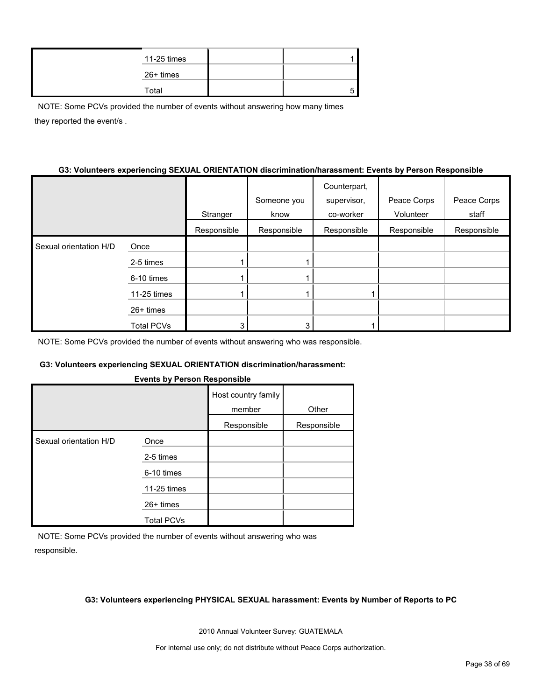| 11-25 times |  |
|-------------|--|
| 26+ times   |  |
| Total       |  |

NOTE: Some PCVs provided the number of events without answering how many times they reported the event/s .

#### **G3: Volunteers experiencing SEXUAL ORIENTATION discrimination/harassment: Events by Person Responsible**

|                        |                   |             |             | Counterpart, |             |             |
|------------------------|-------------------|-------------|-------------|--------------|-------------|-------------|
|                        |                   |             | Someone you | supervisor,  | Peace Corps | Peace Corps |
|                        |                   | Stranger    | know        | co-worker    | Volunteer   | staff       |
|                        |                   | Responsible | Responsible | Responsible  | Responsible | Responsible |
| Sexual orientation H/D | Once              |             |             |              |             |             |
|                        | 2-5 times         |             |             |              |             |             |
|                        | 6-10 times        |             |             |              |             |             |
|                        | 11-25 times       |             |             |              |             |             |
|                        | $26+$ times       |             |             |              |             |             |
|                        | <b>Total PCVs</b> | 3           | 3           |              |             |             |

NOTE: Some PCVs provided the number of events without answering who was responsible.

#### **G3: Volunteers experiencing SEXUAL ORIENTATION discrimination/harassment:**

|  | <b>Events by Person Responsible</b> |
|--|-------------------------------------|
|  |                                     |

|                        |                   | Host country family<br>member | Other       |
|------------------------|-------------------|-------------------------------|-------------|
|                        |                   | Responsible                   | Responsible |
| Sexual orientation H/D | Once              |                               |             |
|                        | 2-5 times         |                               |             |
|                        | 6-10 times        |                               |             |
|                        | 11-25 times       |                               |             |
|                        | $26+$ times       |                               |             |
|                        | <b>Total PCVs</b> |                               |             |

NOTE: Some PCVs provided the number of events without answering who was responsible.

#### **G3: Volunteers experiencing PHYSICAL SEXUAL harassment: Events by Number of Reports to PC**

2010 Annual Volunteer Survey: GUATEMALA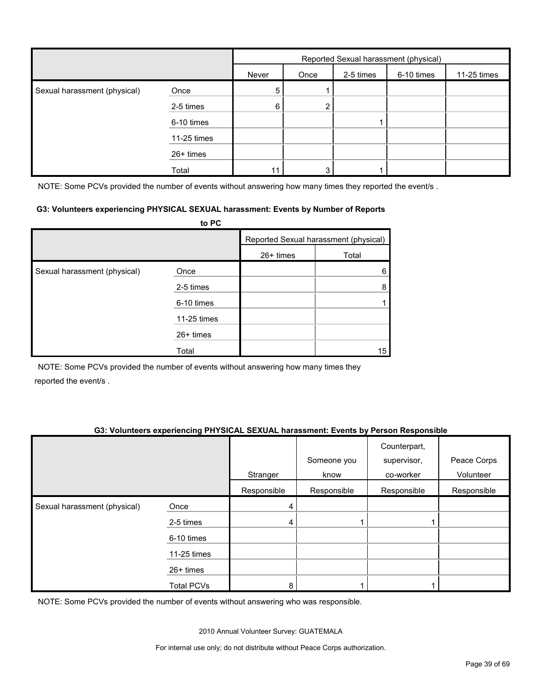|                              |             | Reported Sexual harassment (physical) |      |           |            |             |
|------------------------------|-------------|---------------------------------------|------|-----------|------------|-------------|
|                              |             | Never                                 | Once | 2-5 times | 6-10 times | 11-25 times |
| Sexual harassment (physical) | Once        | 5                                     |      |           |            |             |
|                              | 2-5 times   | 6                                     | 2    |           |            |             |
|                              | 6-10 times  |                                       |      |           |            |             |
|                              | 11-25 times |                                       |      |           |            |             |
|                              | 26+ times   |                                       |      |           |            |             |
|                              | Total       |                                       | 3    |           |            |             |

NOTE: Some PCVs provided the number of events without answering how many times they reported the event/s.

#### **G3: Volunteers experiencing PHYSICAL SEXUAL harassment: Events by Number of Reports**

|                              | to PC       |           |                                       |
|------------------------------|-------------|-----------|---------------------------------------|
|                              |             |           | Reported Sexual harassment (physical) |
|                              |             | 26+ times | Total                                 |
| Sexual harassment (physical) | Once        |           | 6                                     |
|                              | 2-5 times   |           | 8                                     |
|                              | 6-10 times  |           |                                       |
|                              | 11-25 times |           |                                       |
|                              | $26+$ times |           |                                       |
|                              | Total       |           | 15                                    |

NOTE: Some PCVs provided the number of events without answering how many times they reported the event/s .

#### **G3: Volunteers experiencing PHYSICAL SEXUAL harassment: Events by Person Responsible**

|                              |                   | Stranger    | Someone you<br>know | Counterpart,<br>supervisor,<br>co-worker | Peace Corps<br>Volunteer |
|------------------------------|-------------------|-------------|---------------------|------------------------------------------|--------------------------|
|                              |                   | Responsible | Responsible         | Responsible                              | Responsible              |
| Sexual harassment (physical) | Once              | 4           |                     |                                          |                          |
|                              | 2-5 times         | 4           |                     |                                          |                          |
|                              | 6-10 times        |             |                     |                                          |                          |
|                              | 11-25 times       |             |                     |                                          |                          |
|                              | 26+ times         |             |                     |                                          |                          |
|                              | <b>Total PCVs</b> | 8           |                     |                                          |                          |

NOTE: Some PCVs provided the number of events without answering who was responsible.

2010 Annual Volunteer Survey: GUATEMALA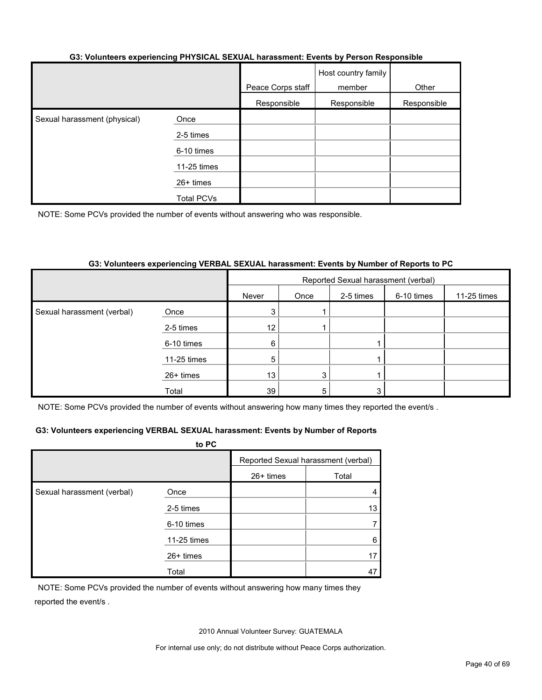#### **G3: Volunteers experiencing PHYSICAL SEXUAL harassment: Events by Person Responsible**

|                              |                   | Peace Corps staff | Host country family<br>member | Other       |
|------------------------------|-------------------|-------------------|-------------------------------|-------------|
|                              |                   | Responsible       | Responsible                   | Responsible |
| Sexual harassment (physical) | Once              |                   |                               |             |
|                              | 2-5 times         |                   |                               |             |
|                              | 6-10 times        |                   |                               |             |
|                              | 11-25 times       |                   |                               |             |
|                              | 26+ times         |                   |                               |             |
|                              | <b>Total PCVs</b> |                   |                               |             |

NOTE: Some PCVs provided the number of events without answering who was responsible.

#### **G3: Volunteers experiencing VERBAL SEXUAL harassment: Events by Number of Reports to PC**

|                            |             | Reported Sexual harassment (verbal) |      |           |            |             |
|----------------------------|-------------|-------------------------------------|------|-----------|------------|-------------|
|                            |             | Never                               | Once | 2-5 times | 6-10 times | 11-25 times |
| Sexual harassment (verbal) | Once        | 3                                   |      |           |            |             |
|                            | 2-5 times   | 12 <sub>1</sub>                     |      |           |            |             |
|                            | 6-10 times  | 6                                   |      |           |            |             |
|                            | 11-25 times | 5                                   |      |           |            |             |
|                            | 26+ times   | 13 <sub>1</sub>                     | 3    |           |            |             |
|                            | Total       | 39                                  | 5    | 3         |            |             |

NOTE: Some PCVs provided the number of events without answering how many times they reported the event/s.

#### **G3: Volunteers experiencing VERBAL SEXUAL harassment: Events by Number of Reports**

|                            | to PC       |           |                                     |
|----------------------------|-------------|-----------|-------------------------------------|
|                            |             |           | Reported Sexual harassment (verbal) |
|                            |             | 26+ times | Total                               |
| Sexual harassment (verbal) | Once        |           |                                     |
|                            | 2-5 times   |           | 13                                  |
|                            | 6-10 times  |           |                                     |
|                            | 11-25 times |           | 6                                   |
|                            | 26+ times   |           | 17                                  |
|                            | Total       |           | 47                                  |

NOTE: Some PCVs provided the number of events without answering how many times they reported the event/s .

2010 Annual Volunteer Survey: GUATEMALA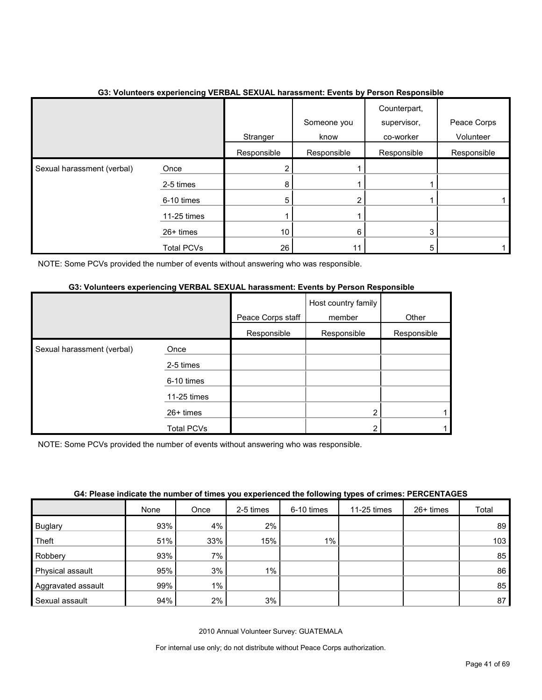|                            |                   | Stranger    | Someone you<br>know | Counterpart,<br>supervisor,<br>co-worker | Peace Corps<br>Volunteer |
|----------------------------|-------------------|-------------|---------------------|------------------------------------------|--------------------------|
|                            |                   | Responsible | Responsible         | Responsible                              | Responsible              |
| Sexual harassment (verbal) | Once              | 2           |                     |                                          |                          |
|                            | 2-5 times         | 8           |                     |                                          |                          |
|                            | 6-10 times        | 5           |                     |                                          |                          |
|                            | 11-25 times       |             |                     |                                          |                          |
|                            | 26+ times         | 10          | 6                   | 3                                        |                          |
|                            | <b>Total PCVs</b> | 26          |                     | 5                                        |                          |

#### **G3: Volunteers experiencing VERBAL SEXUAL harassment: Events by Person Responsible**

NOTE: Some PCVs provided the number of events without answering who was responsible.

#### **G3: Volunteers experiencing VERBAL SEXUAL harassment: Events by Person Responsible**

|                            |             | Peace Corps staff | Host country family<br>member | Other       |
|----------------------------|-------------|-------------------|-------------------------------|-------------|
|                            |             | Responsible       | Responsible                   | Responsible |
| Sexual harassment (verbal) | Once        |                   |                               |             |
|                            | 2-5 times   |                   |                               |             |
|                            | 6-10 times  |                   |                               |             |
|                            | 11-25 times |                   |                               |             |
|                            | $26+$ times |                   | 2                             |             |
|                            | Total PCVs  |                   | 2                             |             |

NOTE: Some PCVs provided the number of events without answering who was responsible.

| G4: Please indicate the number of times you experienced the following types of crimes: PERCENTAGES |  |  |  |
|----------------------------------------------------------------------------------------------------|--|--|--|
|                                                                                                    |  |  |  |
|                                                                                                    |  |  |  |

|                    | None | Once  | 2-5 times | 6-10 times | 11-25 times | 26+ times | Total |
|--------------------|------|-------|-----------|------------|-------------|-----------|-------|
| <b>Buglary</b>     | 93%  | 4%    | 2%        |            |             |           | 89    |
| Theft              | 51%  | 33%   | 15%       | $1\%$      |             |           | 103   |
| Robbery            | 93%  | 7%    |           |            |             |           | 85    |
| Physical assault   | 95%  | 3%    | $1\%$     |            |             |           | 86    |
| Aggravated assault | 99%  | $1\%$ |           |            |             |           | 85    |
| Sexual assault     | 94%  | 2%    | 3%        |            |             |           | 87    |

2010 Annual Volunteer Survey: GUATEMALA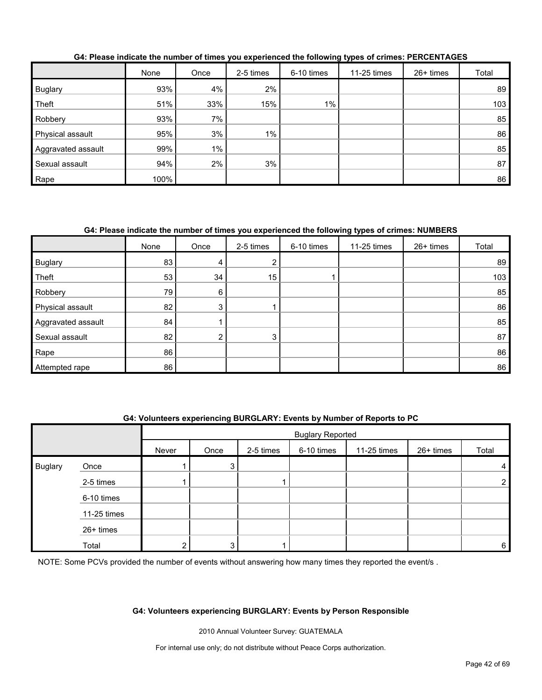|                    | None | Once  | 2-5 times | 6-10 times | 11-25 times | $26+$ times | Total |
|--------------------|------|-------|-----------|------------|-------------|-------------|-------|
| Buglary            | 93%  | 4%    | 2%        |            |             |             | 89    |
| Theft              | 51%  | 33%   | 15%       | $1\%$      |             |             | 103   |
| Robbery            | 93%  | 7%    |           |            |             |             | 85    |
| Physical assault   | 95%  | 3%    | $1\%$     |            |             |             | 86    |
| Aggravated assault | 99%  | $1\%$ |           |            |             |             | 85    |
| Sexual assault     | 94%  | 2%    | 3%        |            |             |             | 87    |
| Rape               | 100% |       |           |            |             |             | 86    |

**G4: Please indicate the number of times you experienced the following types of crimes: PERCENTAGES**

#### **G4: Please indicate the number of times you experienced the following types of crimes: NUMBERS**

|                    | None | Once | 2-5 times | 6-10 times | 11-25 times | 26+ times | Total |
|--------------------|------|------|-----------|------------|-------------|-----------|-------|
| Buglary            | 83   | 4    | າ         |            |             |           | 89    |
| Theft              | 53   | 34   | 15        |            |             |           | 103   |
| Robbery            | 79   | 6    |           |            |             |           | 85    |
| Physical assault   | 82   | 3    |           |            |             |           | 86    |
| Aggravated assault | 84   |      |           |            |             |           | 85    |
| Sexual assault     | 82   | ◠    | 3         |            |             |           | 87    |
| Rape               | 86   |      |           |            |             |           | 86    |
| Attempted rape     | 86   |      |           |            |             |           | 86    |

#### **G4: Volunteers experiencing BURGLARY: Events by Number of Reports to PC**

|                |             |       | <b>Buglary Reported</b> |           |            |             |           |                |
|----------------|-------------|-------|-------------------------|-----------|------------|-------------|-----------|----------------|
|                |             | Never | Once                    | 2-5 times | 6-10 times | 11-25 times | 26+ times | Total          |
| <b>Buglary</b> | Once        |       | 3                       |           |            |             |           | 4              |
|                | 2-5 times   |       |                         |           |            |             |           | $\overline{2}$ |
|                | 6-10 times  |       |                         |           |            |             |           |                |
|                | 11-25 times |       |                         |           |            |             |           |                |
|                | 26+ times   |       |                         |           |            |             |           |                |
|                | Total       |       | 2                       |           |            |             |           | 6              |

NOTE: Some PCVs provided the number of events without answering how many times they reported the event/s.

#### **G4: Volunteers experiencing BURGLARY: Events by Person Responsible**

2010 Annual Volunteer Survey: GUATEMALA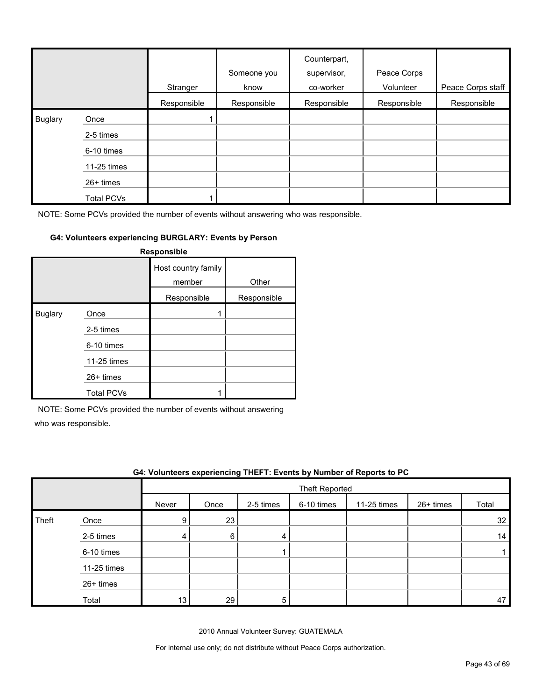|                |                   | Stranger    | Someone you<br>know | Counterpart,<br>supervisor,<br>co-worker | Peace Corps<br>Volunteer | Peace Corps staff |
|----------------|-------------------|-------------|---------------------|------------------------------------------|--------------------------|-------------------|
|                |                   | Responsible | Responsible         | Responsible                              | Responsible              | Responsible       |
| <b>Buglary</b> | Once              |             |                     |                                          |                          |                   |
|                | 2-5 times         |             |                     |                                          |                          |                   |
|                | 6-10 times        |             |                     |                                          |                          |                   |
|                | 11-25 times       |             |                     |                                          |                          |                   |
|                | 26+ times         |             |                     |                                          |                          |                   |
|                | <b>Total PCVs</b> |             |                     |                                          |                          |                   |

#### **G4: Volunteers experiencing BURGLARY: Events by Person**

|                | Responsible       |                               |             |  |  |  |  |  |
|----------------|-------------------|-------------------------------|-------------|--|--|--|--|--|
|                |                   | Host country family<br>member | Other       |  |  |  |  |  |
|                |                   | Responsible                   | Responsible |  |  |  |  |  |
| <b>Buglary</b> | Once              |                               |             |  |  |  |  |  |
|                | 2-5 times         |                               |             |  |  |  |  |  |
|                | 6-10 times        |                               |             |  |  |  |  |  |
|                | 11-25 times       |                               |             |  |  |  |  |  |
|                | $26+$ times       |                               |             |  |  |  |  |  |
|                | <b>Total PCVs</b> |                               |             |  |  |  |  |  |

NOTE: Some PCVs provided the number of events without answering

who was responsible.

|       |             |       |      |           |                | G4: Volunteers experiencing THEFT: Events by Number of Reports to PC |           |       |
|-------|-------------|-------|------|-----------|----------------|----------------------------------------------------------------------|-----------|-------|
|       |             |       |      |           | Theft Reported |                                                                      |           |       |
|       |             | Never | Once | 2-5 times | 6-10 times     | 11-25 times                                                          | 26+ times | Total |
| Theft | Once        | 9     | 23   |           |                |                                                                      |           | 32    |
|       | 2-5 times   | 4     | 6    | 4         |                |                                                                      |           | 14    |
|       | 6-10 times  |       |      |           |                |                                                                      |           |       |
|       | 11-25 times |       |      |           |                |                                                                      |           |       |
|       | $26+$ times |       |      |           |                |                                                                      |           |       |
|       | Total       | 13    | 29   | 5         |                |                                                                      |           | 47    |

2010 Annual Volunteer Survey: GUATEMALA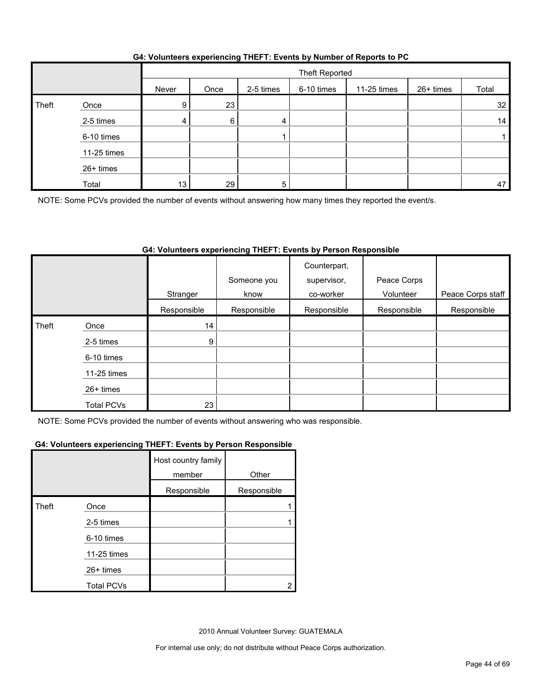|       |             |       | Theft Reported |           |            |             |           |       |
|-------|-------------|-------|----------------|-----------|------------|-------------|-----------|-------|
|       |             | Never | Once           | 2-5 times | 6-10 times | 11-25 times | 26+ times | Total |
| Theft | Once        | 9     | 23             |           |            |             |           | 32    |
|       | 2-5 times   | 4     | 6              | 4         |            |             |           | 14    |
|       | 6-10 times  |       |                |           |            |             |           |       |
|       | 11-25 times |       |                |           |            |             |           |       |
|       | 26+ times   |       |                |           |            |             |           |       |
|       | Total       | 13    | 29             | 5         |            |             |           | 47    |

NOTE: Some PCVs provided the number of events without answering how many times they reported the event/s.

#### **G4: Volunteers experiencing THEFT: Events by Person Responsible**

|       |                   | Stranger        | Someone you<br>know | Counterpart,<br>supervisor,<br>co-worker | Peace Corps<br>Volunteer | Peace Corps staff |
|-------|-------------------|-----------------|---------------------|------------------------------------------|--------------------------|-------------------|
|       |                   | Responsible     | Responsible         | Responsible                              | Responsible              | Responsible       |
| Theft | Once              | 14 <sub>1</sub> |                     |                                          |                          |                   |
|       | 2-5 times         | 9 <sub>1</sub>  |                     |                                          |                          |                   |
|       | 6-10 times        |                 |                     |                                          |                          |                   |
|       | 11-25 times       |                 |                     |                                          |                          |                   |
|       | $26+$ times       |                 |                     |                                          |                          |                   |
|       | <b>Total PCVs</b> | 23              |                     |                                          |                          |                   |

NOTE: Some PCVs provided the number of events without answering who was responsible.

#### **G4: Volunteers experiencing THEFT: Events by Person Responsible**

|       |                   | Host country family<br>member | Other       |
|-------|-------------------|-------------------------------|-------------|
|       |                   | Responsible                   | Responsible |
| Theft | Once              |                               |             |
|       | 2-5 times         |                               |             |
|       | 6-10 times        |                               |             |
|       | 11-25 times       |                               |             |
|       | 26+ times         |                               |             |
|       | <b>Total PCVs</b> |                               |             |

2010 Annual Volunteer Survey: GUATEMALA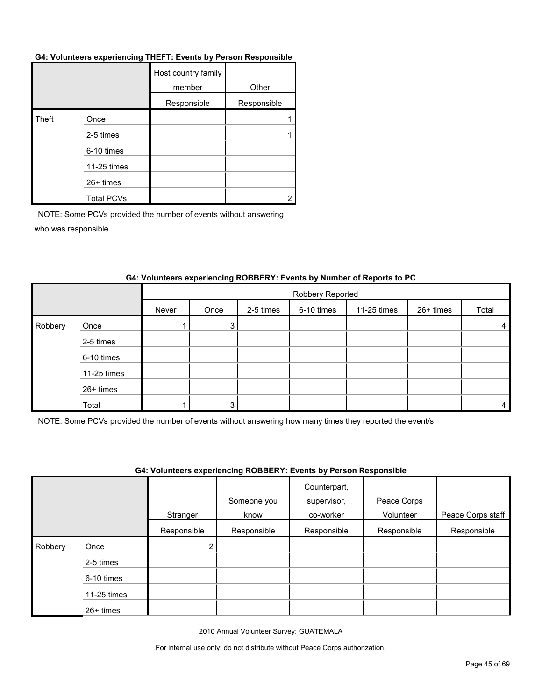#### **G4: Volunteers experiencing THEFT: Events by Person Responsible**

|       |                   | Host country family<br>member | Other       |
|-------|-------------------|-------------------------------|-------------|
|       |                   | Responsible                   | Responsible |
| Theft | Once              |                               |             |
|       | 2-5 times         |                               |             |
|       | 6-10 times        |                               |             |
|       | 11-25 times       |                               |             |
|       | 26+ times         |                               |             |
|       | <b>Total PCVs</b> |                               |             |

NOTE: Some PCVs provided the number of events without answering who was responsible.

|         |             |       | Robbery Reported |           |            |             |           |                |
|---------|-------------|-------|------------------|-----------|------------|-------------|-----------|----------------|
|         |             | Never | Once             | 2-5 times | 6-10 times | 11-25 times | 26+ times | Total          |
| Robbery | Once        |       | 3                |           |            |             |           | 4              |
|         | 2-5 times   |       |                  |           |            |             |           |                |
|         | 6-10 times  |       |                  |           |            |             |           |                |
|         | 11-25 times |       |                  |           |            |             |           |                |
|         | 26+ times   |       |                  |           |            |             |           |                |
|         | Total       |       |                  |           |            |             |           | $\overline{4}$ |

#### **G4: Volunteers experiencing ROBBERY: Events by Number of Reports to PC**

NOTE: Some PCVs provided the number of events without answering how many times they reported the event/s.

#### **G4: Volunteers experiencing ROBBERY: Events by Person Responsible**

|         |             |             | Someone you | Counterpart,<br>supervisor, | Peace Corps |                   |
|---------|-------------|-------------|-------------|-----------------------------|-------------|-------------------|
|         |             | Stranger    | know        | co-worker                   | Volunteer   | Peace Corps staff |
|         |             | Responsible | Responsible | Responsible                 | Responsible | Responsible       |
| Robbery | Once        | 2           |             |                             |             |                   |
|         | 2-5 times   |             |             |                             |             |                   |
|         | 6-10 times  |             |             |                             |             |                   |
|         | 11-25 times |             |             |                             |             |                   |
|         | 26+ times   |             |             |                             |             |                   |

2010 Annual Volunteer Survey: GUATEMALA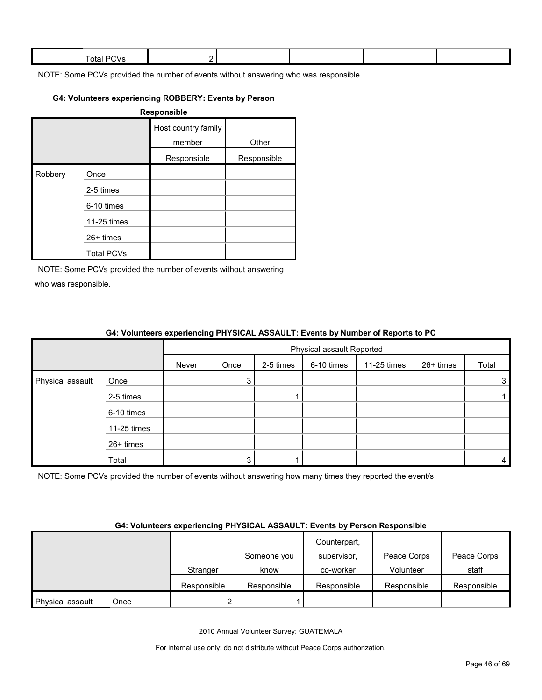| Total. |  |  |  |
|--------|--|--|--|
|        |  |  |  |

#### **G4: Volunteers experiencing ROBBERY: Events by Person**

|         |                   | Responsible                   |             |
|---------|-------------------|-------------------------------|-------------|
|         |                   | Host country family<br>member | Other       |
|         |                   | Responsible                   | Responsible |
| Robbery | Once              |                               |             |
|         | 2-5 times         |                               |             |
|         | 6-10 times        |                               |             |
|         | 11-25 times       |                               |             |
|         | $26+$ times       |                               |             |
|         | <b>Total PCVs</b> |                               |             |

NOTE: Some PCVs provided the number of events without answering who was responsible.

|                  |             | <b>One common oxygenomony in coordinate</b> in the control of individual or to port to the |                           |           |            |             |           |                |
|------------------|-------------|--------------------------------------------------------------------------------------------|---------------------------|-----------|------------|-------------|-----------|----------------|
|                  |             |                                                                                            | Physical assault Reported |           |            |             |           |                |
|                  |             | Never                                                                                      | Once                      | 2-5 times | 6-10 times | 11-25 times | 26+ times | Total          |
| Physical assault | Once        |                                                                                            | 3                         |           |            |             |           | 3 <sub>1</sub> |
|                  | 2-5 times   |                                                                                            |                           |           |            |             |           |                |
|                  | 6-10 times  |                                                                                            |                           |           |            |             |           |                |
|                  | 11-25 times |                                                                                            |                           |           |            |             |           |                |
|                  | 26+ times   |                                                                                            |                           |           |            |             |           |                |
|                  | Total       |                                                                                            | 3                         |           |            |             |           | 4              |

#### **G4: Volunteers experiencing PHYSICAL ASSAULT: Events by Number of Reports to PC**

NOTE: Some PCVs provided the number of events without answering how many times they reported the event/s.

#### **G4: Volunteers experiencing PHYSICAL ASSAULT: Events by Person Responsible**

|                  |      |             |             | Counterpart, |             |             |
|------------------|------|-------------|-------------|--------------|-------------|-------------|
|                  |      |             | Someone you | supervisor,  | Peace Corps | Peace Corps |
|                  |      | Stranger    | know        | co-worker    | Volunteer   | staff       |
|                  |      | Responsible | Responsible | Responsible  | Responsible | Responsible |
| Physical assault | Once |             |             |              |             |             |

2010 Annual Volunteer Survey: GUATEMALA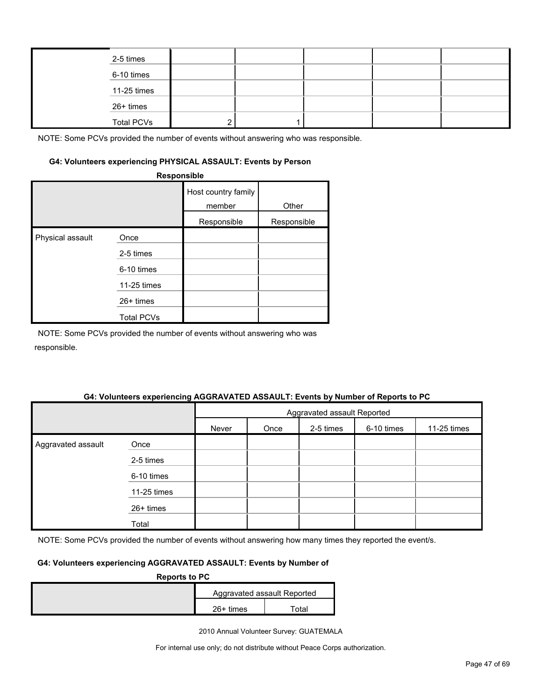| 2-5 times         |  |  |  |
|-------------------|--|--|--|
| 6-10 times        |  |  |  |
| 11-25 times       |  |  |  |
| 26+ times         |  |  |  |
| <b>Total PCVs</b> |  |  |  |

#### **G4: Volunteers experiencing PHYSICAL ASSAULT: Events by Person**

|                  | Responsible       |                               |             |
|------------------|-------------------|-------------------------------|-------------|
|                  |                   | Host country family<br>member | Other       |
|                  |                   | Responsible                   | Responsible |
| Physical assault | Once              |                               |             |
|                  | 2-5 times         |                               |             |
|                  | 6-10 times        |                               |             |
|                  | 11-25 times       |                               |             |
|                  | 26+ times         |                               |             |
|                  | <b>Total PCVs</b> |                               |             |

NOTE: Some PCVs provided the number of events without answering who was responsible.

#### **G4: Volunteers experiencing AGGRAVATED ASSAULT: Events by Number of Reports to PC**

|                    |             | Aggravated assault Reported |      |           |            |             |
|--------------------|-------------|-----------------------------|------|-----------|------------|-------------|
|                    |             | Never                       | Once | 2-5 times | 6-10 times | 11-25 times |
| Aggravated assault | Once        |                             |      |           |            |             |
|                    | 2-5 times   |                             |      |           |            |             |
|                    | 6-10 times  |                             |      |           |            |             |
|                    | 11-25 times |                             |      |           |            |             |
|                    | 26+ times   |                             |      |           |            |             |
|                    | Total       |                             |      |           |            |             |

NOTE: Some PCVs provided the number of events without answering how many times they reported the event/s.

#### **G4: Volunteers experiencing AGGRAVATED ASSAULT: Events by Number of**

| <b>Reports to PC</b> |                             |       |  |  |  |  |
|----------------------|-----------------------------|-------|--|--|--|--|
|                      | Aggravated assault Reported |       |  |  |  |  |
|                      | $26+$ times                 | ™otal |  |  |  |  |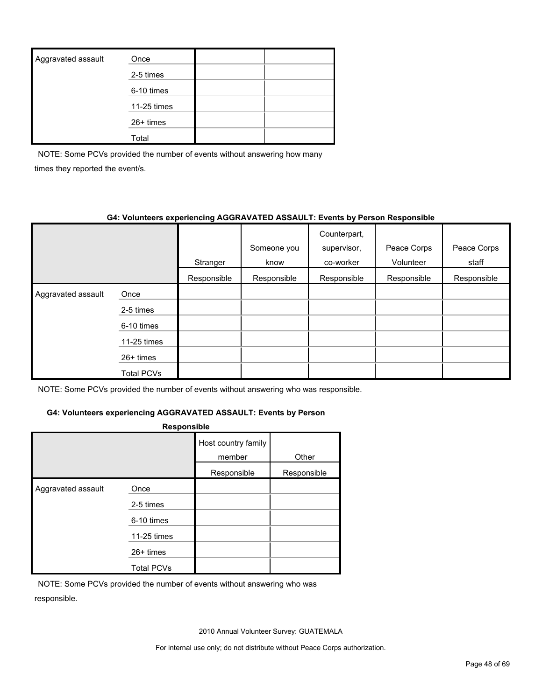| Aggravated assault | Once        |  |
|--------------------|-------------|--|
|                    | 2-5 times   |  |
|                    | 6-10 times  |  |
|                    | 11-25 times |  |
|                    | $26+$ times |  |
|                    | Total       |  |

NOTE: Some PCVs provided the number of events without answering how many times they reported the event/s.

#### **G4: Volunteers experiencing AGGRAVATED ASSAULT: Events by Person Responsible**

|                    |             |             | Someone you | Counterpart,<br>supervisor, | Peace Corps | Peace Corps |
|--------------------|-------------|-------------|-------------|-----------------------------|-------------|-------------|
|                    |             | Stranger    | know        | co-worker                   | Volunteer   | staff       |
|                    |             | Responsible | Responsible | Responsible                 | Responsible | Responsible |
| Aggravated assault | Once        |             |             |                             |             |             |
|                    | 2-5 times   |             |             |                             |             |             |
|                    | 6-10 times  |             |             |                             |             |             |
|                    | 11-25 times |             |             |                             |             |             |
|                    | $26+$ times |             |             |                             |             |             |
|                    | Total PCVs  |             |             |                             |             |             |

NOTE: Some PCVs provided the number of events without answering who was responsible.

#### **G4: Volunteers experiencing AGGRAVATED ASSAULT: Events by Person**

| <b>Responsible</b> |                                 |                               |             |  |  |  |
|--------------------|---------------------------------|-------------------------------|-------------|--|--|--|
|                    |                                 | Host country family<br>member | Other       |  |  |  |
|                    |                                 | Responsible                   | Responsible |  |  |  |
| Aggravated assault | Once<br>2-5 times<br>6-10 times |                               |             |  |  |  |
|                    | 11-25 times                     |                               |             |  |  |  |
|                    | $26+$ times                     |                               |             |  |  |  |
|                    | <b>Total PCVs</b>               |                               |             |  |  |  |

NOTE: Some PCVs provided the number of events without answering who was responsible.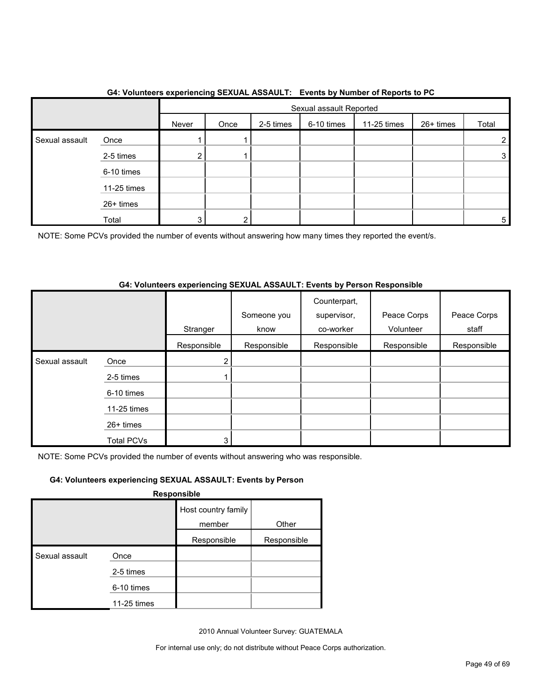|                |             |       | . <b>. .</b><br>Sexual assault Reported |           |            |             |           |       |
|----------------|-------------|-------|-----------------------------------------|-----------|------------|-------------|-----------|-------|
|                |             | Never | Once                                    | 2-5 times | 6-10 times | 11-25 times | 26+ times | Total |
| Sexual assault | Once        |       |                                         |           |            |             |           | 2     |
|                | 2-5 times   | 2     |                                         |           |            |             |           | 3     |
|                | 6-10 times  |       |                                         |           |            |             |           |       |
|                | 11-25 times |       |                                         |           |            |             |           |       |
|                | 26+ times   |       |                                         |           |            |             |           |       |
|                | Total       | 3     | ົ                                       |           |            |             |           | 5     |

#### **G4: Volunteers experiencing SEXUAL ASSAULT: Events by Number of Reports to PC**

NOTE: Some PCVs provided the number of events without answering how many times they reported the event/s.

#### **G4: Volunteers experiencing SEXUAL ASSAULT: Events by Person Responsible**

|                |                   | Stranger    | Someone you<br>know | Counterpart,<br>supervisor,<br>co-worker | Peace Corps<br>Volunteer | Peace Corps<br>staff |
|----------------|-------------------|-------------|---------------------|------------------------------------------|--------------------------|----------------------|
|                |                   | Responsible | Responsible         | Responsible                              | Responsible              | Responsible          |
| Sexual assault | Once              | 2           |                     |                                          |                          |                      |
|                | 2-5 times         |             |                     |                                          |                          |                      |
|                | 6-10 times        |             |                     |                                          |                          |                      |
|                | 11-25 times       |             |                     |                                          |                          |                      |
|                | $26+$ times       |             |                     |                                          |                          |                      |
|                | <b>Total PCVs</b> | 3           |                     |                                          |                          |                      |

NOTE: Some PCVs provided the number of events without answering who was responsible.

#### **G4: Volunteers experiencing SEXUAL ASSAULT: Events by Person**

**Responsible**

|                |             | Host country family |             |
|----------------|-------------|---------------------|-------------|
|                |             | member              | Other       |
|                |             | Responsible         | Responsible |
| Sexual assault | Once        |                     |             |
|                | 2-5 times   |                     |             |
|                | 6-10 times  |                     |             |
|                | 11-25 times |                     |             |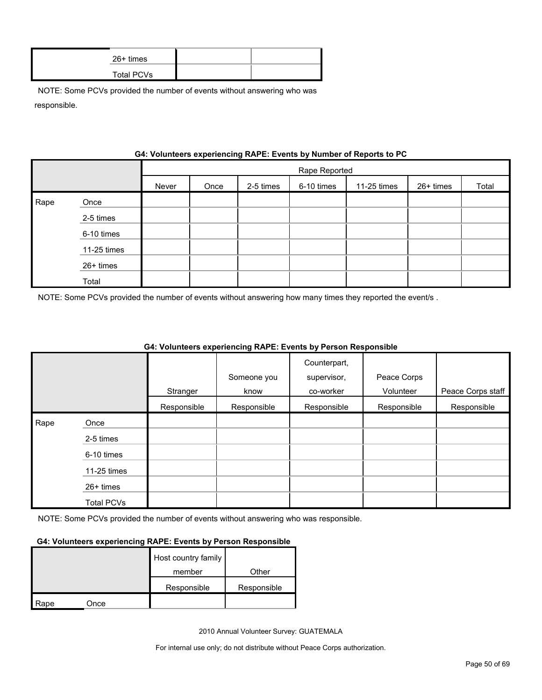| 26+ times  |  |
|------------|--|
| Total PCVs |  |

|      | G4: VOIUNTERS EXPERIENCING RAPE: EVENTS by NUMBER OF REPORTS TO PU |       |               |           |            |             |           |       |
|------|--------------------------------------------------------------------|-------|---------------|-----------|------------|-------------|-----------|-------|
|      |                                                                    |       | Rape Reported |           |            |             |           |       |
|      |                                                                    | Never | Once          | 2-5 times | 6-10 times | 11-25 times | 26+ times | Total |
| Rape | Once                                                               |       |               |           |            |             |           |       |
|      | 2-5 times                                                          |       |               |           |            |             |           |       |
|      | 6-10 times                                                         |       |               |           |            |             |           |       |
|      | 11-25 times                                                        |       |               |           |            |             |           |       |
|      | 26+ times                                                          |       |               |           |            |             |           |       |
|      | Total                                                              |       |               |           |            |             |           |       |

## **Gynorianoing PADE: Events by Number of Ban**

NOTE: Some PCVs provided the number of events without answering how many times they reported the event/s .

|      |                   |             |             | Counterpart, |             |                   |
|------|-------------------|-------------|-------------|--------------|-------------|-------------------|
|      |                   |             | Someone you | supervisor,  | Peace Corps |                   |
|      |                   | Stranger    | know        | co-worker    | Volunteer   | Peace Corps staff |
|      |                   | Responsible | Responsible | Responsible  | Responsible | Responsible       |
| Rape | Once              |             |             |              |             |                   |
|      | 2-5 times         |             |             |              |             |                   |
|      | 6-10 times        |             |             |              |             |                   |
|      | 11-25 times       |             |             |              |             |                   |
|      | 26+ times         |             |             |              |             |                   |
|      | <b>Total PCVs</b> |             |             |              |             |                   |

#### **G4: Volunteers experiencing RAPE: Events by Person Responsible**

NOTE: Some PCVs provided the number of events without answering who was responsible.

#### **G4: Volunteers experiencing RAPE: Events by Person Responsible**

|      |      | Host country family |             |
|------|------|---------------------|-------------|
|      |      | member              | Other       |
|      |      | Responsible         | Responsible |
| Rape | Once |                     |             |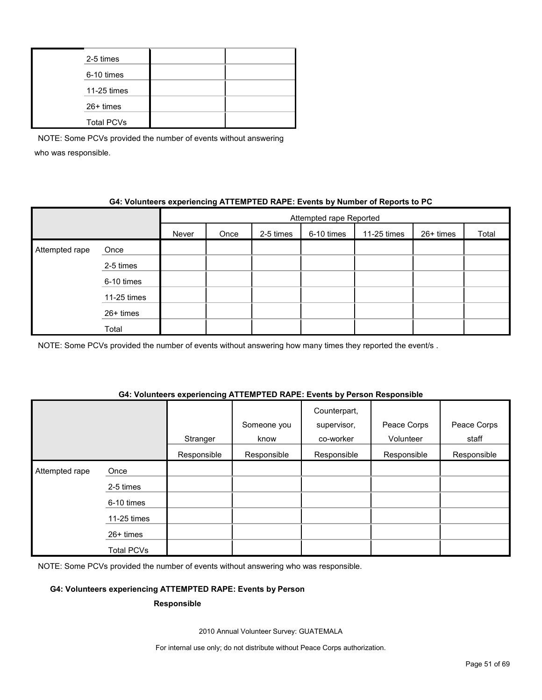| 2-5 times         |  |
|-------------------|--|
| 6-10 times        |  |
| 11-25 times       |  |
| 26+ times         |  |
| <b>Total PCVs</b> |  |

#### **G4: Volunteers experiencing ATTEMPTED RAPE: Events by Number of Reports to PC**

|                |             | Attempted rape Reported |      |           |            |             |           |       |
|----------------|-------------|-------------------------|------|-----------|------------|-------------|-----------|-------|
|                |             | Never                   | Once | 2-5 times | 6-10 times | 11-25 times | 26+ times | Total |
| Attempted rape | Once        |                         |      |           |            |             |           |       |
|                | 2-5 times   |                         |      |           |            |             |           |       |
|                | 6-10 times  |                         |      |           |            |             |           |       |
|                | 11-25 times |                         |      |           |            |             |           |       |
|                | 26+ times   |                         |      |           |            |             |           |       |
|                | Total       |                         |      |           |            |             |           |       |

NOTE: Some PCVs provided the number of events without answering how many times they reported the event/s.

#### **G4: Volunteers experiencing ATTEMPTED RAPE: Events by Person Responsible**

|                |                   | Stranger    | Someone you<br>know | Counterpart,<br>supervisor,<br>co-worker | Peace Corps<br>Volunteer | Peace Corps<br>staff |
|----------------|-------------------|-------------|---------------------|------------------------------------------|--------------------------|----------------------|
|                |                   | Responsible | Responsible         | Responsible                              | Responsible              | Responsible          |
| Attempted rape | Once              |             |                     |                                          |                          |                      |
|                | 2-5 times         |             |                     |                                          |                          |                      |
|                | 6-10 times        |             |                     |                                          |                          |                      |
|                | 11-25 times       |             |                     |                                          |                          |                      |
|                | 26+ times         |             |                     |                                          |                          |                      |
|                | <b>Total PCVs</b> |             |                     |                                          |                          |                      |

NOTE: Some PCVs provided the number of events without answering who was responsible.

#### **G4: Volunteers experiencing ATTEMPTED RAPE: Events by Person**

#### **Responsible**

2010 Annual Volunteer Survey: GUATEMALA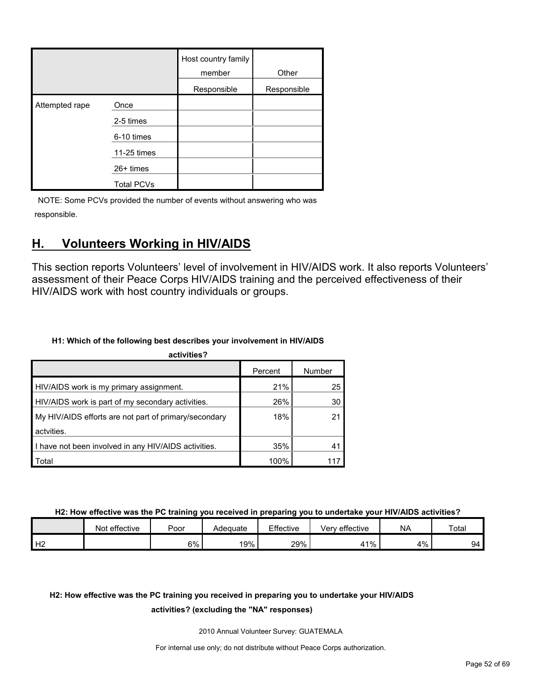|                |                   | Host country family<br>member | Other       |
|----------------|-------------------|-------------------------------|-------------|
|                |                   | Responsible                   | Responsible |
| Attempted rape | Once              |                               |             |
|                | 2-5 times         |                               |             |
|                | 6-10 times        |                               |             |
|                | 11-25 times       |                               |             |
|                | 26+ times         |                               |             |
|                | <b>Total PCVs</b> |                               |             |

## <span id="page-51-0"></span>**H. Volunteers Working in HIV/AIDS**

This section reports Volunteers' level of involvement in HIV/AIDS work. It also reports Volunteers' assessment of their Peace Corps HIV/AIDS training and the perceived effectiveness of their HIV/AIDS work with host country individuals or groups.

#### **H1: Which of the following best describes your involvement in HIV/AIDS**

| activities?                                           |         |        |
|-------------------------------------------------------|---------|--------|
|                                                       | Percent | Number |
| HIV/AIDS work is my primary assignment.               | 21%     | 25     |
| HIV/AIDS work is part of my secondary activities.     | 26%     | 30     |
| My HIV/AIDS efforts are not part of primary/secondary | 18%     | 21     |
| actvities.                                            |         |        |
| I have not been involved in any HIV/AIDS activities.  | 35%     | 41     |
| Total                                                 | 100%    |        |

**H2: How effective was the PC training you received in preparing you to undertake your HIV/AIDS activities?**

|                | Not effective | Poor | Adequate | Effective | Very effective | <b>NA</b> | Total |
|----------------|---------------|------|----------|-----------|----------------|-----------|-------|
| H <sub>2</sub> |               | 6%   | 19%      | 29%       | $1\%$          | 4%        | 94    |

## **H2: How effective was the PC training you received in preparing you to undertake your HIV/AIDS**

#### **activities? (excluding the "NA" responses)**

2010 Annual Volunteer Survey: GUATEMALA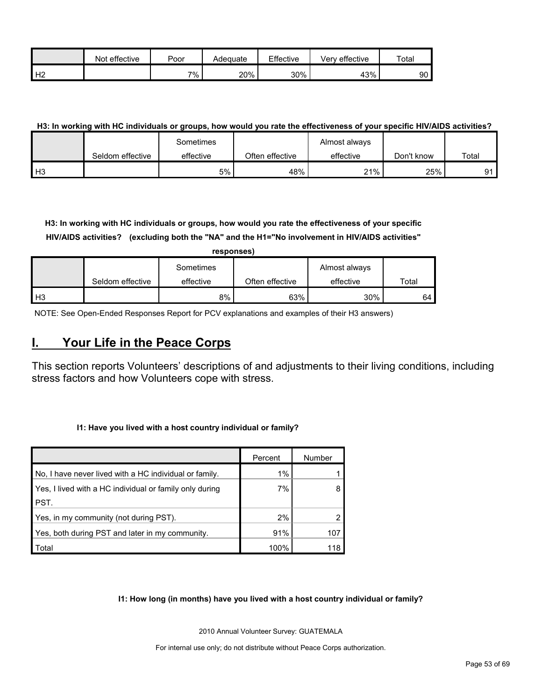|                | effective<br>Not | Poor  | Adequate | Effective | Verv effective | Total |
|----------------|------------------|-------|----------|-----------|----------------|-------|
| H <sub>2</sub> |                  | $7\%$ | 20%      | 30%       | 43%            | 90    |

#### **H3: In working with HC individuals or groups, how would you rate the effectiveness of your specific HIV/AIDS activities?**

|                |                  | Sometimes |                 | Almost always |            |       |
|----------------|------------------|-----------|-----------------|---------------|------------|-------|
|                | Seldom effective | effective | Often effective | effective     | Don't know | Total |
| H <sub>3</sub> |                  | 5%        | 48%             | 21%           | 25%        | Ω1    |

**H3: In working with HC individuals or groups, how would you rate the effectiveness of your specific HIV/AIDS activities? (excluding both the "NA" and the H1="No involvement in HIV/AIDS activities"** 

|                | responses)       |           |                 |               |       |  |  |  |  |  |
|----------------|------------------|-----------|-----------------|---------------|-------|--|--|--|--|--|
|                |                  | Sometimes |                 | Almost always |       |  |  |  |  |  |
|                | Seldom effective | effective | Often effective | effective     | Total |  |  |  |  |  |
| H <sub>3</sub> |                  | 8%        | 63%             | 30%           | 64    |  |  |  |  |  |

NOTE: See Open-Ended Responses Report for PCV explanations and examples of their H3 answers)

## <span id="page-52-0"></span>**I. Your Life in the Peace Corps**

This section reports Volunteers' descriptions of and adjustments to their living conditions, including stress factors and how Volunteers cope with stress.

#### **I1: Have you lived with a host country individual or family?**

|                                                         | Percent | Number |
|---------------------------------------------------------|---------|--------|
| No, I have never lived with a HC individual or family.  | 1%      |        |
| Yes, I lived with a HC individual or family only during | 7%      |        |
| PST.                                                    |         |        |
| Yes, in my community (not during PST).                  | 2%      |        |
| Yes, both during PST and later in my community.         | 91%     | 107    |
| Total                                                   | 100%    | 118    |

**I1: How long (in months) have you lived with a host country individual or family?**

2010 Annual Volunteer Survey: GUATEMALA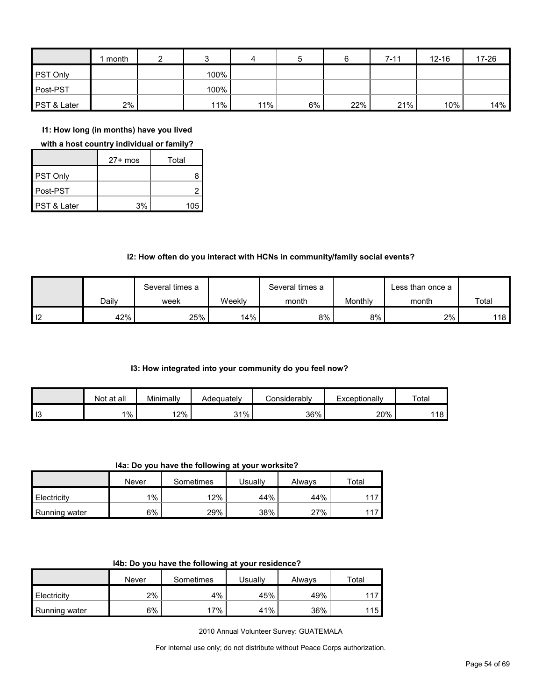|                 | month |      | 4   | 5  |     | $7 - 11$ | $12 - 16$ | 17-26 |
|-----------------|-------|------|-----|----|-----|----------|-----------|-------|
| <b>PST Only</b> |       | 100% |     |    |     |          |           |       |
| Post-PST        |       | 100% |     |    |     |          |           |       |
| PST & Later     | 2%    | 11%  | 11% | 6% | 22% | 21%      | 10%       | 14%   |

**I1: How long (in months) have you lived** 

**with a host country individual or family?**

|                        | $27+$ mos | Total |
|------------------------|-----------|-------|
| PST Only               |           |       |
| Post-PST               |           |       |
| <b>PST &amp; Later</b> | 3%        | 105   |

#### **I2: How often do you interact with HCNs in community/family social events?**

|                   |       | Several times a |        | Several times a |         | ∟ess than once a |       |
|-------------------|-------|-----------------|--------|-----------------|---------|------------------|-------|
|                   | Dailv | week            | Weeklv | month           | Monthly | month            | Total |
| $\overline{1}$ 12 | 42%   | 25%             | 14%    | 8%              | 8%      | 2%               | 118   |

#### **I3: How integrated into your community do you feel now?**

|    | Not at all | Minimally | Adequatelv | :onsiderablv | Exceptionally | Total |
|----|------------|-----------|------------|--------------|---------------|-------|
| 13 | $1\%$      | 12%       | 31%        | 36%          | 20%           | 118   |

**I4a: Do you have the following at your worksite?**

|               | Never | Sometimes | Usuallv | Always | $\tau$ otal |
|---------------|-------|-----------|---------|--------|-------------|
| Electricity   | $1\%$ | 12%       | 44%     | 44%    | 117         |
| Running water | 6%    | 29%       | 38%     | 27%    | 117         |

|  | I4b: Do you have the following at your residence? |  |
|--|---------------------------------------------------|--|
|--|---------------------------------------------------|--|

|                      | Never | Sometimes | Usuallv | Always | ™otal |
|----------------------|-------|-----------|---------|--------|-------|
| Electricity          | 2%    | 4%        | 45%     | 49%    | 117   |
| <b>Running water</b> | 6%    | 17%       | 41%     | 36%    | 115   |

2010 Annual Volunteer Survey: GUATEMALA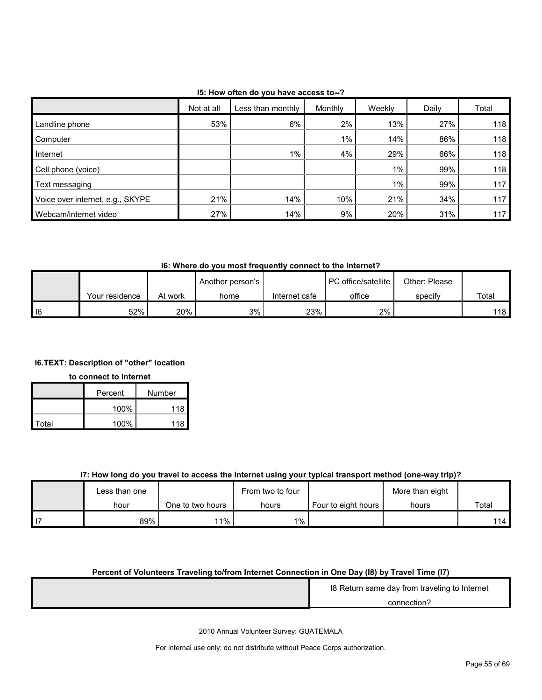| 15: How often do you have access to--? |  |
|----------------------------------------|--|
|----------------------------------------|--|

|                                  | Not at all | Less than monthly | Monthly | Weekly | Daily | Total |
|----------------------------------|------------|-------------------|---------|--------|-------|-------|
| Landline phone                   | 53%        | 6%                | 2%      | 13%    | 27%   | 118   |
| Computer                         |            |                   | $1\%$ . | 14%    | 86%   | 118   |
| Internet                         |            | $1\%$             | 4%      | 29%    | 66%   | 118   |
| Cell phone (voice)               |            |                   |         | $1\%$  | 99%   | 118   |
| Text messaging                   |            |                   |         | $1\%$  | 99%   | 117   |
| Voice over internet, e.g., SKYPE | 21%        | 14%               | 10%     | 21%    | 34%   | 117   |
| Webcam/internet video            | 27%        | 14%               | 9%      | 20%    | 31%   | 117   |

**I6: Where do you most frequently connect to the Internet?**

|            |                |         | Another person's |               | PC office/satellite | Other: Please |       |
|------------|----------------|---------|------------------|---------------|---------------------|---------------|-------|
|            | Your residence | At work | home             | Internet cafe | office              | specify       | Total |
| $\vert$ 16 | 52%            | 20%     | 3%               | 23%           | 2%                  |               | 118 I |

#### **I6.TEXT: Description of "other" location**

#### **to connect to Internet**

|       | Percent | Number |
|-------|---------|--------|
|       | 100%    | 118    |
| Total | 100%    | 118    |

#### **I7: How long do you travel to access the internet using your typical transport method (one-way trip)?**

|      | Less than one |                  | From two to four |                     | More than eight |       |
|------|---------------|------------------|------------------|---------------------|-----------------|-------|
|      | hour          | One to two hours | hours            | Four to eight hours | hours           | Total |
| l 17 | 89%           | 11%              | 1%               |                     |                 | 114   |

#### **Percent of Volunteers Traveling to/from Internet Connection in One Day (I8) by Travel Time (I7)**

| 18 Return same day from traveling to Internet |
|-----------------------------------------------|
| connection?                                   |
|                                               |

2010 Annual Volunteer Survey: GUATEMALA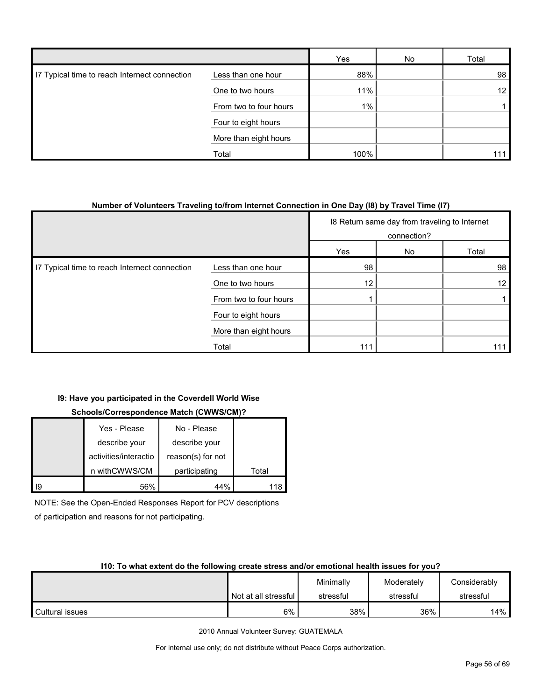|                                               |                        | Yes   | No | Total           |
|-----------------------------------------------|------------------------|-------|----|-----------------|
| 17 Typical time to reach Internect connection | Less than one hour     | 88%   |    | 98              |
|                                               | One to two hours       | 11%   |    | 12 <sub>1</sub> |
|                                               | From two to four hours | $1\%$ |    |                 |
|                                               | Four to eight hours    |       |    |                 |
|                                               | More than eight hours  |       |    |                 |
|                                               | Total                  | 100%  |    | 111             |

#### **Number of Volunteers Traveling to/from Internet Connection in One Day (I8) by Travel Time (I7)**

|                                               |                        | 18 Return same day from traveling to Internet<br>connection? |    |       |
|-----------------------------------------------|------------------------|--------------------------------------------------------------|----|-------|
|                                               |                        | Yes                                                          | No | Total |
| I7 Typical time to reach Internect connection | Less than one hour     | 98                                                           |    | 98    |
|                                               | One to two hours       | 12                                                           |    | 12    |
|                                               | From two to four hours |                                                              |    |       |
|                                               | Four to eight hours    |                                                              |    |       |
|                                               | More than eight hours  |                                                              |    |       |
|                                               | Total                  | 111                                                          |    | 111   |

#### **I9: Have you participated in the Coverdell World Wise**

#### **Schools/Correspondence Match (CWWS/CM)?**

|    | Yes - Please          | No - Please       |       |
|----|-----------------------|-------------------|-------|
|    | describe your         | describe your     |       |
|    | activities/interactio | reason(s) for not |       |
|    | n withCWWS/CM         | participating     | Total |
| Ι9 | 56%                   | 44%               |       |

NOTE: See the Open-Ended Responses Report for PCV descriptions

of participation and reasons for not participating.

#### **I10: To what extent do the following create stress and/or emotional health issues for you?**

|                 |                        | Minimally | Moderately | Considerably |
|-----------------|------------------------|-----------|------------|--------------|
|                 | Not at all stressful I | stressful | stressful  | stressful    |
| Cultural issues | 6%                     | 38%       | 36%        | 14%          |

2010 Annual Volunteer Survey: GUATEMALA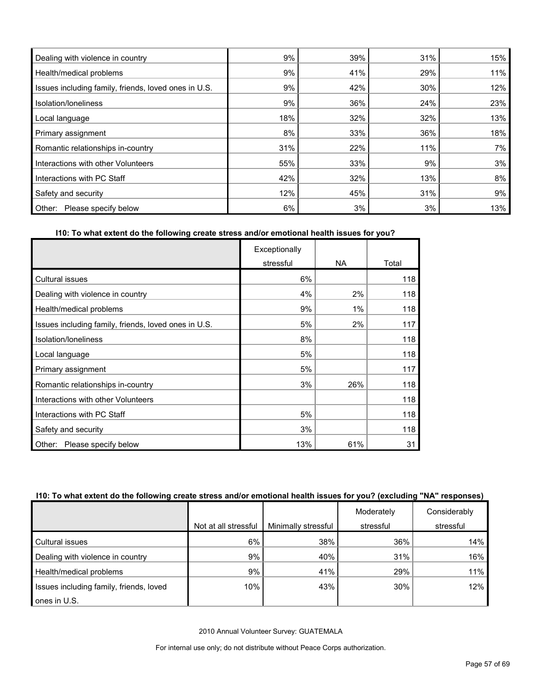| Dealing with violence in country                     | 9%  | 39% | 31% | 15% |
|------------------------------------------------------|-----|-----|-----|-----|
| Health/medical problems                              | 9%  | 41% | 29% | 11% |
| Issues including family, friends, loved ones in U.S. | 9%  | 42% | 30% | 12% |
| Isolation/Ioneliness                                 | 9%  | 36% | 24% | 23% |
| Local language                                       | 18% | 32% | 32% | 13% |
| Primary assignment                                   | 8%  | 33% | 36% | 18% |
| Romantic relationships in-country                    | 31% | 22% | 11% | 7%  |
| Interactions with other Volunteers                   | 55% | 33% | 9%  | 3%  |
| Interactions with PC Staff                           | 42% | 32% | 13% | 8%  |
| Safety and security                                  | 12% | 45% | 31% | 9%  |
| Please specify below<br>Other:                       | 6%  | 3%  | 3%  | 13% |

#### **I10: To what extent do the following create stress and/or emotional health issues for you?**

|                                                      | Exceptionally |           |       |
|------------------------------------------------------|---------------|-----------|-------|
|                                                      | stressful     | <b>NA</b> | Total |
| <b>Cultural issues</b>                               | 6%            |           | 118   |
| Dealing with violence in country                     | 4%            | 2%        | 118   |
| Health/medical problems                              | 9%            | 1%        | 118   |
| Issues including family, friends, loved ones in U.S. | 5%            | 2%        | 117   |
| Isolation/loneliness                                 | 8%            |           | 118   |
| Local language                                       | 5%            |           | 118   |
| Primary assignment                                   | 5%            |           | 117   |
| Romantic relationships in-country                    | 3%            | 26%       | 118   |
| Interactions with other Volunteers                   |               |           | 118   |
| Interactions with PC Staff                           | 5%            |           | 118   |
| Safety and security                                  | 3%            |           | 118   |
| Please specify below<br>Other:                       | 13%           | 61%       | 31    |

#### **I10: To what extent do the following create stress and/or emotional health issues for you? (excluding "NA" responses)**

|                                         |                      |                     | Moderately | Considerably |
|-----------------------------------------|----------------------|---------------------|------------|--------------|
|                                         | Not at all stressful | Minimally stressful | stressful  | stressful    |
| Cultural issues                         | 6%                   | 38%                 | 36%        | 14%          |
| Dealing with violence in country        | 9%                   | 40%                 | 31%        | 16%          |
| Health/medical problems                 | 9%                   | 41%                 | 29%        | 11%          |
| Issues including family, friends, loved | 10%                  | 43%                 | 30%        | 12%          |
| ones in U.S.                            |                      |                     |            |              |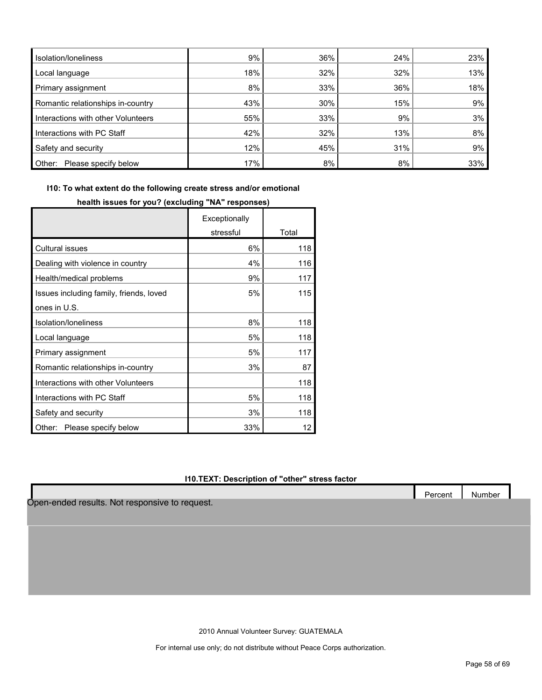| Isolation/Ioneliness               | 9%  | 36% | 24% | 23% |
|------------------------------------|-----|-----|-----|-----|
| Local language                     | 18% | 32% | 32% | 13% |
| Primary assignment                 | 8%  | 33% | 36% | 18% |
| Romantic relationships in-country  | 43% | 30% | 15% | 9%  |
| Interactions with other Volunteers | 55% | 33% | 9%  | 3%  |
| Interactions with PC Staff         | 42% | 32% | 13% | 8%  |
| Safety and security                | 12% | 45% | 31% | 9%  |
| Other:<br>Please specify below     | 17% | 8%  | 8%  | 33% |

**I10: To what extent do the following create stress and/or emotional** 

|                                         | Exceptionally |       |
|-----------------------------------------|---------------|-------|
|                                         | stressful     | Total |
| <b>Cultural issues</b>                  | 6%            | 118   |
| Dealing with violence in country        | 4%            | 116   |
| Health/medical problems                 | 9%            | 117   |
| Issues including family, friends, loved | 5%            | 115   |
| ones in U.S.                            |               |       |
| Isolation/Ioneliness                    | 8%            | 118   |
| Local language                          | 5%            | 118   |
| Primary assignment                      | 5%            | 117   |
| Romantic relationships in-country       | 3%            | 87    |
| Interactions with other Volunteers      |               | 118   |
| Interactions with PC Staff              | 5%            | 118   |
| Safety and security                     | 3%            | 118   |
| Please specify below<br>Other:          | 33%           | 12    |

#### **health issues for you? (excluding "NA" responses)**

#### **I10.TEXT: Description of "other" stress factor**

Open-ended results. Not responsive to request.

2010 Annual Volunteer Survey: GUATEMALA

For internal use only; do not distribute without Peace Corps authorization.

Percent | Number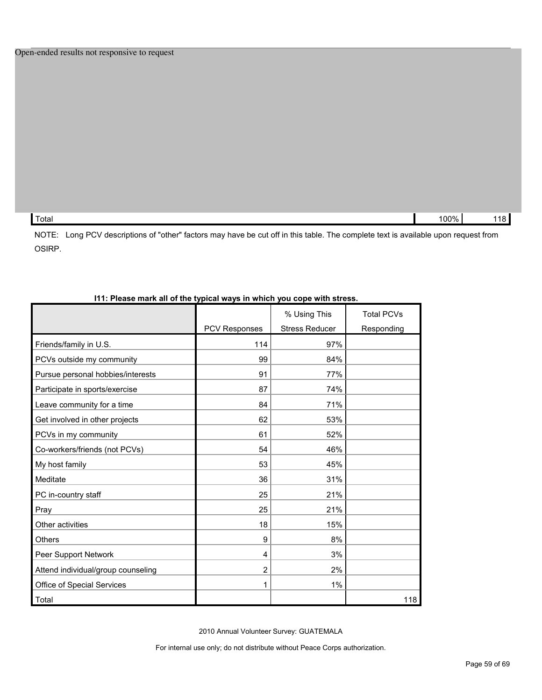| Total | $00\%$ |  |
|-------|--------|--|
|       |        |  |

NOTE: Long PCV descriptions of "other" factors may have be cut off in this table. The complete text is available upon request from OSIRP.

| <b>1.1 ICASC MAIN AIL OF THE TYPICAL WAYS IN WHICH YOU COPC WITH STICSS</b> |                      |                                       |                                 |
|-----------------------------------------------------------------------------|----------------------|---------------------------------------|---------------------------------|
|                                                                             | <b>PCV Responses</b> | % Using This<br><b>Stress Reducer</b> | <b>Total PCVs</b><br>Responding |
| Friends/family in U.S.                                                      | 114                  | 97%                                   |                                 |
| PCVs outside my community                                                   | 99                   | 84%                                   |                                 |
| Pursue personal hobbies/interests                                           | 91                   | 77%                                   |                                 |
| Participate in sports/exercise                                              | 87                   | 74%                                   |                                 |
| Leave community for a time                                                  | 84                   | 71%                                   |                                 |
| Get involved in other projects                                              | 62                   | 53%                                   |                                 |
| PCVs in my community                                                        | 61                   | 52%                                   |                                 |
| Co-workers/friends (not PCVs)                                               | 54                   | 46%                                   |                                 |
| My host family                                                              | 53                   | 45%                                   |                                 |
| Meditate                                                                    | 36                   | 31%                                   |                                 |
| PC in-country staff                                                         | 25                   | 21%                                   |                                 |
| Pray                                                                        | 25                   | 21%                                   |                                 |
| Other activities                                                            | 18                   | 15%                                   |                                 |
| <b>Others</b>                                                               | 9                    | 8%                                    |                                 |
| Peer Support Network                                                        | 4                    | 3%                                    |                                 |
| Attend individual/group counseling                                          | $\overline{2}$       | 2%                                    |                                 |
| Office of Special Services                                                  | 1                    | 1%                                    |                                 |
| Total                                                                       |                      |                                       | 118                             |

#### **I11: Please mark all of the typical ways in which you cope with stress.**

2010 Annual Volunteer Survey: GUATEMALA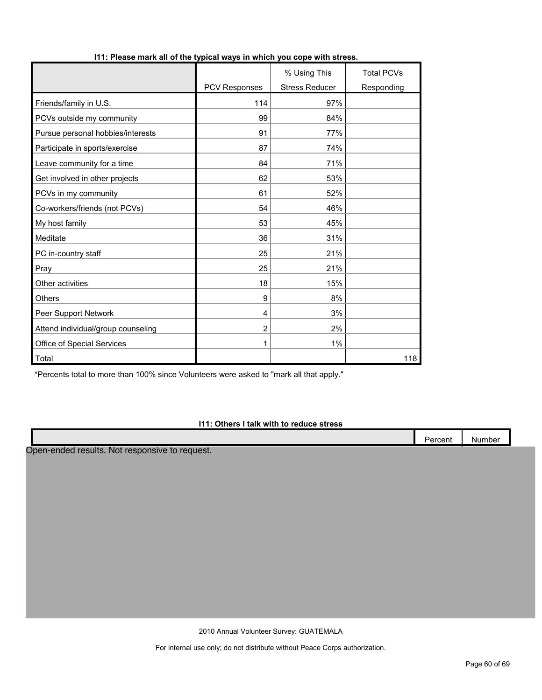|                                    |               | % Using This          | <b>Total PCVs</b> |
|------------------------------------|---------------|-----------------------|-------------------|
|                                    | PCV Responses | <b>Stress Reducer</b> | Responding        |
| Friends/family in U.S.             | 114           | 97%                   |                   |
| PCVs outside my community          | 99            | 84%                   |                   |
| Pursue personal hobbies/interests  | 91            | 77%                   |                   |
| Participate in sports/exercise     | 87            | 74%                   |                   |
| Leave community for a time         | 84            | 71%                   |                   |
| Get involved in other projects     | 62            | 53%                   |                   |
| PCVs in my community               | 61            | 52%                   |                   |
| Co-workers/friends (not PCVs)      | 54            | 46%                   |                   |
| My host family                     | 53            | 45%                   |                   |
| Meditate                           | 36            | 31%                   |                   |
| PC in-country staff                | 25            | 21%                   |                   |
| Pray                               | 25            | 21%                   |                   |
| Other activities                   | 18            | 15%                   |                   |
| <b>Others</b>                      | 9             | 8%                    |                   |
| Peer Support Network               | 4             | 3%                    |                   |
| Attend individual/group counseling | 2             | 2%                    |                   |
| Office of Special Services         | 1             | 1%                    |                   |
| Total                              |               |                       | 118               |

#### **I11: Please mark all of the typical ways in which you cope with stress.**

\*Percents total to more than 100% since Volunteers were asked to "mark all that apply."

#### **I11: Others I talk with to reduce stress**

|                      | <b>STATES</b><br>aroont<br>ו טסוונ | Number |  |
|----------------------|------------------------------------|--------|--|
| . .<br>$\sim$ $\sim$ |                                    |        |  |

Open-ended results. Not responsive to request.

2010 Annual Volunteer Survey: GUATEMALA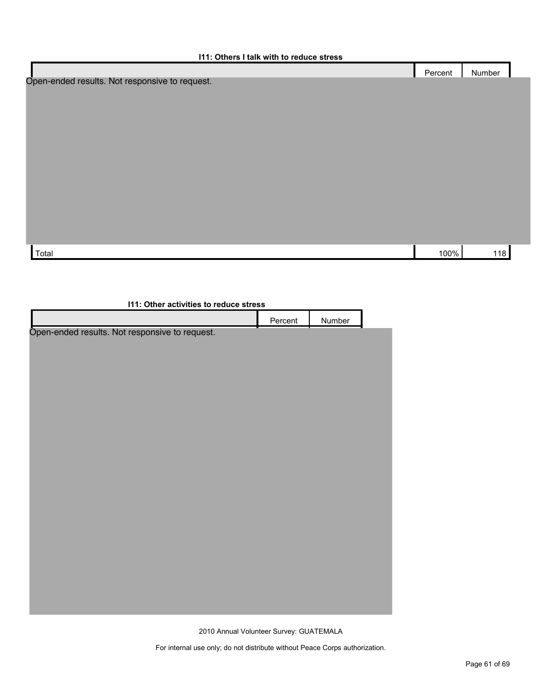|                                                | Percent | Number |
|------------------------------------------------|---------|--------|
| Open-ended results. Not responsive to request. |         |        |
|                                                |         |        |
|                                                |         |        |
|                                                |         |        |
|                                                |         |        |
|                                                |         |        |
|                                                |         |        |
|                                                |         |        |
|                                                |         |        |
|                                                |         |        |
|                                                |         |        |
|                                                |         |        |
|                                                |         |        |
| Total                                          | 100%    | 118    |
|                                                |         |        |

| 111: Other activities to reduce stress         |         |        |  |  |
|------------------------------------------------|---------|--------|--|--|
|                                                | Percent | Number |  |  |
| Open-ended results. Not responsive to request. |         |        |  |  |
|                                                |         |        |  |  |
|                                                |         |        |  |  |
|                                                |         |        |  |  |
|                                                |         |        |  |  |
|                                                |         |        |  |  |
|                                                |         |        |  |  |
|                                                |         |        |  |  |
|                                                |         |        |  |  |
|                                                |         |        |  |  |
|                                                |         |        |  |  |
|                                                |         |        |  |  |
|                                                |         |        |  |  |
|                                                |         |        |  |  |
|                                                |         |        |  |  |
|                                                |         |        |  |  |
|                                                |         |        |  |  |
|                                                |         |        |  |  |
|                                                |         |        |  |  |

2010 Annual Volunteer Survey: GUATEMALA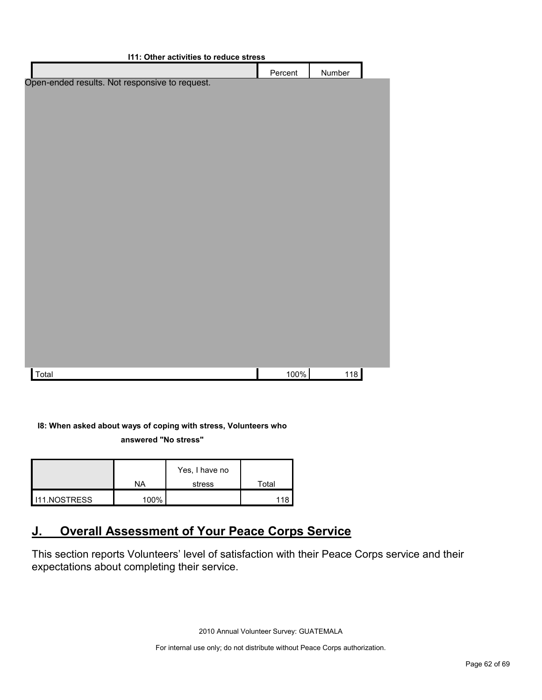| I11: Other activities to reduce stress         |         |        |  |
|------------------------------------------------|---------|--------|--|
|                                                | Percent | Number |  |
| Open-ended results. Not responsive to request. |         |        |  |
|                                                |         |        |  |
|                                                |         |        |  |
|                                                |         |        |  |
|                                                |         |        |  |
|                                                |         |        |  |
|                                                |         |        |  |
|                                                |         |        |  |
|                                                |         |        |  |
|                                                |         |        |  |
|                                                |         |        |  |
|                                                |         |        |  |
|                                                |         |        |  |
|                                                |         |        |  |
|                                                |         |        |  |
|                                                |         |        |  |
|                                                |         |        |  |
|                                                |         |        |  |
|                                                |         |        |  |
| Total                                          | 100%    | 118    |  |

#### **I8: When asked about ways of coping with stress, Volunteers who answered "No stress"**

|                     | ΝA   | Yes, I have no<br>stress | Total |
|---------------------|------|--------------------------|-------|
|                     |      |                          |       |
| <b>I11.NOSTRESS</b> | 100% |                          |       |

## <span id="page-61-0"></span>**J. Overall Assessment of Your Peace Corps Service**

This section reports Volunteers' level of satisfaction with their Peace Corps service and their expectations about completing their service.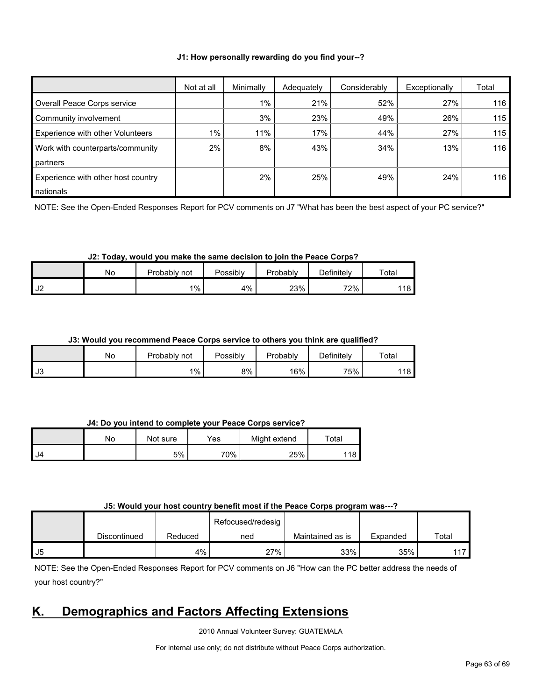#### **J1: How personally rewarding do you find your--?**

|                                    | Not at all | Minimally | Adequately | Considerably | Exceptionally | Total |
|------------------------------------|------------|-----------|------------|--------------|---------------|-------|
| Overall Peace Corps service        |            | $1\%$     | 21%        | 52%          | 27%           | 116   |
| Community involvement              |            | 3%        | 23%        | 49%          | 26%           | 115   |
| Experience with other Volunteers   | $1\%$      | 11%       | 17%        | 44%          | 27%           | 115   |
| Work with counterparts/community   | 2%         | 8%        | 43%        | 34%          | 13%           | 116   |
| partners                           |            |           |            |              |               |       |
| Experience with other host country |            | $2\%$     | 25%        | 49%          | 24%           | 116   |
| nationals                          |            |           |            |              |               |       |

NOTE: See the Open-Ended Responses Report for PCV comments on J7 "What has been the best aspect of your PC service?"

#### **J2: Today, would you make the same decision to join the Peace Corps?**

|                         | N٥ | Probably<br>not | Possibly | Probably | Definitelv | Total              |
|-------------------------|----|-----------------|----------|----------|------------|--------------------|
| $\overline{ }$<br>ے ں ∎ |    | $1\%$ .         | 4%       | 23%      | 72%        | <b>440 F</b><br>סי |

#### **J3: Would you recommend Peace Corps service to others you think are qualified?**

|           | No | Probably<br>not | Possibly | Probably | Definitely | Total      |
|-----------|----|-----------------|----------|----------|------------|------------|
| -12<br>ഄഄ |    | $1\%$           | 8%       | 16%      | 75%        | 11R<br>. U |

#### **J4: Do you intend to complete your Peace Corps service?**

|      | No | Not sure | Yes | Might extend | Total |
|------|----|----------|-----|--------------|-------|
| I J4 |    | 5%       | 70% | 25%          | 18    |

#### **J5: Would your host country benefit most if the Peace Corps program was---?**

|    |              |         | Refocused/redesig |                  |          |       |
|----|--------------|---------|-------------------|------------------|----------|-------|
|    | Discontinued | Reduced | ned               | Maintained as is | Expanded | Total |
| J5 |              | 4%      | 27%               | 33%              | 35%      | 447   |

NOTE: See the Open-Ended Responses Report for PCV comments on J6 "How can the PC better address the needs of your host country?"

## <span id="page-62-0"></span>**K. Demographics and Factors Affecting Extensions**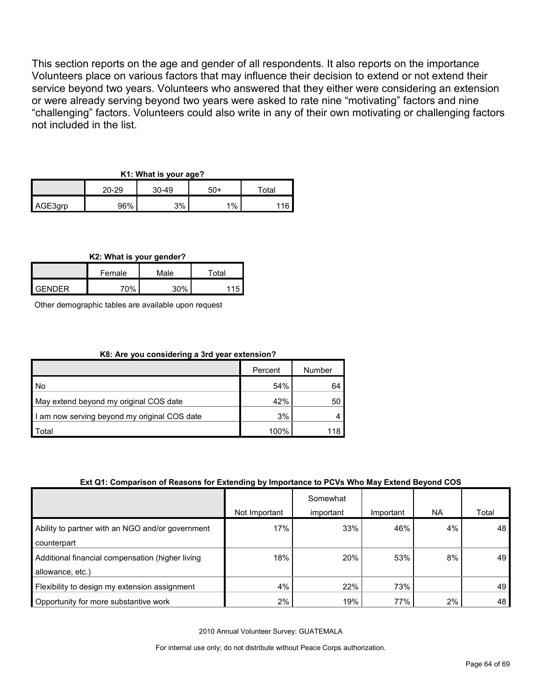This section reports on the age and gender of all respondents. It also reports on the importance Volunteers place on various factors that may influence their decision to extend or not extend their service beyond two years. Volunteers who answered that they either were considering an extension or were already serving beyond two years were asked to rate nine "motivating" factors and nine "challenging" factors. Volunteers could also write in any of their own motivating or challenging factors not included in the list.

#### **K1: What is your age?**

|         | 20-29<br>$30-49$ |    | 50+ | $\tau$ otal |  |
|---------|------------------|----|-----|-------------|--|
| AGE3grp | 96%              | 3% | 1%  | 16          |  |

**K2: What is your gender?**

|               | Female | Male | $\tau$ otal |  |
|---------------|--------|------|-------------|--|
| <b>GENDER</b> | 70%    | 30%  | <b>45</b>   |  |

Other demographic tables are available upon request

#### **K8: Are you considering a 3rd year extension?**

|                                              | Percent | Number |
|----------------------------------------------|---------|--------|
| <b>No</b>                                    | 54%     | 64     |
| May extend beyond my original COS date       | 42%     | 50     |
| I am now serving beyond my original COS date | 3%      |        |
| Total                                        | 100%    | 118    |

#### **Ext Q1: Comparison of Reasons for Extending by Importance to PCVs Who May Extend Beyond COS**

|                                                  |               | Somewhat  |           |       |       |
|--------------------------------------------------|---------------|-----------|-----------|-------|-------|
|                                                  | Not Important | important | Important | NA.   | Total |
| Ability to partner with an NGO and/or government | 17%           | 33%       | 46%       | 4%    | 48    |
| counterpart                                      |               |           |           |       |       |
| Additional financial compensation (higher living | 18%           | 20%       | 53%       | 8%    | 49    |
| allowance, etc.)                                 |               |           |           |       |       |
| Flexibility to design my extension assignment    | 4%            | 22%       | 73%       |       | 49    |
| Opportunity for more substantive work            | $2\%$         | 19%       | 77%       | $2\%$ | 48    |

2010 Annual Volunteer Survey: GUATEMALA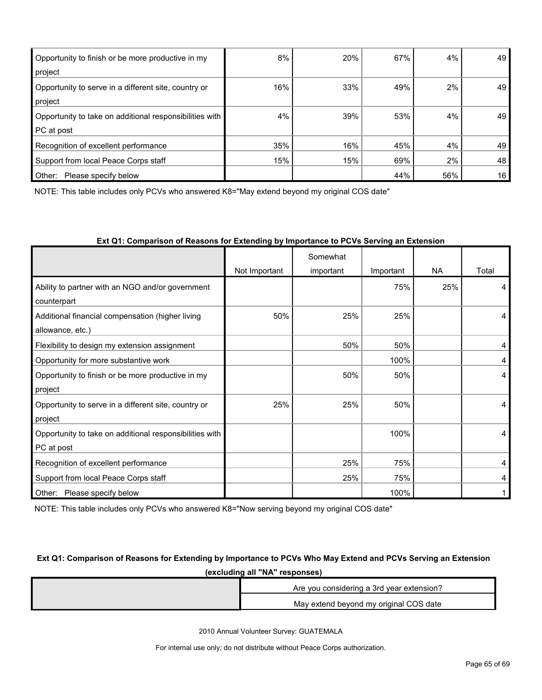| Opportunity to finish or be more productive in my<br>project          | 8%  | 20% | 67% | 4%  | 49 |
|-----------------------------------------------------------------------|-----|-----|-----|-----|----|
| Opportunity to serve in a different site, country or<br>project       | 16% | 33% | 49% | 2%  | 49 |
| Opportunity to take on additional responsibilities with<br>PC at post | 4%  | 39% | 53% | 4%  | 49 |
| Recognition of excellent performance                                  | 35% | 16% | 45% | 4%  | 49 |
| Support from local Peace Corps staff                                  | 15% | 15% | 69% | 2%  | 48 |
| Other:<br>Please specify below                                        |     |     | 44% | 56% | 16 |

NOTE: This table includes only PCVs who answered K8="May extend beyond my original COS date"

|                                                         |               | Somewhat  |           |           |       |
|---------------------------------------------------------|---------------|-----------|-----------|-----------|-------|
|                                                         | Not Important | important | Important | <b>NA</b> | Total |
| Ability to partner with an NGO and/or government        |               |           | 75%       | 25%       | 4     |
| counterpart                                             |               |           |           |           |       |
| Additional financial compensation (higher living        | 50%           | 25%       | 25%       |           | 4     |
| allowance, etc.)                                        |               |           |           |           |       |
| Flexibility to design my extension assignment           |               | 50%       | 50%       |           | 4     |
| Opportunity for more substantive work                   |               |           | 100%      |           | 4     |
| Opportunity to finish or be more productive in my       |               | 50%       | 50%       |           | 4     |
| project                                                 |               |           |           |           |       |
| Opportunity to serve in a different site, country or    | 25%           | 25%       | 50%       |           | 4     |
| project                                                 |               |           |           |           |       |
| Opportunity to take on additional responsibilities with |               |           | 100%      |           | 4     |
| PC at post                                              |               |           |           |           |       |
| Recognition of excellent performance                    |               | 25%       | 75%       |           | 4     |
| Support from local Peace Corps staff                    |               | 25%       | 75%       |           | 4     |
| Please specify below<br>Other:                          |               |           | 100%      |           |       |

#### **Ext Q1: Comparison of Reasons for Extending by Importance to PCVs Serving an Extension**

NOTE: This table includes only PCVs who answered K8="Now serving beyond my original COS date"

#### **Ext Q1: Comparison of Reasons for Extending by Importance to PCVs Who May Extend and PCVs Serving an Extension (excluding all "NA" responses)**

| Are you considering a 3rd year extension? |
|-------------------------------------------|
| May extend beyond my original COS date    |

2010 Annual Volunteer Survey: GUATEMALA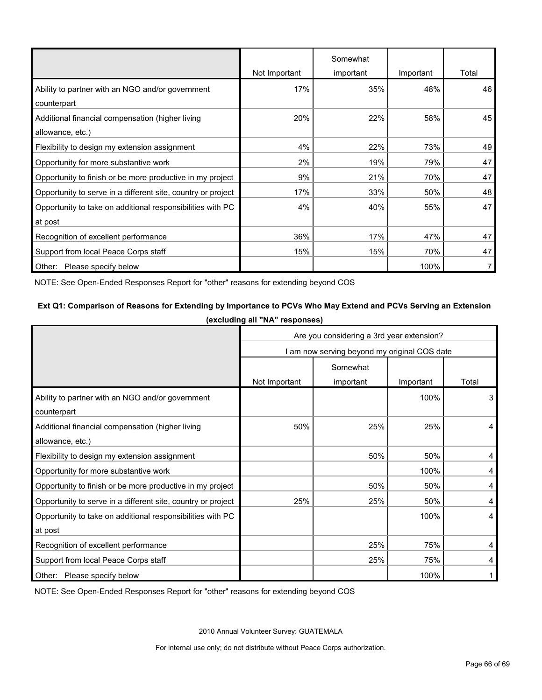|                                                              |               | Somewhat  |           |       |
|--------------------------------------------------------------|---------------|-----------|-----------|-------|
|                                                              | Not Important | important | Important | Total |
| Ability to partner with an NGO and/or government             | 17%           | 35%       | 48%       | 46    |
| counterpart                                                  |               |           |           |       |
| Additional financial compensation (higher living             | 20%           | 22%       | 58%       | 45    |
| allowance, etc.)                                             |               |           |           |       |
| Flexibility to design my extension assignment                | 4%            | 22%       | 73%       | 49    |
| Opportunity for more substantive work                        | 2%            | 19%       | 79%       | 47    |
| Opportunity to finish or be more productive in my project    | 9%            | 21%       | 70%       | 47    |
| Opportunity to serve in a different site, country or project | 17%           | 33%       | 50%       | 48    |
| Opportunity to take on additional responsibilities with PC   | 4%            | 40%       | 55%       | 47    |
| at post                                                      |               |           |           |       |
| Recognition of excellent performance                         | 36%           | 17%       | 47%       | 47    |
| Support from local Peace Corps staff                         | 15%           | 15%       | 70%       | 47    |
| Other: Please specify below                                  |               |           | 100%      |       |

NOTE: See Open-Ended Responses Report for "other" reasons for extending beyond COS

#### **Ext Q1: Comparison of Reasons for Extending by Importance to PCVs Who May Extend and PCVs Serving an Extension (excluding all "NA" responses)**

|                                                              | Are you considering a 3rd year extension?    |           |           |       |
|--------------------------------------------------------------|----------------------------------------------|-----------|-----------|-------|
|                                                              | I am now serving beyond my original COS date |           |           |       |
|                                                              | Somewhat                                     |           |           |       |
|                                                              | Not Important                                | important | Important | Total |
| Ability to partner with an NGO and/or government             |                                              |           | 100%      | 3     |
| counterpart                                                  |                                              |           |           |       |
| Additional financial compensation (higher living             | 50%                                          | 25%       | 25%       | 4     |
| allowance, etc.)                                             |                                              |           |           |       |
| Flexibility to design my extension assignment                |                                              | 50%       | 50%       | 4     |
| Opportunity for more substantive work                        |                                              |           | 100%      | 4     |
| Opportunity to finish or be more productive in my project    |                                              | 50%       | 50%       | 4     |
| Opportunity to serve in a different site, country or project | 25%                                          | 25%       | 50%       | 4     |
| Opportunity to take on additional responsibilities with PC   |                                              |           | 100%      | 4     |
| at post                                                      |                                              |           |           |       |
| Recognition of excellent performance                         |                                              | 25%       | 75%       | 4     |
| Support from local Peace Corps staff                         |                                              | 25%       | 75%       | 4     |
| Other: Please specify below                                  |                                              |           | 100%      |       |

NOTE: See Open-Ended Responses Report for "other" reasons for extending beyond COS

2010 Annual Volunteer Survey: GUATEMALA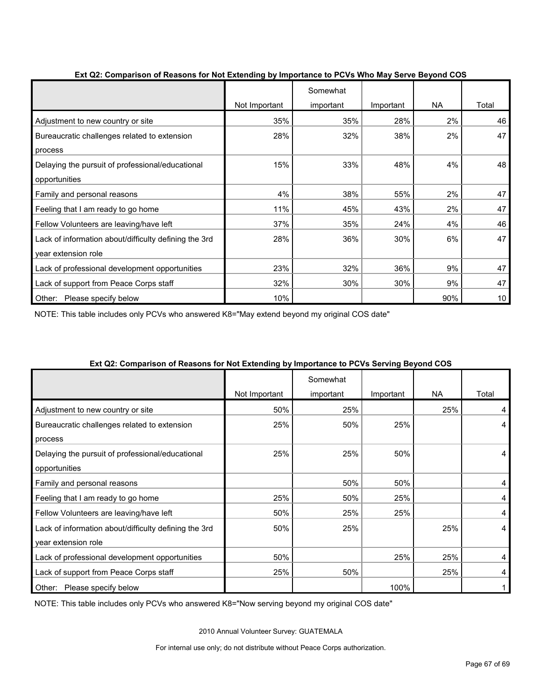|                                                       | Not Important | Somewhat<br>important | Important | <b>NA</b> | Total           |
|-------------------------------------------------------|---------------|-----------------------|-----------|-----------|-----------------|
| Adjustment to new country or site                     | 35%           | 35%                   | 28%       | 2%        | 46              |
| Bureaucratic challenges related to extension          | 28%           | 32%                   | 38%       | 2%        | 47              |
| process                                               |               |                       |           |           |                 |
| Delaying the pursuit of professional/educational      | 15%           | 33%                   | 48%       | 4%        | 48              |
| opportunities                                         |               |                       |           |           |                 |
| Family and personal reasons                           | 4%            | 38%                   | 55%       | 2%        | 47              |
| Feeling that I am ready to go home                    | 11%           | 45%                   | 43%       | 2%        | 47              |
| Fellow Volunteers are leaving/have left               | 37%           | 35%                   | 24%       | 4%        | 46              |
| Lack of information about/difficulty defining the 3rd | 28%           | 36%                   | 30%       | 6%        | 47              |
| year extension role                                   |               |                       |           |           |                 |
| Lack of professional development opportunities        | 23%           | 32%                   | 36%       | 9%        | 47              |
| Lack of support from Peace Corps staff                | 32%           | 30%                   | 30%       | 9%        | 47              |
| Please specify below<br>Other:                        | 10%           |                       |           | 90%       | 10 <sub>1</sub> |

#### **Ext Q2: Comparison of Reasons for Not Extending by Importance to PCVs Who May Serve Beyond COS**

NOTE: This table includes only PCVs who answered K8="May extend beyond my original COS date"

|                                                       | Not Important | Somewhat<br>important | Important | NA. | Total |
|-------------------------------------------------------|---------------|-----------------------|-----------|-----|-------|
| Adjustment to new country or site                     | 50%           | 25%                   |           | 25% | 4     |
| Bureaucratic challenges related to extension          | 25%           | 50%                   | 25%       |     | 4     |
| process                                               |               |                       |           |     |       |
| Delaying the pursuit of professional/educational      | 25%           | 25%                   | 50%       |     | 4     |
| opportunities                                         |               |                       |           |     |       |
| Family and personal reasons                           |               | 50%                   | 50%       |     | 4     |
| Feeling that I am ready to go home                    | 25%           | 50%                   | 25%       |     | 4     |
| Fellow Volunteers are leaving/have left               | 50%           | 25%                   | 25%       |     | 4     |
| Lack of information about/difficulty defining the 3rd | 50%           | 25%                   |           | 25% | 4     |
| year extension role                                   |               |                       |           |     |       |
| Lack of professional development opportunities        | 50%           |                       | 25%       | 25% | 4     |
| Lack of support from Peace Corps staff                | 25%           | 50%                   |           | 25% | 4     |
| Other: Please specify below                           |               |                       | 100%      |     |       |

#### **Ext Q2: Comparison of Reasons for Not Extending by Importance to PCVs Serving Beyond COS**

NOTE: This table includes only PCVs who answered K8="Now serving beyond my original COS date"

2010 Annual Volunteer Survey: GUATEMALA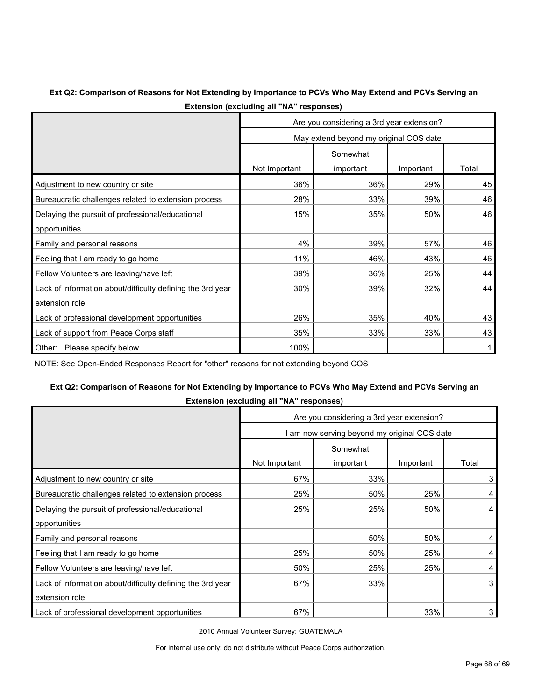#### **Ext Q2: Comparison of Reasons for Not Extending by Importance to PCVs Who May Extend and PCVs Serving an Extension (excluding all "NA" responses)**

|                                                            | Are you considering a 3rd year extension? |           |           |       |  |
|------------------------------------------------------------|-------------------------------------------|-----------|-----------|-------|--|
|                                                            | May extend beyond my original COS date    |           |           |       |  |
|                                                            |                                           | Somewhat  |           |       |  |
|                                                            | Not Important                             | important | Important | Total |  |
| Adjustment to new country or site                          | 36%                                       | 36%       | 29%       | 45    |  |
| Bureaucratic challenges related to extension process       | 28%                                       | 33%       | 39%       | 46    |  |
| Delaying the pursuit of professional/educational           | 15%                                       | 35%       | 50%       | 46    |  |
| opportunities                                              |                                           |           |           |       |  |
| Family and personal reasons                                | 4%                                        | 39%       | 57%       | 46    |  |
| Feeling that I am ready to go home                         | 11%                                       | 46%       | 43%       | 46    |  |
| Fellow Volunteers are leaving/have left                    | 39%                                       | 36%       | 25%       | 44    |  |
| Lack of information about/difficulty defining the 3rd year | 30%                                       | 39%       | 32%       | 44    |  |
| extension role                                             |                                           |           |           |       |  |
| Lack of professional development opportunities             | 26%                                       | 35%       | 40%       | 43    |  |
| Lack of support from Peace Corps staff                     | 35%                                       | 33%       | 33%       | 43    |  |
| Please specify below<br>Other:                             | 100%                                      |           |           |       |  |

NOTE: See Open-Ended Responses Report for "other" reasons for not extending beyond COS

## **Ext Q2: Comparison of Reasons for Not Extending by Importance to PCVs Who May Extend and PCVs Serving an**

| <b>Extendion (overaging an international</b>               |                                              |           |           |       |  |  |
|------------------------------------------------------------|----------------------------------------------|-----------|-----------|-------|--|--|
|                                                            | Are you considering a 3rd year extension?    |           |           |       |  |  |
|                                                            | I am now serving beyond my original COS date |           |           |       |  |  |
|                                                            | Somewhat                                     |           |           |       |  |  |
|                                                            | Not Important                                | important | Important | Total |  |  |
| Adjustment to new country or site                          | 67%                                          | 33%       |           | 3     |  |  |
| Bureaucratic challenges related to extension process       | 25%                                          | 50%       | 25%       | 4     |  |  |
| Delaying the pursuit of professional/educational           | 25%                                          | 25%       | 50%       | 4     |  |  |
| opportunities                                              |                                              |           |           |       |  |  |
| Family and personal reasons                                |                                              | 50%       | 50%       | 4     |  |  |
| Feeling that I am ready to go home                         | 25%                                          | 50%       | 25%       | 4     |  |  |
| Fellow Volunteers are leaving/have left                    | 50%                                          | 25%       | 25%       | 4     |  |  |
| Lack of information about/difficulty defining the 3rd year | 67%                                          | 33%       |           | 3     |  |  |
| extension role                                             |                                              |           |           |       |  |  |
| Lack of professional development opportunities             | 67%                                          |           | 33%       | 3     |  |  |

**Extension (excluding all "NA" responses)**

2010 Annual Volunteer Survey: GUATEMALA